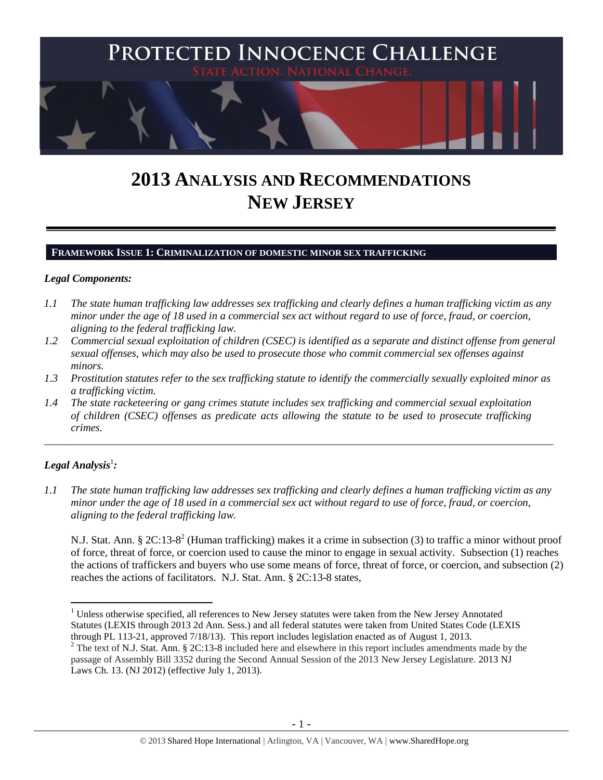

# **2013 ANALYSIS AND RECOMMENDATIONS NEW JERSEY**

#### **FRAMEWORK ISSUE 1: CRIMINALIZATION OF DOMESTIC MINOR SEX TRAFFICKING**

#### *Legal Components:*

- *1.1 The state human trafficking law addresses sex trafficking and clearly defines a human trafficking victim as any minor under the age of 18 used in a commercial sex act without regard to use of force, fraud, or coercion, aligning to the federal trafficking law.*
- *1.2 Commercial sexual exploitation of children (CSEC) is identified as a separate and distinct offense from general sexual offenses, which may also be used to prosecute those who commit commercial sex offenses against minors.*
- *1.3 Prostitution statutes refer to the sex trafficking statute to identify the commercially sexually exploited minor as a trafficking victim.*

\_\_\_\_\_\_\_\_\_\_\_\_\_\_\_\_\_\_\_\_\_\_\_\_\_\_\_\_\_\_\_\_\_\_\_\_\_\_\_\_\_\_\_\_\_\_\_\_\_\_\_\_\_\_\_\_\_\_\_\_\_\_\_\_\_\_\_\_\_\_\_\_\_\_\_\_\_\_\_\_\_\_\_\_\_\_\_\_\_\_\_\_\_\_

*1.4 The state racketeering or gang crimes statute includes sex trafficking and commercial sexual exploitation of children (CSEC) offenses as predicate acts allowing the statute to be used to prosecute trafficking crimes.* 

# $\bm{L}$ egal Analysis $^1$ :

 $\overline{a}$ 

*1.1 The state human trafficking law addresses sex trafficking and clearly defines a human trafficking victim as any minor under the age of 18 used in a commercial sex act without regard to use of force, fraud, or coercion, aligning to the federal trafficking law.*

<span id="page-0-0"></span>N.J. Stat. Ann. § 2C:13-8<sup>2</sup> (Human trafficking) makes it a crime in subsection (3) to traffic a minor without proof of force, threat of force, or coercion used to cause the minor to engage in sexual activity. Subsection (1) reaches the actions of traffickers and buyers who use some means of force, threat of force, or coercion, and subsection (2) reaches the actions of facilitators. N.J. Stat. Ann. § 2C:13-8 states,

<sup>&</sup>lt;sup>1</sup> Unless otherwise specified, all references to New Jersey statutes were taken from the New Jersey Annotated Statutes (LEXIS through 2013 2d Ann. Sess.) and all federal statutes were taken from United States Code (LEXIS through PL 113-21, approved 7/18/13). This report includes legislation enacted as of August 1, 2013.

 $2$  The text of N.J. Stat. Ann. § 2C:13-8 included here and elsewhere in this report includes amendments made by the passage of Assembly Bill 3352 during the Second Annual Session of the 2013 New Jersey Legislature. 2013 NJ Laws Ch. 13. (NJ 2012) (effective July 1, 2013).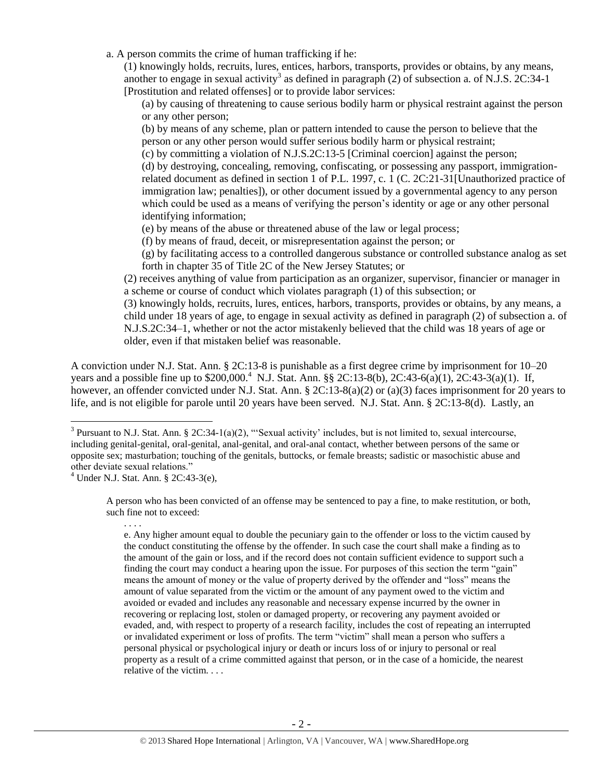a. A person commits the crime of human trafficking if he:

(1) knowingly holds, recruits, lures, entices, harbors, transports, provides or obtains, by any means, another to engage in sexual activity<sup>3</sup> as defined in paragraph (2) of subsection a. of N.J.S. 2C:34-1 [Prostitution and related offenses] or to provide labor services:

<span id="page-1-0"></span>(a) by causing of threatening to cause serious bodily harm or physical restraint against the person or any other person;

(b) by means of any scheme, plan or pattern intended to cause the person to believe that the person or any other person would suffer serious bodily harm or physical restraint;

(c) by committing a violation of N.J.S.2C:13-5 [Criminal coercion] against the person;

(d) by destroying, concealing, removing, confiscating, or possessing any passport, immigrationrelated document as defined in section 1 of P.L. 1997, c. 1 (C. 2C:21-31[Unauthorized practice of immigration law; penalties]), or other document issued by a governmental agency to any person which could be used as a means of verifying the person's identity or age or any other personal identifying information;

(e) by means of the abuse or threatened abuse of the law or legal process;

(f) by means of fraud, deceit, or misrepresentation against the person; or

(g) by facilitating access to a controlled dangerous substance or controlled substance analog as set forth in chapter 35 of Title 2C of the New Jersey Statutes; or

(2) receives anything of value from participation as an organizer, supervisor, financier or manager in a scheme or course of conduct which violates paragraph (1) of this subsection; or

<span id="page-1-1"></span>(3) knowingly holds, recruits, lures, entices, harbors, transports, provides or obtains, by any means, a child under 18 years of age, to engage in sexual activity as defined in paragraph (2) of subsection a. of N.J.S.2C:34–1, whether or not the actor mistakenly believed that the child was 18 years of age or older, even if that mistaken belief was reasonable.

A conviction under N.J. Stat. Ann. § 2C:13-8 is punishable as a first degree crime by imprisonment for 10–20 years and a possible fine up to  $$200,000.<sup>4</sup>$  N.J. Stat. Ann. §§ 2C:13-8(b), 2C:43-6(a)(1), 2C:43-3(a)(1). If, however, an offender convicted under N.J. Stat. Ann. § 2C:13-8(a)(2) or (a)(3) faces imprisonment for 20 years to life, and is not eligible for parole until 20 years have been served. N.J. Stat. Ann. § 2C:13-8(d). Lastly, an

. . . .

 $\overline{a}$ 

A person who has been convicted of an offense may be sentenced to pay a fine, to make restitution, or both, such fine not to exceed:

e. Any higher amount equal to double the pecuniary gain to the offender or loss to the victim caused by the conduct constituting the offense by the offender. In such case the court shall make a finding as to the amount of the gain or loss, and if the record does not contain sufficient evidence to support such a finding the court may conduct a hearing upon the issue. For purposes of this section the term "gain" means the amount of money or the value of property derived by the offender and "loss" means the amount of value separated from the victim or the amount of any payment owed to the victim and avoided or evaded and includes any reasonable and necessary expense incurred by the owner in recovering or replacing lost, stolen or damaged property, or recovering any payment avoided or evaded, and, with respect to property of a research facility, includes the cost of repeating an interrupted or invalidated experiment or loss of profits. The term "victim" shall mean a person who suffers a personal physical or psychological injury or death or incurs loss of or injury to personal or real property as a result of a crime committed against that person, or in the case of a homicide, the nearest relative of the victim. . . .

<sup>&</sup>lt;sup>3</sup> Pursuant to N.J. Stat. Ann. § 2C:34-1(a)(2), "Sexual activity' includes, but is not limited to, sexual intercourse, including genital-genital, oral-genital, anal-genital, and oral-anal contact, whether between persons of the same or opposite sex; masturbation; touching of the genitals, buttocks, or female breasts; sadistic or masochistic abuse and other deviate sexual relations."

 $4$  Under N.J. Stat. Ann. § 2C:43-3(e),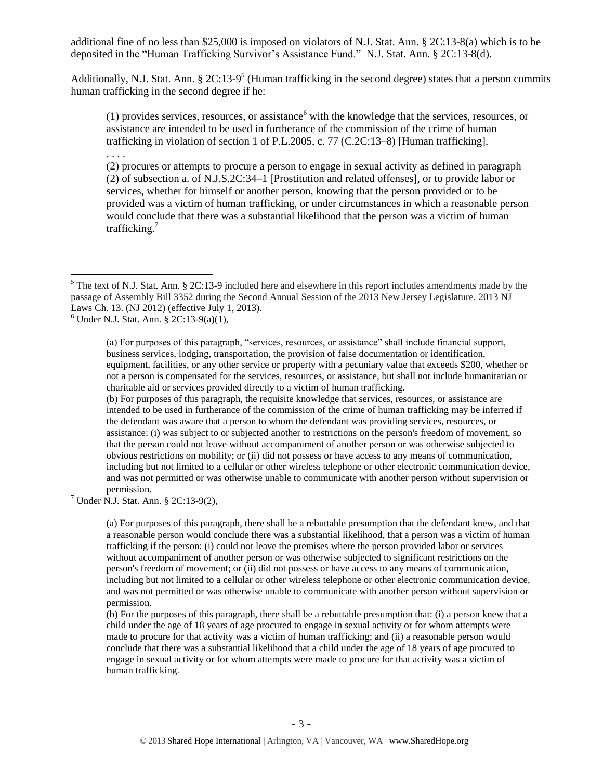additional fine of no less than \$25,000 is imposed on violators of N.J. Stat. Ann. § 2C:13-8(a) which is to be deposited in the "Human Trafficking Survivor's Assistance Fund." N.J. Stat. Ann. § 2C:13-8(d).

Additionally, N.J. Stat. Ann.  $\S 2C:13-9^5$  (Human trafficking in the second degree) states that a person commits human trafficking in the second degree if he:

<span id="page-2-2"></span><span id="page-2-0"></span>(1) provides services, resources, or assistance with the knowledge that the services, resources, or assistance are intended to be used in furtherance of the commission of the crime of human trafficking in violation of section 1 of P.L.2005, c. 77 (C.2C:13–8) [Human trafficking]. . . . .

<span id="page-2-1"></span>(2) procures or attempts to procure a person to engage in sexual activity as defined in paragraph (2) of subsection a. of N.J.S.2C:34–1 [Prostitution and related offenses], or to provide labor or services, whether for himself or another person, knowing that the person provided or to be provided was a victim of human trafficking, or under circumstances in which a reasonable person would conclude that there was a substantial likelihood that the person was a victim of human trafficking. $<sup>7</sup>$ </sup>

 $\overline{a}$ 

(a) For purposes of this paragraph, "services, resources, or assistance" shall include financial support, business services, lodging, transportation, the provision of false documentation or identification, equipment, facilities, or any other service or property with a pecuniary value that exceeds \$200, whether or not a person is compensated for the services, resources, or assistance, but shall not include humanitarian or charitable aid or services provided directly to a victim of human trafficking.

(b) For purposes of this paragraph, the requisite knowledge that services, resources, or assistance are intended to be used in furtherance of the commission of the crime of human trafficking may be inferred if the defendant was aware that a person to whom the defendant was providing services, resources, or assistance: (i) was subject to or subjected another to restrictions on the person's freedom of movement, so that the person could not leave without accompaniment of another person or was otherwise subjected to obvious restrictions on mobility; or (ii) did not possess or have access to any means of communication, including but not limited to a cellular or other wireless telephone or other electronic communication device, and was not permitted or was otherwise unable to communicate with another person without supervision or permission.

 $^7$  Under N.J. Stat. Ann. § 2C:13-9(2),

(a) For purposes of this paragraph, there shall be a rebuttable presumption that the defendant knew, and that a reasonable person would conclude there was a substantial likelihood, that a person was a victim of human trafficking if the person: (i) could not leave the premises where the person provided labor or services without accompaniment of another person or was otherwise subjected to significant restrictions on the person's freedom of movement; or (ii) did not possess or have access to any means of communication, including but not limited to a cellular or other wireless telephone or other electronic communication device, and was not permitted or was otherwise unable to communicate with another person without supervision or permission.

(b) For the purposes of this paragraph, there shall be a rebuttable presumption that: (i) a person knew that a child under the age of 18 years of age procured to engage in sexual activity or for whom attempts were made to procure for that activity was a victim of human trafficking; and (ii) a reasonable person would conclude that there was a substantial likelihood that a child under the age of 18 years of age procured to engage in sexual activity or for whom attempts were made to procure for that activity was a victim of human trafficking.

 $<sup>5</sup>$  The text of N.J. Stat. Ann. § 2C:13-9 included here and elsewhere in this report includes amendments made by the</sup> passage of Assembly Bill 3352 during the Second Annual Session of the 2013 New Jersey Legislature. 2013 NJ Laws Ch. 13. (NJ 2012) (effective July 1, 2013).

 $6$  Under N.J. Stat. Ann. § 2C:13-9(a)(1),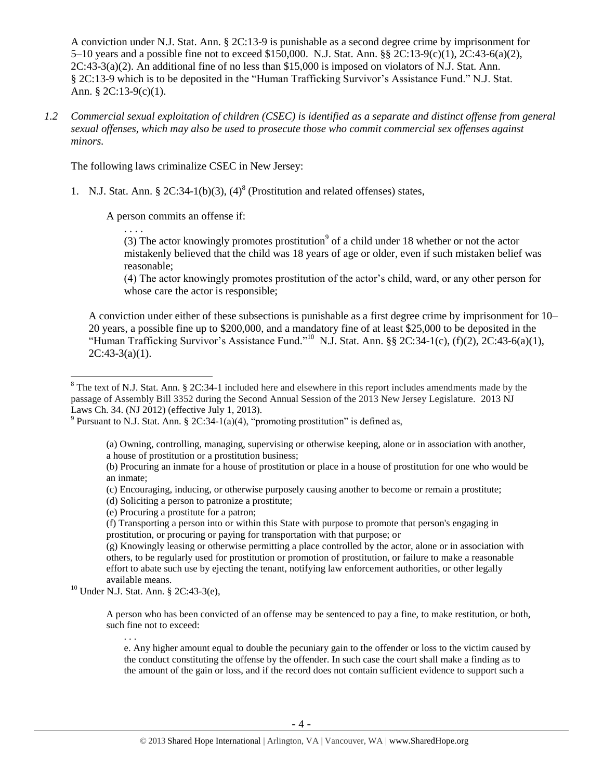A conviction under N.J. Stat. Ann. § 2C:13-9 is punishable as a second degree crime by imprisonment for 5–10 years and a possible fine not to exceed \$150,000. N.J. Stat. Ann. §§ 2C:13-9(c)(1), 2C:43-6(a)(2), 2C:43-3(a)(2). An additional fine of no less than \$15,000 is imposed on violators of N.J. Stat. Ann. § 2C:13-9 which is to be deposited in the "Human Trafficking Survivor's Assistance Fund." N.J. Stat. Ann. § 2C:13-9(c)(1).

*1.2 Commercial sexual exploitation of children (CSEC) is identified as a separate and distinct offense from general sexual offenses, which may also be used to prosecute those who commit commercial sex offenses against minors.*

The following laws criminalize CSEC in New Jersey:

1. N.J. Stat. Ann. § 2C:34-1(b)(3),  $(4)^8$  (Prostitution and related offenses) states,

A person commits an offense if:

<span id="page-3-0"></span>. . . .

(3) The actor knowingly promotes prostitution<sup>9</sup> of a child under 18 whether or not the actor mistakenly believed that the child was 18 years of age or older, even if such mistaken belief was reasonable;

(4) The actor knowingly promotes prostitution of the actor's child, ward, or any other person for whose care the actor is responsible;

A conviction under either of these subsections is punishable as a first degree crime by imprisonment for 10– 20 years, a possible fine up to \$200,000, and a mandatory fine of at least \$25,000 to be deposited in the "Human Trafficking Survivor's Assistance Fund." <sup>10</sup> N.J. Stat. Ann. §§ 2C:34-1(c), (f)(2), 2C:43-6(a)(1),  $2C:43-3(a)(1)$ .

(a) Owning, controlling, managing, supervising or otherwise keeping, alone or in association with another, a house of prostitution or a prostitution business;

(c) Encouraging, inducing, or otherwise purposely causing another to become or remain a prostitute;

(d) Soliciting a person to patronize a prostitute;

(e) Procuring a prostitute for a patron;

(f) Transporting a person into or within this State with purpose to promote that person's engaging in prostitution, or procuring or paying for transportation with that purpose; or

(g) Knowingly leasing or otherwise permitting a place controlled by the actor, alone or in association with others, to be regularly used for prostitution or promotion of prostitution, or failure to make a reasonable effort to abate such use by ejecting the tenant, notifying law enforcement authorities, or other legally available means.

<sup>10</sup> Under N.J. Stat. Ann. § 2C:43-3(e),

A person who has been convicted of an offense may be sentenced to pay a fine, to make restitution, or both, such fine not to exceed:

e. Any higher amount equal to double the pecuniary gain to the offender or loss to the victim caused by the conduct constituting the offense by the offender. In such case the court shall make a finding as to the amount of the gain or loss, and if the record does not contain sufficient evidence to support such a

 $\overline{a}$ <sup>8</sup> The text of N.J. Stat. Ann. § 2C:34-1 included here and elsewhere in this report includes amendments made by the passage of Assembly Bill 3352 during the Second Annual Session of the 2013 New Jersey Legislature. 2013 NJ Laws Ch. 34. (NJ 2012) (effective July 1, 2013).

<sup>&</sup>lt;sup>9</sup> Pursuant to N.J. Stat. Ann. § 2C:34-1(a)(4), "promoting prostitution" is defined as,

<sup>(</sup>b) Procuring an inmate for a house of prostitution or place in a house of prostitution for one who would be an inmate;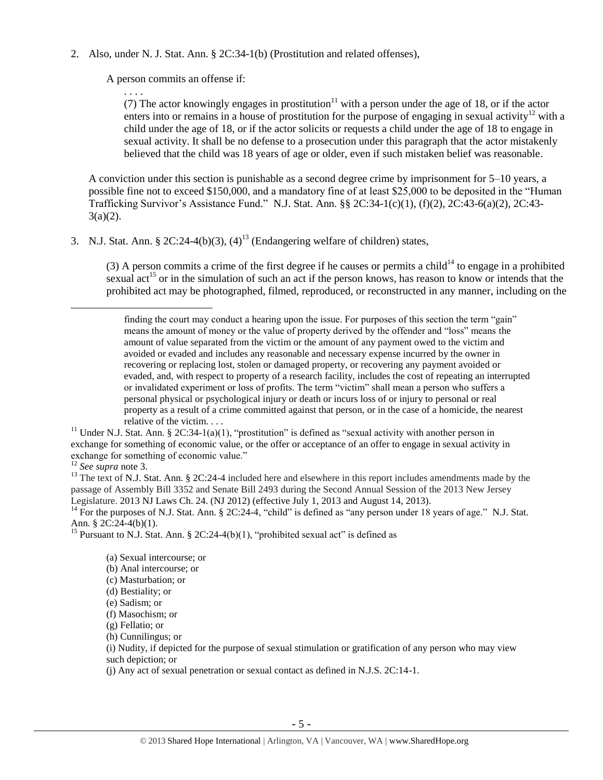2. Also, under N. J. Stat. Ann. § 2C:34-1(b) (Prostitution and related offenses),

A person commits an offense if:

. . . .

(7) The actor knowingly engages in prostitution<sup>11</sup> with a person under the age of 18, or if the actor enters into or remains in a house of prostitution for the purpose of engaging in sexual activity<sup>12</sup> with a child under the age of 18, or if the actor solicits or requests a child under the age of 18 to engage in sexual activity. It shall be no defense to a prosecution under this paragraph that the actor mistakenly believed that the child was 18 years of age or older, even if such mistaken belief was reasonable.

A conviction under this section is punishable as a second degree crime by imprisonment for 5–10 years, a possible fine not to exceed \$150,000, and a mandatory fine of at least \$25,000 to be deposited in the "Human Trafficking Survivor's Assistance Fund." N.J. Stat. Ann. §§ 2C:34-1(c)(1), (f)(2), 2C:43-6(a)(2), 2C:43-  $3(a)(2)$ .

3. N.J. Stat. Ann. § 2C:24-4(b)(3),  $(4)^{13}$  (Endangering welfare of children) states,

<span id="page-4-2"></span><span id="page-4-0"></span>(3) A person commits a crime of the first degree if he causes or permits a child<sup>14</sup> to engage in a prohibited sexual act<sup>15</sup> or in the simulation of such an act if the person knows, has reason to know or intends that the prohibited act may be photographed, filmed, reproduced, or reconstructed in any manner, including on the

<sup>11</sup> Under N.J. Stat. Ann. § 2C:34-1(a)(1), "prostitution" is defined as "sexual activity with another person in exchange for something of economic value, or the offer or acceptance of an offer to engage in sexual activity in exchange for something of economic value."

<sup>12</sup> *See supra* note [3.](#page-1-0)

 $\overline{a}$ 

<sup>15</sup> Pursuant to N.J. Stat. Ann. § 2C:24-4(b)(1), "prohibited sexual act" is defined as

- (a) Sexual intercourse; or
- (b) Anal intercourse; or
- (c) Masturbation; or
- (d) Bestiality; or

(j) Any act of sexual penetration or sexual contact as defined in N.J.S. 2C:14-1.

<span id="page-4-1"></span>finding the court may conduct a hearing upon the issue. For purposes of this section the term "gain" means the amount of money or the value of property derived by the offender and "loss" means the amount of value separated from the victim or the amount of any payment owed to the victim and avoided or evaded and includes any reasonable and necessary expense incurred by the owner in recovering or replacing lost, stolen or damaged property, or recovering any payment avoided or evaded, and, with respect to property of a research facility, includes the cost of repeating an interrupted or invalidated experiment or loss of profits. The term "victim" shall mean a person who suffers a personal physical or psychological injury or death or incurs loss of or injury to personal or real property as a result of a crime committed against that person, or in the case of a homicide, the nearest relative of the victim. . . .

<sup>&</sup>lt;sup>13</sup> The text of N.J. Stat. Ann. § 2C:24-4 included here and elsewhere in this report includes amendments made by the passage of Assembly Bill 3352 and Senate Bill 2493 during the Second Annual Session of the 2013 New Jersey Legislature. 2013 NJ Laws Ch. 24. (NJ 2012) (effective July 1, 2013 and August 14, 2013).

<sup>&</sup>lt;sup>14</sup> For the purposes of N.J. Stat. Ann. § 2C:24-4, "child" is defined as "any person under 18 years of age." N.J. Stat. Ann. § 2C:24-4(b)(1).

<sup>(</sup>e) Sadism; or

<sup>(</sup>f) Masochism; or

<sup>(</sup>g) Fellatio; or

<sup>(</sup>h) Cunnilingus; or

<sup>(</sup>i) Nudity, if depicted for the purpose of sexual stimulation or gratification of any person who may view such depiction; or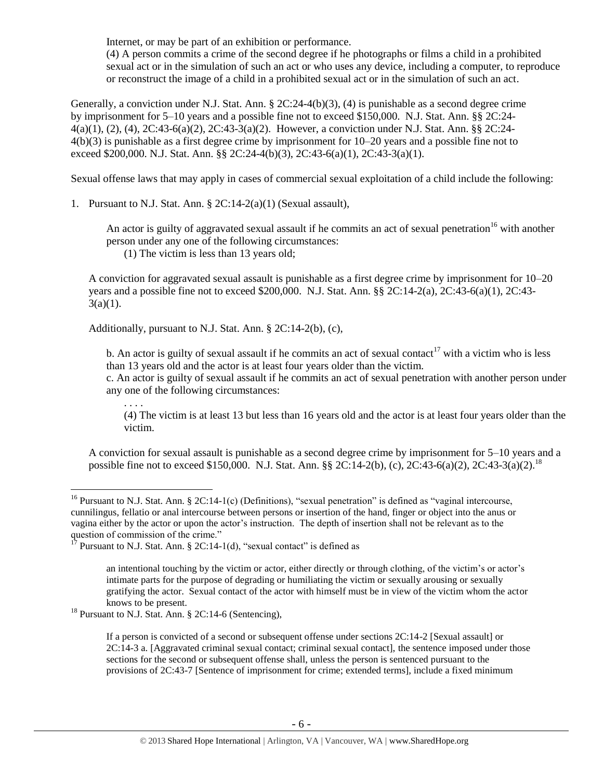Internet, or may be part of an exhibition or performance.

(4) A person commits a crime of the second degree if he photographs or films a child in a prohibited sexual act or in the simulation of such an act or who uses any device, including a computer, to reproduce or reconstruct the image of a child in a prohibited sexual act or in the simulation of such an act.

Generally, a conviction under N.J. Stat. Ann. § 2C:24-4(b)(3), (4) is punishable as a second degree crime by imprisonment for 5–10 years and a possible fine not to exceed \$150,000. N.J. Stat. Ann. §§ 2C:24- 4(a)(1), (2), (4), 2C:43-6(a)(2), 2C:43-3(a)(2). However, a conviction under N.J. Stat. Ann. §§ 2C:24- 4(b)(3) is punishable as a first degree crime by imprisonment for 10–20 years and a possible fine not to exceed \$200,000. N.J. Stat. Ann. §§ 2C:24-4(b)(3), 2C:43-6(a)(1), 2C:43-3(a)(1).

Sexual offense laws that may apply in cases of commercial sexual exploitation of a child include the following:

1. Pursuant to N.J. Stat. Ann. § 2C:14-2(a)(1) (Sexual assault),

An actor is guilty of aggravated sexual assault if he commits an act of sexual penetration<sup>16</sup> with another person under any one of the following circumstances:

<span id="page-5-0"></span>(1) The victim is less than 13 years old;

A conviction for aggravated sexual assault is punishable as a first degree crime by imprisonment for 10–20 years and a possible fine not to exceed \$200,000. N.J. Stat. Ann. §§ 2C:14-2(a), 2C:43-6(a)(1), 2C:43-  $3(a)(1)$ .

Additionally, pursuant to N.J. Stat. Ann. § 2C:14-2(b), (c),

b. An actor is guilty of sexual assault if he commits an act of sexual contact<sup>17</sup> with a victim who is less than 13 years old and the actor is at least four years older than the victim.

c. An actor is guilty of sexual assault if he commits an act of sexual penetration with another person under any one of the following circumstances:

(4) The victim is at least 13 but less than 16 years old and the actor is at least four years older than the victim.

A conviction for sexual assault is punishable as a second degree crime by imprisonment for 5–10 years and a possible fine not to exceed \$150,000. N.J. Stat. Ann. §§ 2C:14-2(b), (c), 2C:43-6(a)(2), 2C:43-3(a)(2).<sup>18</sup>

<span id="page-5-1"></span>. . . .

<sup>&</sup>lt;sup>16</sup> Pursuant to N.J. Stat. Ann. § 2C:14-1(c) (Definitions), "sexual penetration" is defined as "vaginal intercourse, cunnilingus, fellatio or anal intercourse between persons or insertion of the hand, finger or object into the anus or vagina either by the actor or upon the actor's instruction. The depth of insertion shall not be relevant as to the question of commission of the crime."

<sup>&</sup>lt;sup>17</sup> Pursuant to N.J. Stat. Ann. § 2C:14-1(d), "sexual contact" is defined as

an intentional touching by the victim or actor, either directly or through clothing, of the victim's or actor's intimate parts for the purpose of degrading or humiliating the victim or sexually arousing or sexually gratifying the actor. Sexual contact of the actor with himself must be in view of the victim whom the actor knows to be present.

<sup>&</sup>lt;sup>18</sup> Pursuant to N.J. Stat. Ann. § 2C:14-6 (Sentencing),

If a person is convicted of a second or subsequent offense under sections 2C:14-2 [Sexual assault] or 2C:14-3 a. [Aggravated criminal sexual contact; criminal sexual contact], the sentence imposed under those sections for the second or subsequent offense shall, unless the person is sentenced pursuant to the provisions of 2C:43-7 [Sentence of imprisonment for crime; extended terms], include a fixed minimum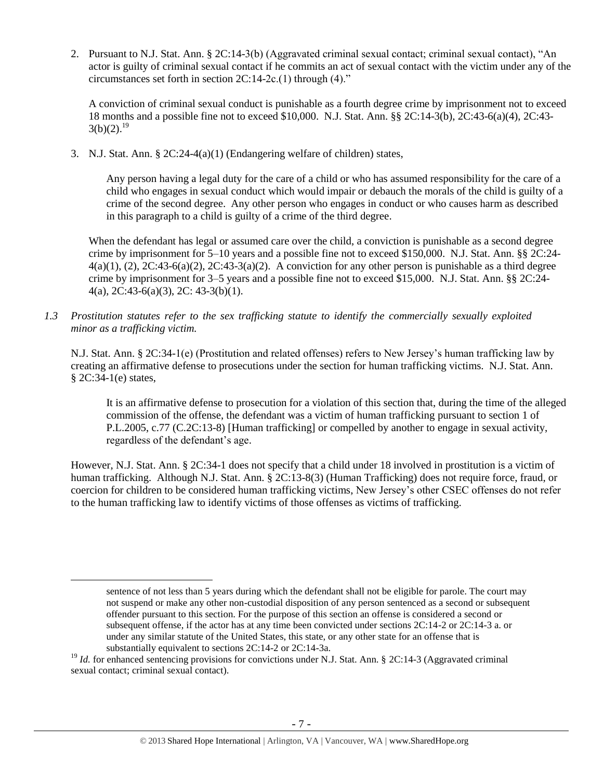2. Pursuant to N.J. Stat. Ann. § 2C:14-3(b) (Aggravated criminal sexual contact; criminal sexual contact), "An actor is guilty of criminal sexual contact if he commits an act of sexual contact with the victim under any of the circumstances set forth in section 2C:14-2c.(1) through (4)."

A conviction of criminal sexual conduct is punishable as a fourth degree crime by imprisonment not to exceed 18 months and a possible fine not to exceed \$10,000. N.J. Stat. Ann. §§ 2C:14-3(b), 2C:43-6(a)(4), 2C:43-  $3(b)(2).^{19}$ 

3. N.J. Stat. Ann. § 2C:24-4(a)(1) (Endangering welfare of children) states,

Any person having a legal duty for the care of a child or who has assumed responsibility for the care of a child who engages in sexual conduct which would impair or debauch the morals of the child is guilty of a crime of the second degree. Any other person who engages in conduct or who causes harm as described in this paragraph to a child is guilty of a crime of the third degree.

When the defendant has legal or assumed care over the child, a conviction is punishable as a second degree crime by imprisonment for 5–10 years and a possible fine not to exceed \$150,000. N.J. Stat. Ann. §§ 2C:24-  $4(a)(1)$ ,  $(2)$ ,  $2C:43-6(a)(2)$ ,  $2C:43-3(a)(2)$ . A conviction for any other person is punishable as a third degree crime by imprisonment for 3–5 years and a possible fine not to exceed \$15,000. N.J. Stat. Ann. §§ 2C:24- 4(a), 2C:43-6(a)(3), 2C: 43-3(b)(1).

*1.3 Prostitution statutes refer to the sex trafficking statute to identify the commercially sexually exploited minor as a trafficking victim.* 

N.J. Stat. Ann. § 2C:34-1(e) (Prostitution and related offenses) refers to New Jersey's human trafficking law by creating an affirmative defense to prosecutions under the section for human trafficking victims. N.J. Stat. Ann. § 2C:34-1(e) states,

It is an affirmative defense to prosecution for a violation of this section that, during the time of the alleged commission of the offense, the defendant was a victim of human trafficking pursuant to section 1 of P.L.2005, c.77 (C.2C:13-8) [Human trafficking] or compelled by another to engage in sexual activity, regardless of the defendant's age.

However, N.J. Stat. Ann. § 2C:34-1 does not specify that a child under 18 involved in prostitution is a victim of human trafficking. Although N.J. Stat. Ann. § 2C:13-8(3) (Human Trafficking) does not require force, fraud, or coercion for children to be considered human trafficking victims, New Jersey's other CSEC offenses do not refer to the human trafficking law to identify victims of those offenses as victims of trafficking.

sentence of not less than 5 years during which the defendant shall not be eligible for parole. The court may not suspend or make any other non-custodial disposition of any person sentenced as a second or subsequent offender pursuant to this section. For the purpose of this section an offense is considered a second or subsequent offense, if the actor has at any time been convicted under sections 2C:14-2 or 2C:14-3 a. or under any similar statute of the United States, this state, or any other state for an offense that is substantially equivalent to sections 2C:14-2 or 2C:14-3a.

<sup>&</sup>lt;sup>19</sup> *Id.* for enhanced sentencing provisions for convictions under N.J. Stat. Ann. § 2C:14-3 (Aggravated criminal sexual contact; criminal sexual contact).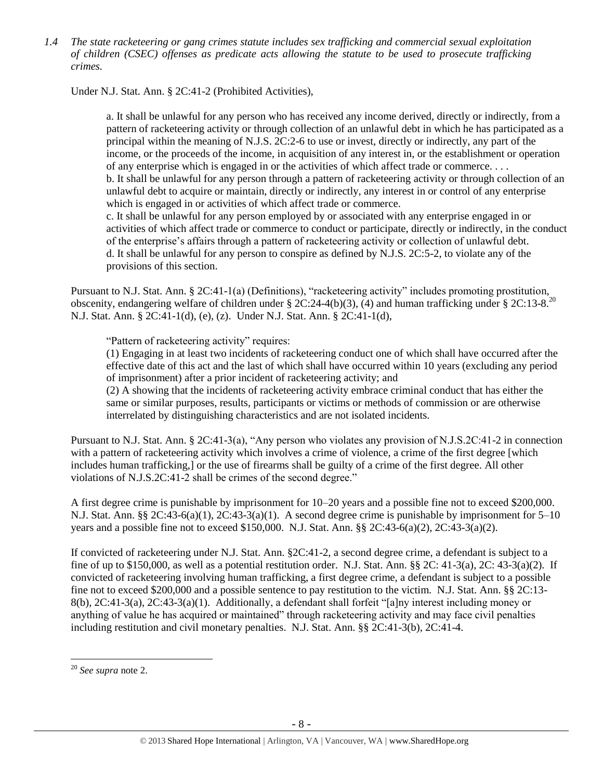*1.4 The state racketeering or gang crimes statute includes sex trafficking and commercial sexual exploitation of children (CSEC) offenses as predicate acts allowing the statute to be used to prosecute trafficking crimes.* 

Under N.J. Stat. Ann. § 2C:41-2 (Prohibited Activities),

a. It shall be unlawful for any person who has received any income derived, directly or indirectly, from a pattern of racketeering activity or through collection of an unlawful debt in which he has participated as a principal within the meaning of N.J.S. 2C:2-6 to use or invest, directly or indirectly, any part of the income, or the proceeds of the income, in acquisition of any interest in, or the establishment or operation of any enterprise which is engaged in or the activities of which affect trade or commerce. . . . b. It shall be unlawful for any person through a pattern of racketeering activity or through collection of an unlawful debt to acquire or maintain, directly or indirectly, any interest in or control of any enterprise which is engaged in or activities of which affect trade or commerce.

c. It shall be unlawful for any person employed by or associated with any enterprise engaged in or activities of which affect trade or commerce to conduct or participate, directly or indirectly, in the conduct of the enterprise's affairs through a pattern of racketeering activity or collection of unlawful debt. d. It shall be unlawful for any person to conspire as defined by N.J.S. 2C:5-2, to violate any of the provisions of this section.

Pursuant to N.J. Stat. Ann. § 2C:41-1(a) (Definitions), "racketeering activity" includes promoting prostitution, obscenity, endangering welfare of children under § 2C:24-4(b)(3), (4) and human trafficking under § 2C:13-8.<sup>20</sup> N.J. Stat. Ann. § 2C:41-1(d), (e), (z). Under N.J. Stat. Ann. § 2C:41-1(d),

"Pattern of racketeering activity" requires:

(1) Engaging in at least two incidents of racketeering conduct one of which shall have occurred after the effective date of this act and the last of which shall have occurred within 10 years (excluding any period of imprisonment) after a prior incident of racketeering activity; and

(2) A showing that the incidents of racketeering activity embrace criminal conduct that has either the same or similar purposes, results, participants or victims or methods of commission or are otherwise interrelated by distinguishing characteristics and are not isolated incidents.

Pursuant to N.J. Stat. Ann. § 2C:41-3(a), "Any person who violates any provision of N.J.S.2C:41-2 in connection with a pattern of racketeering activity which involves a crime of violence, a crime of the first degree [which includes human trafficking,] or the use of firearms shall be guilty of a crime of the first degree. All other violations of N.J.S.2C:41-2 shall be crimes of the second degree."

A first degree crime is punishable by imprisonment for 10–20 years and a possible fine not to exceed \$200,000. N.J. Stat. Ann. §§ 2C:43-6(a)(1), 2C:43-3(a)(1). A second degree crime is punishable by imprisonment for 5–10 years and a possible fine not to exceed \$150,000. N.J. Stat. Ann. §§ 2C:43-6(a)(2), 2C:43-3(a)(2).

If convicted of racketeering under N.J. Stat. Ann. §2C:41-2, a second degree crime, a defendant is subject to a fine of up to \$150,000, as well as a potential restitution order. N.J. Stat. Ann. §§ 2C: 41-3(a), 2C: 43-3(a)(2). If convicted of racketeering involving human trafficking, a first degree crime, a defendant is subject to a possible fine not to exceed \$200,000 and a possible sentence to pay restitution to the victim. N.J. Stat. Ann. §§ 2C:13- 8(b), 2C:41-3(a), 2C:43-3(a)(1). Additionally, a defendant shall forfeit "[a]ny interest including money or anything of value he has acquired or maintained" through racketeering activity and may face civil penalties including restitution and civil monetary penalties. N.J. Stat. Ann. §§ 2C:41-3(b), 2C:41-4.

<sup>20</sup> *See supra* note [2.](#page-0-0)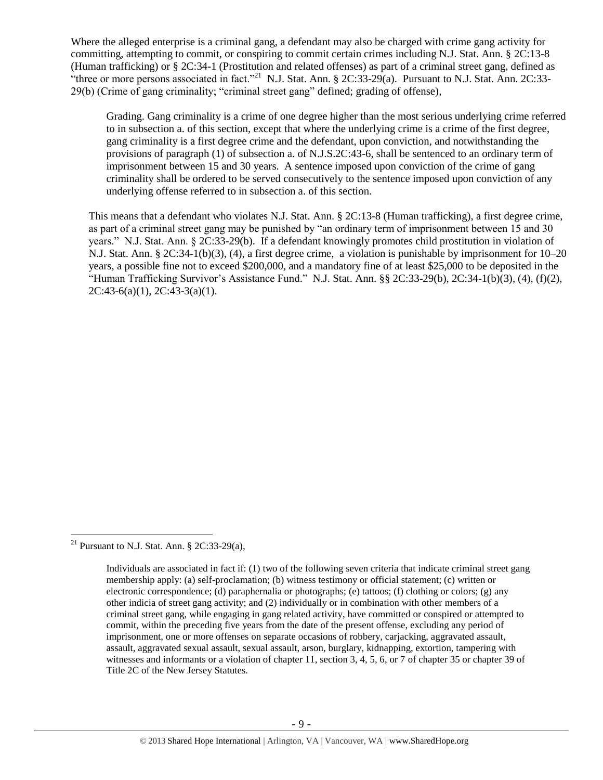Where the alleged enterprise is a criminal gang, a defendant may also be charged with crime gang activity for committing, attempting to commit, or conspiring to commit certain crimes including N.J. Stat. Ann. § 2C:13-8 (Human trafficking) or § 2C:34-1 (Prostitution and related offenses) as part of a criminal street gang, defined as "three or more persons associated in fact."<sup>21</sup> N.J. Stat. Ann. § 2C:33-29(a). Pursuant to N.J. Stat. Ann. 2C:33-29(b) (Crime of gang criminality; "criminal street gang" defined; grading of offense),

Grading. Gang criminality is a crime of one degree higher than the most serious underlying crime referred to in subsection a. of this section, except that where the underlying crime is a crime of the first degree, gang criminality is a first degree crime and the defendant, upon conviction, and notwithstanding the provisions of paragraph (1) of subsection a. of N.J.S.2C:43-6, shall be sentenced to an ordinary term of imprisonment between 15 and 30 years. A sentence imposed upon conviction of the crime of gang criminality shall be ordered to be served consecutively to the sentence imposed upon conviction of any underlying offense referred to in subsection a. of this section.

This means that a defendant who violates N.J. Stat. Ann. § 2C:13-8 (Human trafficking), a first degree crime, as part of a criminal street gang may be punished by "an ordinary term of imprisonment between 15 and 30 years." N.J. Stat. Ann. § 2C:33-29(b). If a defendant knowingly promotes child prostitution in violation of N.J. Stat. Ann. § 2C:34-1(b)(3), (4), a first degree crime, a violation is punishable by imprisonment for 10–20 years, a possible fine not to exceed \$200,000, and a mandatory fine of at least \$25,000 to be deposited in the "Human Trafficking Survivor's Assistance Fund." N.J. Stat. Ann. §§ 2C:33-29(b), 2C:34-1(b)(3), (4), (f)(2),  $2C:43-6(a)(1), 2C:43-3(a)(1).$ 

<sup>&</sup>lt;sup>21</sup> Pursuant to N.J. Stat. Ann. § 2C:33-29(a),

Individuals are associated in fact if: (1) two of the following seven criteria that indicate criminal street gang membership apply: (a) self-proclamation; (b) witness testimony or official statement; (c) written or electronic correspondence; (d) paraphernalia or photographs; (e) tattoos; (f) clothing or colors; (g) any other indicia of street gang activity; and (2) individually or in combination with other members of a criminal street gang, while engaging in gang related activity, have committed or conspired or attempted to commit, within the preceding five years from the date of the present offense, excluding any period of imprisonment, one or more offenses on separate occasions of robbery, carjacking, aggravated assault, assault, aggravated sexual assault, sexual assault, arson, burglary, kidnapping, extortion, tampering with witnesses and informants or a violation of chapter 11, section 3, 4, 5, 6, or 7 of chapter 35 or chapter 39 of Title 2C of the New Jersey Statutes.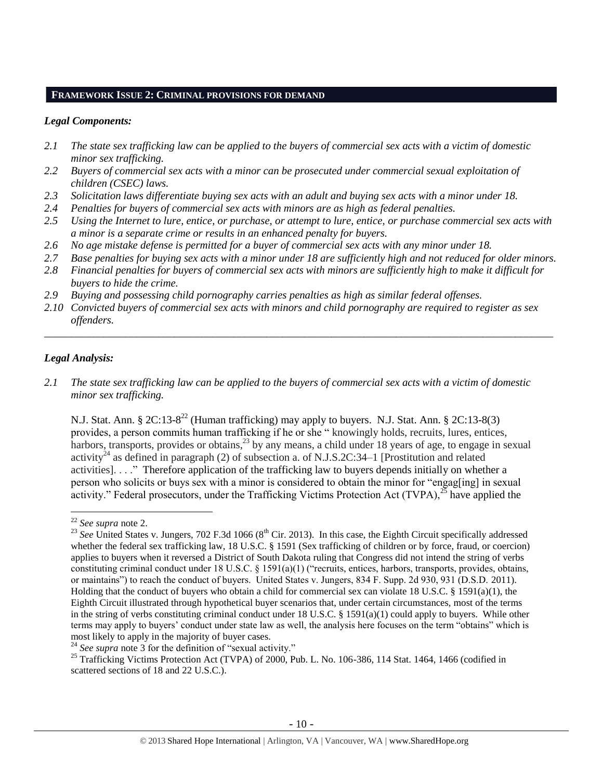#### **FRAMEWORK ISSUE 2: CRIMINAL PROVISIONS FOR DEMAND**

#### *Legal Components:*

- *2.1 The state sex trafficking law can be applied to the buyers of commercial sex acts with a victim of domestic minor sex trafficking.*
- *2.2 Buyers of commercial sex acts with a minor can be prosecuted under commercial sexual exploitation of children (CSEC) laws.*
- *2.3 Solicitation laws differentiate buying sex acts with an adult and buying sex acts with a minor under 18.*
- *2.4 Penalties for buyers of commercial sex acts with minors are as high as federal penalties.*
- *2.5 Using the Internet to lure, entice, or purchase, or attempt to lure, entice, or purchase commercial sex acts with a minor is a separate crime or results in an enhanced penalty for buyers.*
- *2.6 No age mistake defense is permitted for a buyer of commercial sex acts with any minor under 18.*
- *2.7 Base penalties for buying sex acts with a minor under 18 are sufficiently high and not reduced for older minors.*
- *2.8 Financial penalties for buyers of commercial sex acts with minors are sufficiently high to make it difficult for buyers to hide the crime.*
- *2.9 Buying and possessing child pornography carries penalties as high as similar federal offenses.*
- *2.10 Convicted buyers of commercial sex acts with minors and child pornography are required to register as sex offenders.*

\_\_\_\_\_\_\_\_\_\_\_\_\_\_\_\_\_\_\_\_\_\_\_\_\_\_\_\_\_\_\_\_\_\_\_\_\_\_\_\_\_\_\_\_\_\_\_\_\_\_\_\_\_\_\_\_\_\_\_\_\_\_\_\_\_\_\_\_\_\_\_\_\_\_\_\_\_\_\_\_\_\_\_\_\_\_\_\_\_\_\_\_\_\_

## *Legal Analysis:*

 $\overline{a}$ 

*2.1 The state sex trafficking law can be applied to the buyers of commercial sex acts with a victim of domestic minor sex trafficking.*

N.J. Stat. Ann.  $\S 2C:13-8^{22}$  (Human trafficking) may apply to buyers. N.J. Stat. Ann.  $\S 2C:13-8(3)$ provides, a person commits human trafficking if he or she " knowingly holds, recruits, lures, entices, harbors, transports, provides or obtains,<sup>23</sup> by any means, a child under 18 years of age, to engage in sexual activity<sup>24</sup> as defined in paragraph (2) of subsection a. of N.J.S.2C:34–1 [Prostitution and related activities]. . . ." Therefore application of the trafficking law to buyers depends initially on whether a person who solicits or buys sex with a minor is considered to obtain the minor for "engag[ing] in sexual activity." Federal prosecutors, under the Trafficking Victims Protection Act (TVPA),<sup>25</sup> have applied the

<sup>22</sup> *See supra* note [2.](#page-0-0)

<sup>&</sup>lt;sup>23</sup> See United States v. Jungers, 702 F.3d 1066 ( $8<sup>th</sup>$  Cir. 2013). In this case, the Eighth Circuit specifically addressed whether the federal sex trafficking law, 18 U.S.C. § 1591 (Sex trafficking of children or by force, fraud, or coercion) applies to buyers when it reversed a District of South Dakota ruling that Congress did not intend the string of verbs constituting criminal conduct under 18 U.S.C. § 1591(a)(1) ("recruits, entices, harbors, transports, provides, obtains, or maintains") to reach the conduct of buyers. United States v. Jungers, 834 F. Supp. 2d 930, 931 (D.S.D. 2011). Holding that the conduct of buyers who obtain a child for commercial sex can violate 18 U.S.C. § 1591(a)(1), the Eighth Circuit illustrated through hypothetical buyer scenarios that, under certain circumstances, most of the terms in the string of verbs constituting criminal conduct under 18 U.S.C. § 1591(a)(1) could apply to buyers. While other terms may apply to buyers' conduct under state law as well, the analysis here focuses on the term "obtains" which is most likely to apply in the majority of buyer cases.

<sup>&</sup>lt;sup>24</sup> See supra note [3](#page-1-0) for the definition of "sexual activity."

<sup>&</sup>lt;sup>25</sup> Trafficking Victims Protection Act (TVPA) of 2000, Pub. L. No. 106-386, 114 Stat. 1464, 1466 (codified in scattered sections of 18 and 22 U.S.C.).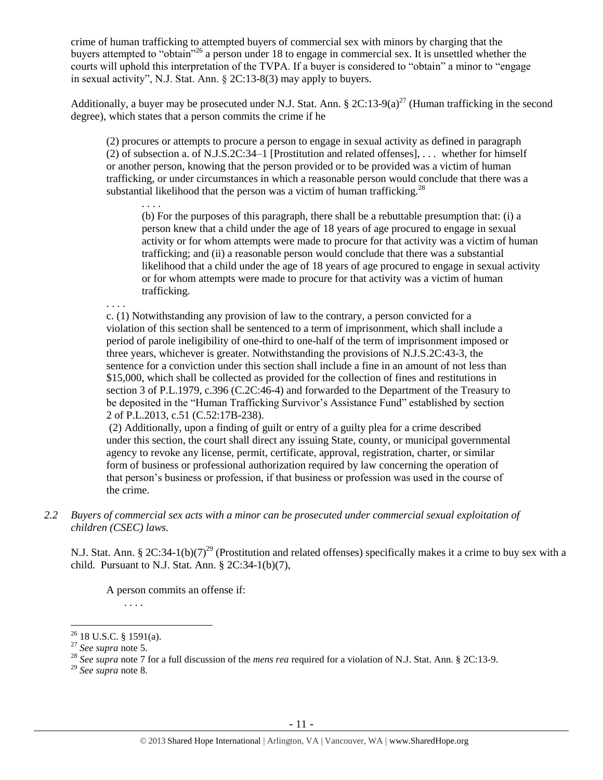crime of human trafficking to attempted buyers of commercial sex with minors by charging that the buyers attempted to "obtain"<sup>26</sup> a person under 18 to engage in commercial sex. It is unsettled whether the courts will uphold this interpretation of the TVPA. If a buyer is considered to "obtain" a minor to "engage in sexual activity", N.J. Stat. Ann. § 2C:13-8(3) may apply to buyers.

Additionally, a buyer may be prosecuted under N.J. Stat. Ann. § 2C:13-9(a)<sup>27</sup> (Human trafficking in the second degree), which states that a person commits the crime if he

(2) procures or attempts to procure a person to engage in sexual activity as defined in paragraph (2) of subsection a. of N.J.S.2C:34–1 [Prostitution and related offenses], . . . whether for himself or another person, knowing that the person provided or to be provided was a victim of human trafficking, or under circumstances in which a reasonable person would conclude that there was a substantial likelihood that the person was a victim of human trafficking.<sup>28</sup>

. . . . (b) For the purposes of this paragraph, there shall be a rebuttable presumption that: (i) a person knew that a child under the age of 18 years of age procured to engage in sexual activity or for whom attempts were made to procure for that activity was a victim of human trafficking; and (ii) a reasonable person would conclude that there was a substantial likelihood that a child under the age of 18 years of age procured to engage in sexual activity or for whom attempts were made to procure for that activity was a victim of human trafficking.

. . . .

c. (1) Notwithstanding any provision of law to the contrary, a person convicted for a violation of this section shall be sentenced to a term of imprisonment, which shall include a period of parole ineligibility of one-third to one-half of the term of imprisonment imposed or three years, whichever is greater. Notwithstanding the provisions of N.J.S.2C:43-3, the sentence for a conviction under this section shall include a fine in an amount of not less than \$15,000, which shall be collected as provided for the collection of fines and restitutions in section 3 of P.L.1979, c.396 (C.2C:46-4) and forwarded to the Department of the Treasury to be deposited in the "Human Trafficking Survivor's Assistance Fund" established by section 2 of P.L.2013, c.51 (C.52:17B-238).

(2) Additionally, upon a finding of guilt or entry of a guilty plea for a crime described under this section, the court shall direct any issuing State, county, or municipal governmental agency to revoke any license, permit, certificate, approval, registration, charter, or similar form of business or professional authorization required by law concerning the operation of that person's business or profession, if that business or profession was used in the course of the crime.

*2.2 Buyers of commercial sex acts with a minor can be prosecuted under commercial sexual exploitation of children (CSEC) laws.*

N.J. Stat. Ann. § 2C:34-1(b)(7)<sup>29</sup> (Prostitution and related offenses) specifically makes it a crime to buy sex with a child. Pursuant to N.J. Stat. Ann.  $\S 2C:34-1(b)(7)$ ,

A person commits an offense if:

. . . .

 $\overline{a}$ 

<sup>29</sup> *See supra* note [8.](#page-3-0)

 $^{26}$  18 U.S.C. § 1591(a).

<sup>27</sup> *See supra* note [5.](#page-2-0)

<sup>28</sup> *See supra* note [7](#page-2-1) for a full discussion of the *mens rea* required for a violation of N.J. Stat. Ann. § 2C:13-9.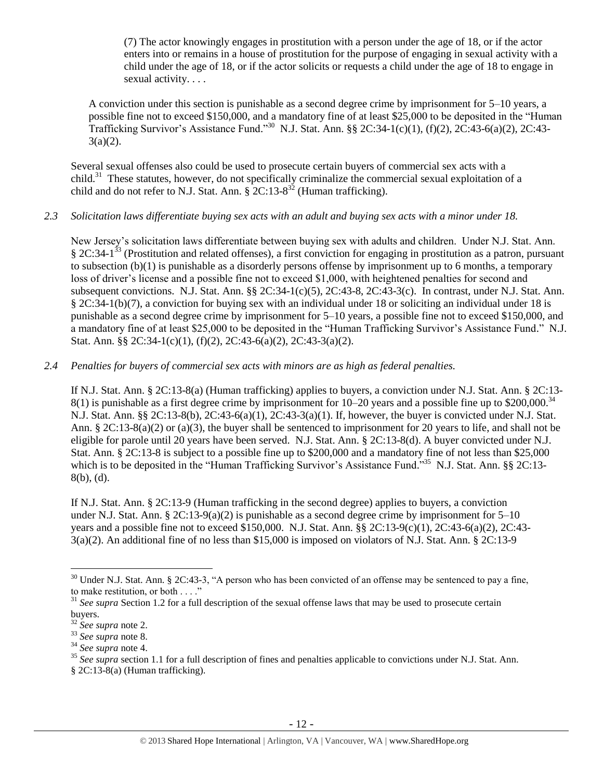(7) The actor knowingly engages in prostitution with a person under the age of 18, or if the actor enters into or remains in a house of prostitution for the purpose of engaging in sexual activity with a child under the age of 18, or if the actor solicits or requests a child under the age of 18 to engage in sexual activity. . . .

A conviction under this section is punishable as a second degree crime by imprisonment for 5–10 years, a possible fine not to exceed \$150,000, and a mandatory fine of at least \$25,000 to be deposited in the "Human Trafficking Survivor's Assistance Fund." <sup>30</sup> N.J. Stat. Ann. §§ 2C:34-1(c)(1), (f)(2), 2C:43-6(a)(2), 2C:43-  $3(a)(2)$ .

Several sexual offenses also could be used to prosecute certain buyers of commercial sex acts with a child.<sup>31</sup> These statutes, however, do not specifically criminalize the commercial sexual exploitation of a child and do not refer to N.J. Stat. Ann.  $\S 2C:13-8^{32}$  (Human trafficking).

#### *2.3 Solicitation laws differentiate buying sex acts with an adult and buying sex acts with a minor under 18.*

New Jersey's solicitation laws differentiate between buying sex with adults and children. Under N.J. Stat. Ann.  $\S 2C:34-1^{33}$  (Prostitution and related offenses), a first conviction for engaging in prostitution as a patron, pursuant to subsection (b)(1) is punishable as a disorderly persons offense by imprisonment up to 6 months, a temporary loss of driver's license and a possible fine not to exceed \$1,000, with heightened penalties for second and subsequent convictions. N.J. Stat. Ann. §§ 2C:34-1(c)(5), 2C:43-8, 2C:43-3(c). In contrast, under N.J. Stat. Ann. § 2C:34-1(b)(7), a conviction for buying sex with an individual under 18 or soliciting an individual under 18 is punishable as a second degree crime by imprisonment for 5–10 years, a possible fine not to exceed \$150,000, and a mandatory fine of at least \$25,000 to be deposited in the "Human Trafficking Survivor's Assistance Fund." N.J. Stat. Ann. §§ 2C:34-1(c)(1), (f)(2), 2C:43-6(a)(2), 2C:43-3(a)(2).

## *2.4 Penalties for buyers of commercial sex acts with minors are as high as federal penalties.*

If N.J. Stat. Ann. § 2C:13-8(a) (Human trafficking) applies to buyers, a conviction under N.J. Stat. Ann. § 2C:13-  $8(1)$  is punishable as a first degree crime by imprisonment for 10–20 years and a possible fine up to \$200,000.<sup>34</sup> N.J. Stat. Ann. §§ 2C:13-8(b), 2C:43-6(a)(1), 2C:43-3(a)(1). If, however, the buyer is convicted under N.J. Stat. Ann. § 2C:13-8(a)(2) or (a)(3), the buyer shall be sentenced to imprisonment for 20 years to life, and shall not be eligible for parole until 20 years have been served. N.J. Stat. Ann. § 2C:13-8(d). A buyer convicted under N.J. Stat. Ann. § 2C:13-8 is subject to a possible fine up to \$200,000 and a mandatory fine of not less than \$25,000 which is to be deposited in the "Human Trafficking Survivor's Assistance Fund."<sup>35</sup> N.J. Stat. Ann. §§ 2C:13-8(b), (d).

If N.J. Stat. Ann. § 2C:13-9 (Human trafficking in the second degree) applies to buyers, a conviction under N.J. Stat. Ann. § 2C:13-9(a)(2) is punishable as a second degree crime by imprisonment for  $5-10$ years and a possible fine not to exceed \$150,000. N.J. Stat. Ann. §§ 2C:13-9(c)(1), 2C:43-6(a)(2), 2C:43- 3(a)(2). An additional fine of no less than \$15,000 is imposed on violators of N.J. Stat. Ann. § 2C:13-9

<sup>&</sup>lt;sup>30</sup> Under N.J. Stat. Ann. § 2C:43-3, "A person who has been convicted of an offense may be sentenced to pay a fine, to make restitution, or both . . . ."

<sup>&</sup>lt;sup>31</sup> *See supra* Section 1.2 for a full description of the sexual offense laws that may be used to prosecute certain buyers.

<sup>32</sup> *See supra* note [2.](#page-0-0)

<sup>33</sup> *See supra* note [8.](#page-3-0)

<sup>34</sup> *See supra* note [4.](#page-1-1)

<sup>35</sup> *See supra* section 1.1 for a full description of fines and penalties applicable to convictions under N.J. Stat. Ann.

<sup>§</sup> 2C:13-8(a) (Human trafficking).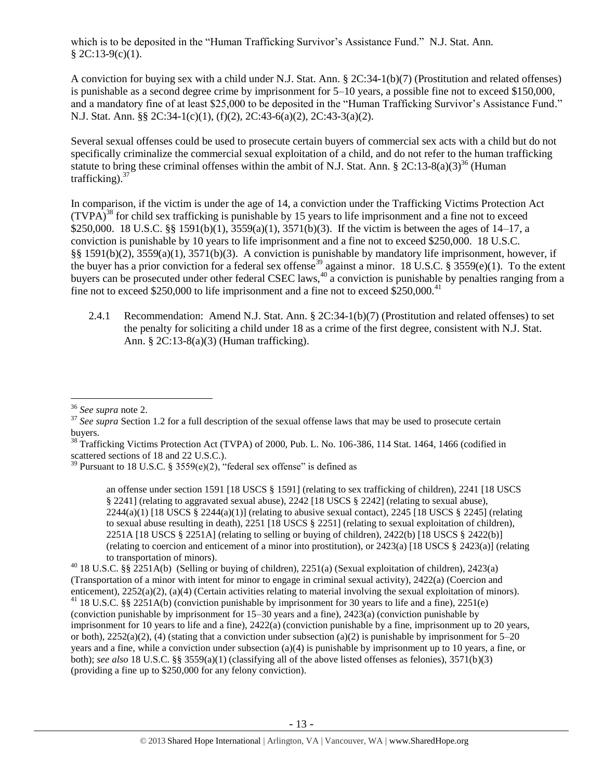which is to be deposited in the "Human Trafficking Survivor's Assistance Fund." N.J. Stat. Ann.  $$2C:13-9(c)(1).$ 

A conviction for buying sex with a child under N.J. Stat. Ann. § 2C:34-1(b)(7) (Prostitution and related offenses) is punishable as a second degree crime by imprisonment for 5–10 years, a possible fine not to exceed \$150,000, and a mandatory fine of at least \$25,000 to be deposited in the "Human Trafficking Survivor's Assistance Fund." N.J. Stat. Ann. §§ 2C:34-1(c)(1), (f)(2), 2C:43-6(a)(2), 2C:43-3(a)(2).

Several sexual offenses could be used to prosecute certain buyers of commercial sex acts with a child but do not specifically criminalize the commercial sexual exploitation of a child, and do not refer to the human trafficking statute to bring these criminal offenses within the ambit of N.J. Stat. Ann. § 2C:13-8(a)(3)<sup>36</sup> (Human trafficking). $37$ 

<span id="page-12-0"></span>In comparison, if the victim is under the age of 14, a conviction under the Trafficking Victims Protection Act  $(TVPA)<sup>38</sup>$  for child sex trafficking is punishable by 15 years to life imprisonment and a fine not to exceed \$250,000. 18 U.S.C. §§ 1591(b)(1), 3559(a)(1), 3571(b)(3). If the victim is between the ages of 14–17, a conviction is punishable by 10 years to life imprisonment and a fine not to exceed \$250,000. 18 U.S.C. §§ 1591(b)(2), 3559(a)(1), 3571(b)(3). A conviction is punishable by mandatory life imprisonment, however, if the buyer has a prior conviction for a federal sex offense<sup>39</sup> against a minor. 18 U.S.C. § 3559(e)(1). To the extent buyers can be prosecuted under other federal CSEC laws,  $40$  a conviction is punishable by penalties ranging from a fine not to exceed \$250,000 to life imprisonment and a fine not to exceed  $$250,000$ .<sup>41</sup>

<span id="page-12-1"></span>2.4.1 Recommendation: Amend N.J. Stat. Ann. § 2C:34-1(b)(7) (Prostitution and related offenses) to set the penalty for soliciting a child under 18 as a crime of the first degree, consistent with N.J. Stat. Ann. § 2C:13-8(a)(3) (Human trafficking).

an offense under section 1591 [18 USCS § 1591] (relating to sex trafficking of children), 2241 [18 USCS § 2241] (relating to aggravated sexual abuse), 2242 [18 USCS § 2242] (relating to sexual abuse),  $2244(a)(1)$  [18 USCS §  $2244(a)(1)$ ] (relating to abusive sexual contact),  $2245$  [18 USCS § 2245] (relating to sexual abuse resulting in death), 2251 [18 USCS § 2251] (relating to sexual exploitation of children), 2251A [18 USCS § 2251A] (relating to selling or buying of children), 2422(b) [18 USCS § 2422(b)] (relating to coercion and enticement of a minor into prostitution), or 2423(a) [18 USCS § 2423(a)] (relating to transportation of minors).

<sup>40</sup> 18 U.S.C. §§ 2251A(b) (Selling or buying of children), 2251(a) (Sexual exploitation of children), 2423(a) (Transportation of a minor with intent for minor to engage in criminal sexual activity), 2422(a) (Coercion and enticement), 2252(a)(2), (a)(4) (Certain activities relating to material involving the sexual exploitation of minors). <sup>41</sup> 18 U.S.C. §§ 2251A(b) (conviction punishable by imprisonment for 30 years to life and a fine), 2251(e)

(conviction punishable by imprisonment for 15–30 years and a fine), 2423(a) (conviction punishable by imprisonment for 10 years to life and a fine), 2422(a) (conviction punishable by a fine, imprisonment up to 20 years, or both),  $2252(a)(2)$ , (4) (stating that a conviction under subsection (a)(2) is punishable by imprisonment for 5–20 years and a fine, while a conviction under subsection (a)(4) is punishable by imprisonment up to 10 years, a fine, or both); *see also* 18 U.S.C. §§ 3559(a)(1) (classifying all of the above listed offenses as felonies), 3571(b)(3) (providing a fine up to \$250,000 for any felony conviction).

 $\overline{a}$ <sup>36</sup> *See supra* note [2.](#page-0-0)

<sup>&</sup>lt;sup>37</sup> See supra Section 1.2 for a full description of the sexual offense laws that may be used to prosecute certain buyers.

<sup>&</sup>lt;sup>38</sup> Trafficking Victims Protection Act (TVPA) of 2000, Pub. L. No. 106-386, 114 Stat. 1464, 1466 (codified in scattered sections of 18 and 22 U.S.C.).

<sup>&</sup>lt;sup>39</sup> Pursuant to 18 U.S.C. § 3559(e)(2), "federal sex offense" is defined as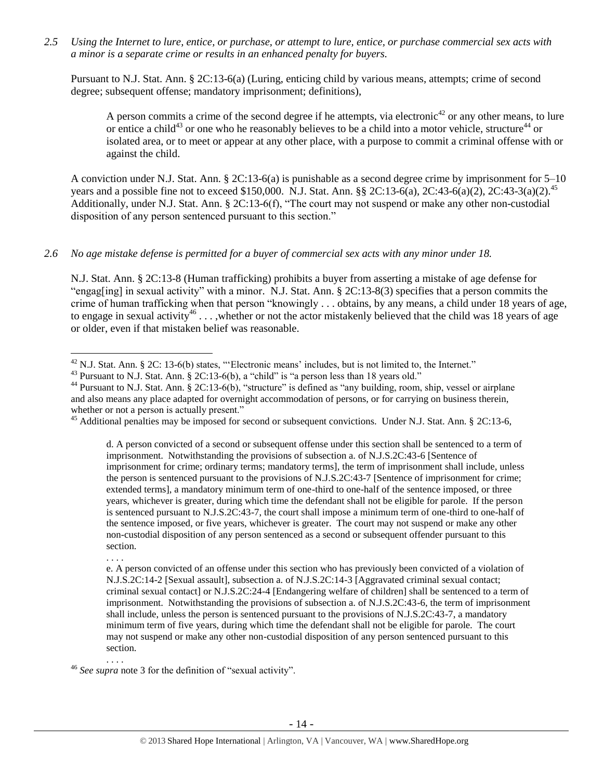*2.5 Using the Internet to lure, entice, or purchase, or attempt to lure, entice, or purchase commercial sex acts with a minor is a separate crime or results in an enhanced penalty for buyers.*

Pursuant to N.J. Stat. Ann. § 2C:13-6(a) (Luring, enticing child by various means, attempts; crime of second degree; subsequent offense; mandatory imprisonment; definitions),

<span id="page-13-0"></span>A person commits a crime of the second degree if he attempts, via electronic<sup>42</sup> or any other means, to lure or entice a child<sup>43</sup> or one who he reasonably believes to be a child into a motor vehicle, structure<sup>44</sup> or isolated area, or to meet or appear at any other place, with a purpose to commit a criminal offense with or against the child.

A conviction under N.J. Stat. Ann. § 2C:13-6(a) is punishable as a second degree crime by imprisonment for 5–10 years and a possible fine not to exceed \$150,000. N.J. Stat. Ann. §§ 2C:13-6(a), 2C:43-6(a)(2), 2C:43-3(a)(2).<sup>45</sup> Additionally, under N.J. Stat. Ann. § 2C:13-6(f), "The court may not suspend or make any other non-custodial disposition of any person sentenced pursuant to this section."

#### *2.6 No age mistake defense is permitted for a buyer of commercial sex acts with any minor under 18.*

N.J. Stat. Ann. § 2C:13-8 (Human trafficking) prohibits a buyer from asserting a mistake of age defense for "engag[ing] in sexual activity" with a minor. N.J. Stat. Ann. § 2C:13-8(3) specifies that a person commits the crime of human trafficking when that person "knowingly . . . obtains, by any means, a child under 18 years of age, to engage in sexual activity<sup>46</sup> . . . ,whether or not the actor mistakenly believed that the child was 18 years of age or older, even if that mistaken belief was reasonable.

<sup>45</sup> Additional penalties may be imposed for second or subsequent convictions. Under N.J. Stat. Ann. § 2C:13-6,

d. A person convicted of a second or subsequent offense under this section shall be sentenced to a term of imprisonment. Notwithstanding the provisions of subsection a. of N.J.S.2C:43-6 [Sentence of imprisonment for crime; ordinary terms; mandatory terms], the term of imprisonment shall include, unless the person is sentenced pursuant to the provisions of N.J.S.2C:43-7 [Sentence of imprisonment for crime; extended terms], a mandatory minimum term of one-third to one-half of the sentence imposed, or three years, whichever is greater, during which time the defendant shall not be eligible for parole. If the person is sentenced pursuant to N.J.S.2C:43-7, the court shall impose a minimum term of one-third to one-half of the sentence imposed, or five years, whichever is greater. The court may not suspend or make any other non-custodial disposition of any person sentenced as a second or subsequent offender pursuant to this section.

. . . .

 $\overline{a}$ 

e. A person convicted of an offense under this section who has previously been convicted of a violation of N.J.S.2C:14-2 [Sexual assault], subsection a. of N.J.S.2C:14-3 [Aggravated criminal sexual contact; criminal sexual contact] or N.J.S.2C:24-4 [Endangering welfare of children] shall be sentenced to a term of imprisonment. Notwithstanding the provisions of subsection a. of N.J.S.2C:43-6, the term of imprisonment shall include, unless the person is sentenced pursuant to the provisions of N.J.S.2C:43-7, a mandatory minimum term of five years, during which time the defendant shall not be eligible for parole. The court may not suspend or make any other non-custodial disposition of any person sentenced pursuant to this section.

. . . . <sup>46</sup> *See supra* note [3](#page-1-0) for the definition of "sexual activity".

 $^{42}$  N.J. Stat. Ann. § 2C: 13-6(b) states, "'Electronic means' includes, but is not limited to, the Internet."

<sup>&</sup>lt;sup>43</sup> Pursuant to N.J. Stat. Ann. § 2C:13-6(b), a "child" is "a person less than 18 years old."

<sup>&</sup>lt;sup>44</sup> Pursuant to N.J. Stat. Ann. § 2C:13-6(b), "structure" is defined as "any building, room, ship, vessel or airplane and also means any place adapted for overnight accommodation of persons, or for carrying on business therein, whether or not a person is actually present."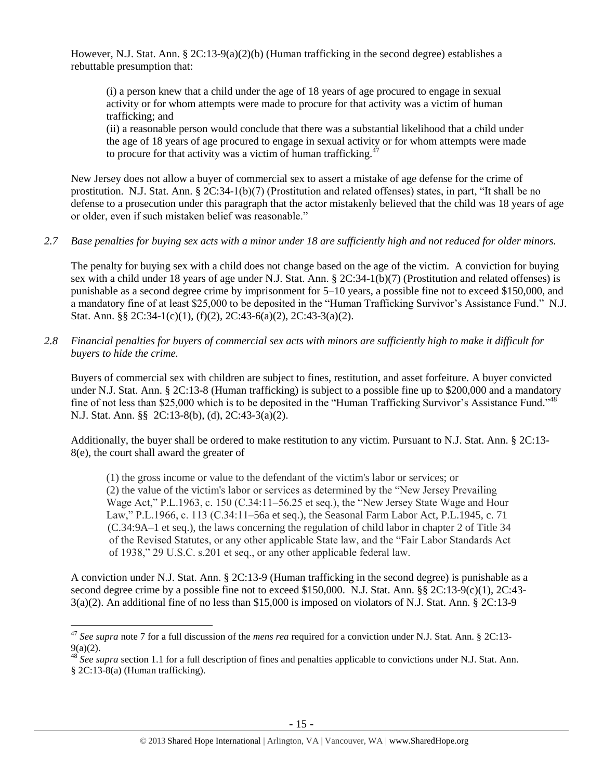However, N.J. Stat. Ann. § 2C:13-9(a)(2)(b) (Human trafficking in the second degree) establishes a rebuttable presumption that:

(i) a person knew that a child under the age of 18 years of age procured to engage in sexual activity or for whom attempts were made to procure for that activity was a victim of human trafficking; and

(ii) a reasonable person would conclude that there was a substantial likelihood that a child under the age of 18 years of age procured to engage in sexual activity or for whom attempts were made to procure for that activity was a victim of human trafficking.<sup>47</sup>

New Jersey does not allow a buyer of commercial sex to assert a mistake of age defense for the crime of prostitution. N.J. Stat. Ann. § 2C:34-1(b)(7) (Prostitution and related offenses) states, in part, "It shall be no defense to a prosecution under this paragraph that the actor mistakenly believed that the child was 18 years of age or older, even if such mistaken belief was reasonable."

*2.7 Base penalties for buying sex acts with a minor under 18 are sufficiently high and not reduced for older minors.*

The penalty for buying sex with a child does not change based on the age of the victim. A conviction for buying sex with a child under 18 years of age under N.J. Stat. Ann. § 2C:34-1(b)(7) (Prostitution and related offenses) is punishable as a second degree crime by imprisonment for 5–10 years, a possible fine not to exceed \$150,000, and a mandatory fine of at least \$25,000 to be deposited in the "Human Trafficking Survivor's Assistance Fund." N.J. Stat. Ann. §§ 2C:34-1(c)(1), (f)(2), 2C:43-6(a)(2), 2C:43-3(a)(2).

*2.8 Financial penalties for buyers of commercial sex acts with minors are sufficiently high to make it difficult for buyers to hide the crime.* 

Buyers of commercial sex with children are subject to fines, restitution, and asset forfeiture. A buyer convicted under N.J. Stat. Ann. § 2C:13-8 (Human trafficking) is subject to a possible fine up to \$200,000 and a mandatory fine of not less than \$25,000 which is to be deposited in the "Human Trafficking Survivor's Assistance Fund."<sup>48</sup> N.J. Stat. Ann. §§ 2C:13-8(b), (d), 2C:43-3(a)(2).

Additionally, the buyer shall be ordered to make restitution to any victim. Pursuant to N.J. Stat. Ann. § 2C:13- 8(e), the court shall award the greater of

(1) the gross income or value to the defendant of the victim's labor or services; or (2) the value of the victim's labor or services as determined by the "New Jersey Prevailing Wage Act," P.L.1963, c. 150 (C.34:11–56.25 et seq.), the "New Jersey State Wage and Hour Law," P.L.1966, c. 113 (C.34:11–56a et seq.), the Seasonal Farm Labor Act, P.L.1945, c. 71 (C.34:9A–1 et seq.), the laws concerning the regulation of child labor in chapter 2 of Title 34 of the Revised Statutes, or any other applicable State law, and the "Fair Labor Standards Act of 1938," 29 U.S.C. s.201 et seq., or any other applicable federal law.

A conviction under N.J. Stat. Ann. § 2C:13-9 (Human trafficking in the second degree) is punishable as a second degree crime by a possible fine not to exceed \$150,000. N.J. Stat. Ann. §§ 2C:13-9(c)(1), 2C:43- 3(a)(2). An additional fine of no less than \$15,000 is imposed on violators of N.J. Stat. Ann. § 2C:13-9

 $\overline{a}$ <sup>47</sup> *See supra* note [7](#page-2-1) for a full discussion of the *mens rea* required for a conviction under N.J. Stat. Ann. § 2C:13-  $9(a)(2)$ .

<sup>48</sup> *See supra* section 1.1 for a full description of fines and penalties applicable to convictions under N.J. Stat. Ann. § 2C:13-8(a) (Human trafficking).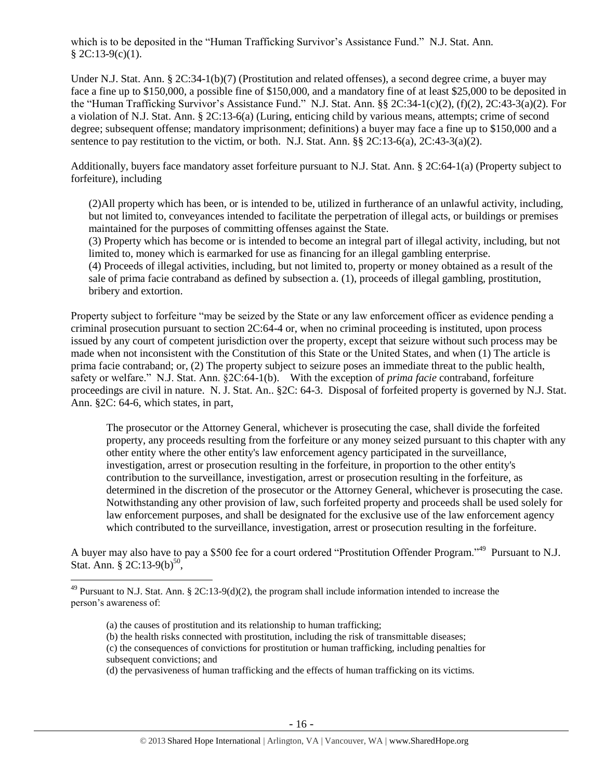which is to be deposited in the "Human Trafficking Survivor's Assistance Fund." N.J. Stat. Ann.  $$2C:13-9(c)(1).$ 

Under N.J. Stat. Ann. § 2C:34-1(b)(7) (Prostitution and related offenses), a second degree crime, a buyer may face a fine up to \$150,000, a possible fine of \$150,000, and a mandatory fine of at least \$25,000 to be deposited in the "Human Trafficking Survivor's Assistance Fund." N.J. Stat. Ann. §§ 2C:34-1(c)(2), (f)(2), 2C:43-3(a)(2). For a violation of N.J. Stat. Ann. § 2C:13-6(a) (Luring, enticing child by various means, attempts; crime of second degree; subsequent offense; mandatory imprisonment; definitions) a buyer may face a fine up to \$150,000 and a sentence to pay restitution to the victim, or both. N.J. Stat. Ann. §§ 2C:13-6(a), 2C:43-3(a)(2).

Additionally, buyers face mandatory asset forfeiture pursuant to N.J. Stat. Ann. § 2C:64-1(a) (Property subject to forfeiture), including

(2)All property which has been, or is intended to be, utilized in furtherance of an unlawful activity, including, but not limited to, conveyances intended to facilitate the perpetration of illegal acts, or buildings or premises maintained for the purposes of committing offenses against the State.

(3) Property which has become or is intended to become an integral part of illegal activity, including, but not limited to, money which is earmarked for use as financing for an illegal gambling enterprise.

(4) Proceeds of illegal activities, including, but not limited to, property or money obtained as a result of the sale of prima facie contraband as defined by subsection a. (1), proceeds of illegal gambling, prostitution, bribery and extortion.

Property subject to forfeiture "may be seized by the State or any law enforcement officer as evidence pending a criminal prosecution pursuant to section 2C:64-4 or, when no criminal proceeding is instituted, upon process issued by any court of competent jurisdiction over the property, except that seizure without such process may be made when not inconsistent with the Constitution of this State or the United States, and when (1) The article is prima facie contraband; or, (2) The property subject to seizure poses an immediate threat to the public health, safety or welfare." N.J. Stat. Ann. §2C:64-1(b). With the exception of *prima facie* contraband, forfeiture proceedings are civil in nature. N. J. Stat. An.. §2C: 64-3. Disposal of forfeited property is governed by N.J. Stat. Ann. §2C: 64-6, which states, in part,

The prosecutor or the Attorney General, whichever is prosecuting the case, shall divide the forfeited property, any proceeds resulting from the forfeiture or any money seized pursuant to this chapter with any other entity where the other entity's law enforcement agency participated in the surveillance, investigation, arrest or prosecution resulting in the forfeiture, in proportion to the other entity's contribution to the surveillance, investigation, arrest or prosecution resulting in the forfeiture, as determined in the discretion of the prosecutor or the Attorney General, whichever is prosecuting the case. Notwithstanding any other provision of law, such forfeited property and proceeds shall be used solely for law enforcement purposes, and shall be designated for the exclusive use of the law enforcement agency which contributed to the surveillance, investigation, arrest or prosecution resulting in the forfeiture.

A buyer may also have to pay a \$500 fee for a court ordered "Prostitution Offender Program."<sup>49</sup> Pursuant to N.J. Stat. Ann.  $\S 2C:13-9(b)^{50}$ ,

 $49$  Pursuant to N.J. Stat. Ann. § 2C:13-9(d)(2), the program shall include information intended to increase the person's awareness of:

<sup>(</sup>a) the causes of prostitution and its relationship to human trafficking;

<sup>(</sup>b) the health risks connected with prostitution, including the risk of transmittable diseases;

<sup>(</sup>c) the consequences of convictions for prostitution or human trafficking, including penalties for subsequent convictions; and

<sup>(</sup>d) the pervasiveness of human trafficking and the effects of human trafficking on its victims.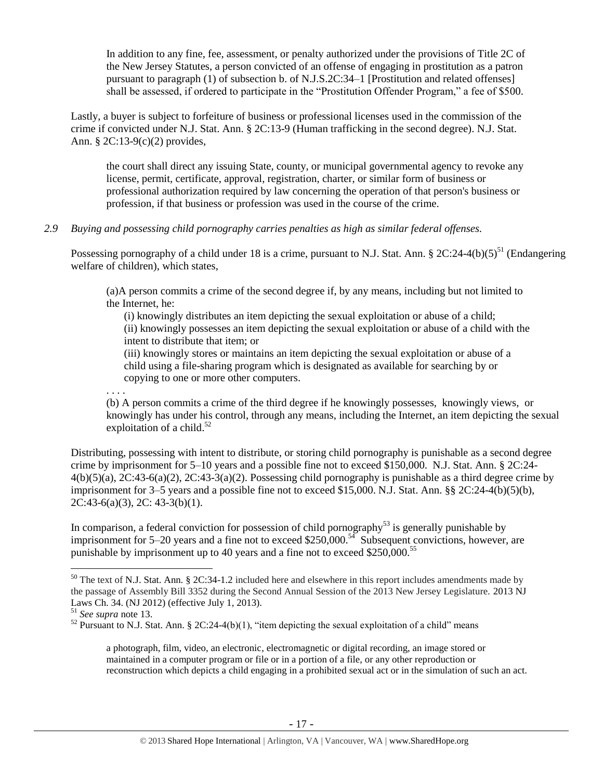In addition to any fine, fee, assessment, or penalty authorized under the provisions of Title 2C of the New Jersey Statutes, a person convicted of an offense of engaging in prostitution as a patron pursuant to paragraph (1) of subsection b. of N.J.S.2C:34–1 [Prostitution and related offenses] shall be assessed, if ordered to participate in the "Prostitution Offender Program," a fee of \$500.

Lastly, a buyer is subject to forfeiture of business or professional licenses used in the commission of the crime if convicted under N.J. Stat. Ann. § 2C:13-9 (Human trafficking in the second degree). N.J. Stat. Ann. § 2C:13-9(c)(2) provides,

the court shall direct any issuing State, county, or municipal governmental agency to revoke any license, permit, certificate, approval, registration, charter, or similar form of business or professional authorization required by law concerning the operation of that person's business or profession, if that business or profession was used in the course of the crime.

#### *2.9 Buying and possessing child pornography carries penalties as high as similar federal offenses.*

Possessing pornography of a child under 18 is a crime, pursuant to N.J. Stat. Ann. §  $2C:24-4(b)(5)^{51}$  (Endangering welfare of children), which states,

(a)A person commits a crime of the second degree if, by any means, including but not limited to the Internet, he:

(i) knowingly distributes an item depicting the sexual exploitation or abuse of a child; (ii) knowingly possesses an item depicting the sexual exploitation or abuse of a child with the intent to distribute that item; or

(iii) knowingly stores or maintains an item depicting the sexual exploitation or abuse of a child using a file-sharing program which is designated as available for searching by or copying to one or more other computers.

. . . .

(b) A person commits a crime of the third degree if he knowingly possesses, knowingly views, or knowingly has under his control, through any means, including the Internet, an item depicting the sexual exploitation of a child.<sup>52</sup>

Distributing, possessing with intent to distribute, or storing child pornography is punishable as a second degree crime by imprisonment for 5–10 years and a possible fine not to exceed \$150,000. N.J. Stat. Ann. § 2C:24-  $4(b)(5)(a)$ ,  $2C:43-6(a)(2)$ ,  $2C:43-3(a)(2)$ . Possessing child pornography is punishable as a third degree crime by imprisonment for  $3-5$  years and a possible fine not to exceed \$15,000. N.J. Stat. Ann. §§  $2C:24-4(b)(5)(b)$ , 2C:43-6(a)(3), 2C: 43-3(b)(1).

In comparison, a federal conviction for possession of child pornography<sup>53</sup> is generally punishable by imprisonment for 5–20 years and a fine not to exceed \$250,000.<sup>54</sup> Subsequent convictions, however, are punishable by imprisonment up to 40 years and a fine not to exceed \$250,000.<sup>55</sup>

 $\overline{a}$ 

a photograph, film, video, an electronic, electromagnetic or digital recording, an image stored or maintained in a computer program or file or in a portion of a file, or any other reproduction or reconstruction which depicts a child engaging in a prohibited sexual act or in the simulation of such an act.

 $50$  The text of N.J. Stat. Ann. § 2C:34-1.2 included here and elsewhere in this report includes amendments made by the passage of Assembly Bill 3352 during the Second Annual Session of the 2013 New Jersey Legislature. 2013 NJ Laws Ch. 34. (NJ 2012) (effective July 1, 2013).

<sup>51</sup> *See supra* note [13.](#page-4-0)

 $52$  Pursuant to N.J. Stat. Ann. § 2C:24-4(b)(1), "item depicting the sexual exploitation of a child" means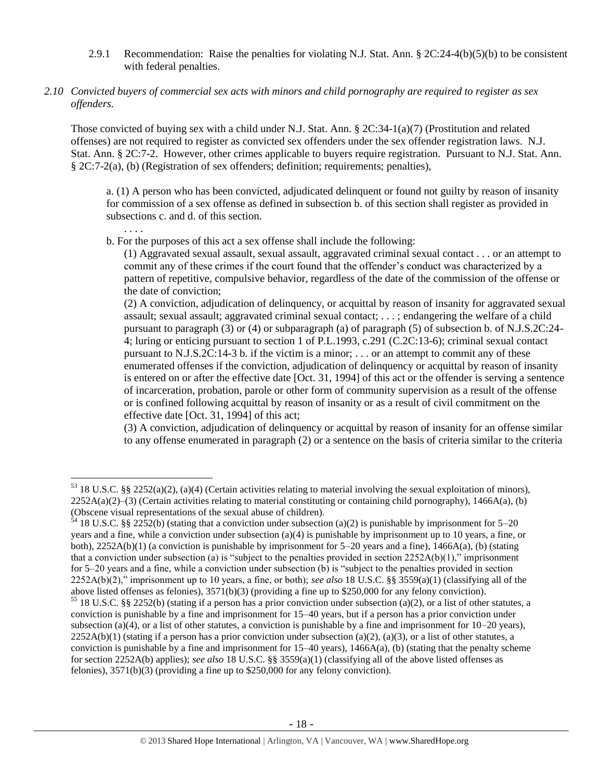2.9.1 Recommendation: Raise the penalties for violating N.J. Stat. Ann. § 2C:24-4(b)(5)(b) to be consistent with federal penalties.

## *2.10 Convicted buyers of commercial sex acts with minors and child pornography are required to register as sex offenders.*

Those convicted of buying sex with a child under N.J. Stat. Ann. § 2C:34-1(a)(7) (Prostitution and related offenses) are not required to register as convicted sex offenders under the sex offender registration laws. N.J. Stat. Ann. § 2C:7-2. However, other crimes applicable to buyers require registration. Pursuant to N.J. Stat. Ann. § 2C:7-2(a), (b) (Registration of sex offenders; definition; requirements; penalties),

a. (1) A person who has been convicted, adjudicated delinquent or found not guilty by reason of insanity for commission of a sex offense as defined in subsection b. of this section shall register as provided in subsections c. and d. of this section.

. . . . b. For the purposes of this act a sex offense shall include the following:

 $\overline{a}$ 

(1) Aggravated sexual assault, sexual assault, aggravated criminal sexual contact . . . or an attempt to commit any of these crimes if the court found that the offender's conduct was characterized by a pattern of repetitive, compulsive behavior, regardless of the date of the commission of the offense or the date of conviction;

(2) A conviction, adjudication of delinquency, or acquittal by reason of insanity for aggravated sexual assault; sexual assault; aggravated criminal sexual contact; . . . ; endangering the welfare of a child pursuant to paragraph (3) or (4) or subparagraph (a) of paragraph (5) of subsection b. of N.J.S.2C:24- 4; luring or enticing pursuant to section 1 of P.L.1993, c.291 (C.2C:13-6); criminal sexual contact pursuant to N.J.S.2C:14-3 b. if the victim is a minor;  $\ldots$  or an attempt to commit any of these enumerated offenses if the conviction, adjudication of delinquency or acquittal by reason of insanity is entered on or after the effective date [Oct. 31, 1994] of this act or the offender is serving a sentence of incarceration, probation, parole or other form of community supervision as a result of the offense or is confined following acquittal by reason of insanity or as a result of civil commitment on the effective date [Oct. 31, 1994] of this act;

(3) A conviction, adjudication of delinquency or acquittal by reason of insanity for an offense similar to any offense enumerated in paragraph (2) or a sentence on the basis of criteria similar to the criteria

<sup>53</sup> 18 U.S.C. §§ 2252(a)(2), (a)(4) (Certain activities relating to material involving the sexual exploitation of minors),  $2252A(a)(2)$ –(3) (Certain activities relating to material constituting or containing child pornography), 1466A(a), (b) (Obscene visual representations of the sexual abuse of children).

<sup>&</sup>lt;sup>54</sup> 18 U.S.C. §§ 2252(b) (stating that a conviction under subsection (a)(2) is punishable by imprisonment for 5–20 years and a fine, while a conviction under subsection (a)(4) is punishable by imprisonment up to 10 years, a fine, or both),  $2252A(b)(1)$  (a conviction is punishable by imprisonment for 5–20 years and a fine),  $1466A(a)$ , (b) (stating that a conviction under subsection (a) is "subject to the penalties provided in section  $2252A(b)(1)$ ," imprisonment for 5–20 years and a fine, while a conviction under subsection (b) is "subject to the penalties provided in section 2252A(b)(2)," imprisonment up to 10 years, a fine, or both); *see also* 18 U.S.C. §§ 3559(a)(1) (classifying all of the above listed offenses as felonies), 3571(b)(3) (providing a fine up to \$250,000 for any felony conviction).

<sup>55</sup> 18 U.S.C. §§ 2252(b) (stating if a person has a prior conviction under subsection (a)(2), or a list of other statutes, a conviction is punishable by a fine and imprisonment for 15–40 years, but if a person has a prior conviction under subsection (a)(4), or a list of other statutes, a conviction is punishable by a fine and imprisonment for  $10-20$  years),  $2252A(b)(1)$  (stating if a person has a prior conviction under subsection (a)(2), (a)(3), or a list of other statutes, a conviction is punishable by a fine and imprisonment for  $15-40$  years),  $1466A(a)$ , (b) (stating that the penalty scheme for section 2252A(b) applies); *see also* 18 U.S.C. §§ 3559(a)(1) (classifying all of the above listed offenses as felonies), 3571(b)(3) (providing a fine up to \$250,000 for any felony conviction).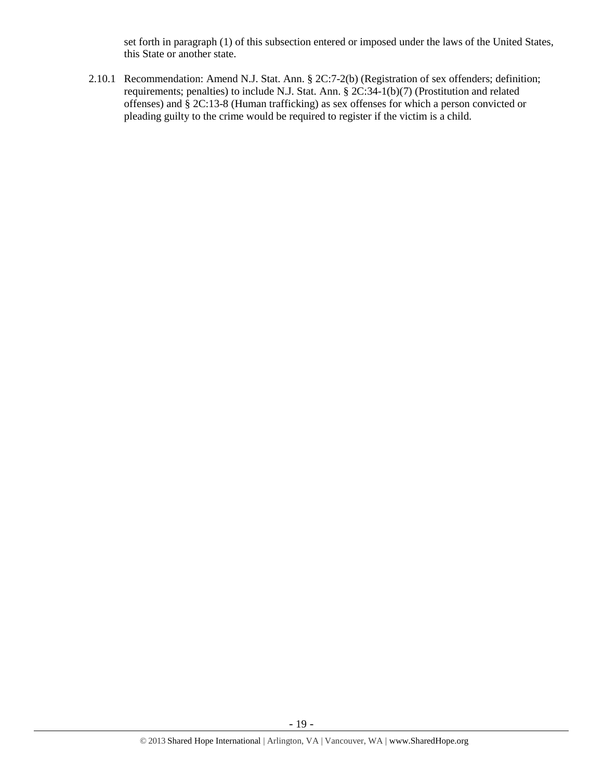set forth in paragraph (1) of this subsection entered or imposed under the laws of the United States, this State or another state.

2.10.1 Recommendation: Amend N.J. Stat. Ann. § 2C:7-2(b) (Registration of sex offenders; definition; requirements; penalties) to include N.J. Stat. Ann. § 2C:34-1(b)(7) (Prostitution and related offenses) and § 2C:13-8 (Human trafficking) as sex offenses for which a person convicted or pleading guilty to the crime would be required to register if the victim is a child.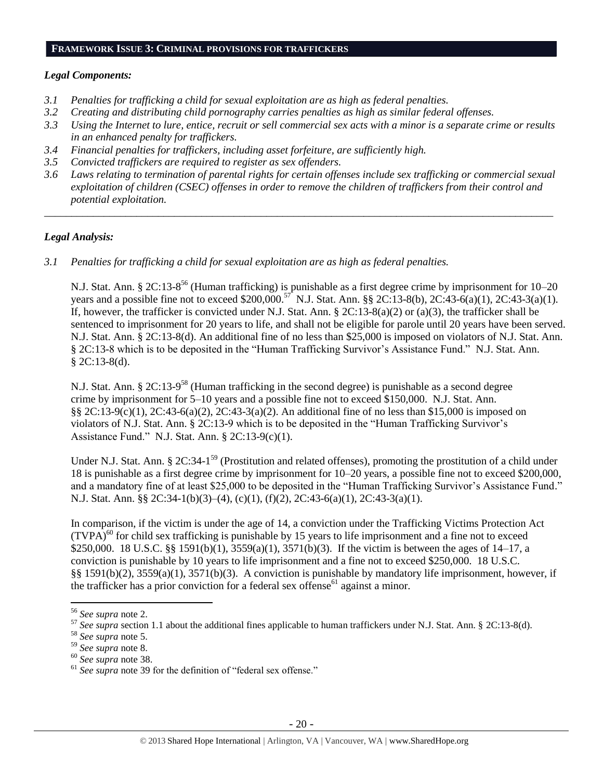#### **FRAMEWORK ISSUE 3: CRIMINAL PROVISIONS FOR TRAFFICKERS**

#### *Legal Components:*

- *3.1 Penalties for trafficking a child for sexual exploitation are as high as federal penalties.*
- *3.2 Creating and distributing child pornography carries penalties as high as similar federal offenses.*
- *3.3 Using the Internet to lure, entice, recruit or sell commercial sex acts with a minor is a separate crime or results in an enhanced penalty for traffickers.*
- *3.4 Financial penalties for traffickers, including asset forfeiture, are sufficiently high.*
- *3.5 Convicted traffickers are required to register as sex offenders.*
- *3.6 Laws relating to termination of parental rights for certain offenses include sex trafficking or commercial sexual exploitation of children (CSEC) offenses in order to remove the children of traffickers from their control and potential exploitation.*

*\_\_\_\_\_\_\_\_\_\_\_\_\_\_\_\_\_\_\_\_\_\_\_\_\_\_\_\_\_\_\_\_\_\_\_\_\_\_\_\_\_\_\_\_\_\_\_\_\_\_\_\_\_\_\_\_\_\_\_\_\_\_\_\_\_\_\_\_\_\_\_\_\_\_\_\_\_\_\_\_\_\_\_\_\_\_\_\_\_\_\_\_\_\_*

#### *Legal Analysis:*

*3.1 Penalties for trafficking a child for sexual exploitation are as high as federal penalties.* 

N.J. Stat. Ann. § 2C:13-8<sup>56</sup> (Human trafficking) is punishable as a first degree crime by imprisonment for 10–20 years and a possible fine not to exceed \$200,000.<sup>57</sup> N.J. Stat. Ann. §§ 2C:13-8(b), 2C:43-6(a)(1), 2C:43-3(a)(1). If, however, the trafficker is convicted under N.J. Stat. Ann.  $\S 2C:13-8(a)(2)$  or (a)(3), the trafficker shall be sentenced to imprisonment for 20 years to life, and shall not be eligible for parole until 20 years have been served. N.J. Stat. Ann. § 2C:13-8(d). An additional fine of no less than \$25,000 is imposed on violators of N.J. Stat. Ann. § 2C:13-8 which is to be deposited in the "Human Trafficking Survivor's Assistance Fund." N.J. Stat. Ann.  $$2C:13-8(d).$ 

N.J. Stat. Ann. § 2C:13-9<sup>58</sup> (Human trafficking in the second degree) is punishable as a second degree crime by imprisonment for 5–10 years and a possible fine not to exceed \$150,000. N.J. Stat. Ann. §§ 2C:13-9(c)(1), 2C:43-6(a)(2), 2C:43-3(a)(2). An additional fine of no less than \$15,000 is imposed on violators of N.J. Stat. Ann. § 2C:13-9 which is to be deposited in the "Human Trafficking Survivor's Assistance Fund." N.J. Stat. Ann. § 2C:13-9(c)(1).

Under N.J. Stat. Ann. § 2C:34-1<sup>59</sup> (Prostitution and related offenses), promoting the prostitution of a child under 18 is punishable as a first degree crime by imprisonment for 10–20 years, a possible fine not to exceed \$200,000, and a mandatory fine of at least \$25,000 to be deposited in the "Human Trafficking Survivor's Assistance Fund." N.J. Stat. Ann. §§ 2C:34-1(b)(3)–(4), (c)(1), (f)(2), 2C:43-6(a)(1), 2C:43-3(a)(1).

In comparison, if the victim is under the age of 14, a conviction under the Trafficking Victims Protection Act  $(TVPA)<sup>60</sup>$  for child sex trafficking is punishable by 15 years to life imprisonment and a fine not to exceed \$250,000. 18 U.S.C. §§ 1591(b)(1),  $3559(a)(1)$ ,  $3571(b)(3)$ . If the victim is between the ages of 14–17, a conviction is punishable by 10 years to life imprisonment and a fine not to exceed \$250,000. 18 U.S.C. §§ 1591(b)(2), 3559(a)(1), 3571(b)(3). A conviction is punishable by mandatory life imprisonment, however, if the trafficker has a prior conviction for a federal sex offense<sup>61</sup> against a minor.

<sup>56</sup> *See supra* note [2.](#page-0-0)

<sup>57</sup> *See supra* section 1.1 about the additional fines applicable to human traffickers under N.J. Stat. Ann. § 2C:13-8(d).

<sup>58</sup> *See supra* note [5.](#page-2-0)

<sup>59</sup> *See supra* note [8.](#page-3-0)

<sup>60</sup> *See supra* note [38.](#page-12-0)

<sup>61</sup> *See supra* note [39](#page-12-1) for the definition of "federal sex offense."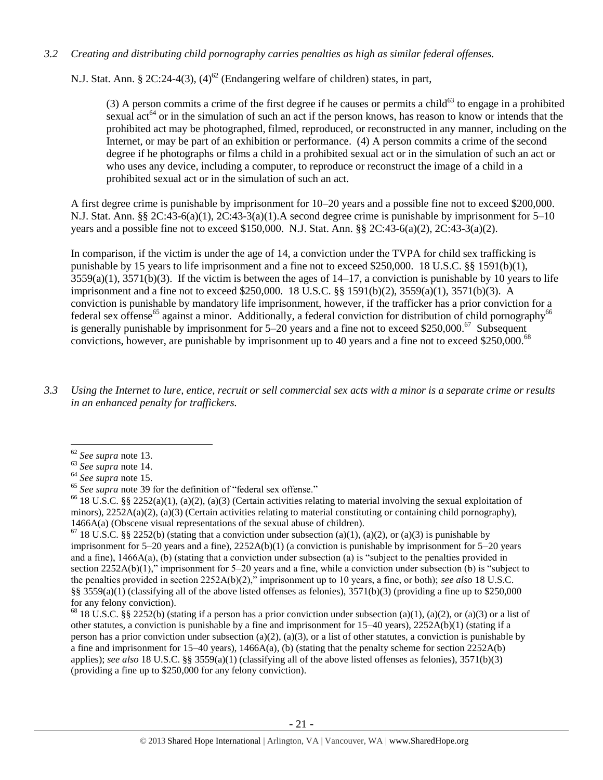## *3.2 Creating and distributing child pornography carries penalties as high as similar federal offenses.*

N.J. Stat. Ann. § 2C:24-4(3),  $(4)^{62}$  (Endangering welfare of children) states, in part,

(3) A person commits a crime of the first degree if he causes or permits a child $^{63}$  to engage in a prohibited sexual act<sup>64</sup> or in the simulation of such an act if the person knows, has reason to know or intends that the prohibited act may be photographed, filmed, reproduced, or reconstructed in any manner, including on the Internet, or may be part of an exhibition or performance. (4) A person commits a crime of the second degree if he photographs or films a child in a prohibited sexual act or in the simulation of such an act or who uses any device, including a computer, to reproduce or reconstruct the image of a child in a prohibited sexual act or in the simulation of such an act.

A first degree crime is punishable by imprisonment for 10–20 years and a possible fine not to exceed \$200,000. N.J. Stat. Ann. §§ 2C:43-6(a)(1), 2C:43-3(a)(1). A second degree crime is punishable by imprisonment for  $5-10$ years and a possible fine not to exceed \$150,000. N.J. Stat. Ann. §§ 2C:43-6(a)(2), 2C:43-3(a)(2).

In comparison, if the victim is under the age of 14, a conviction under the TVPA for child sex trafficking is punishable by 15 years to life imprisonment and a fine not to exceed \$250,000. 18 U.S.C. §§ 1591(b)(1),  $3559(a)(1)$ ,  $3571(b)(3)$ . If the victim is between the ages of  $14-17$ , a conviction is punishable by 10 years to life imprisonment and a fine not to exceed \$250,000. 18 U.S.C. §§ 1591(b)(2), 3559(a)(1), 3571(b)(3). A conviction is punishable by mandatory life imprisonment, however, if the trafficker has a prior conviction for a federal sex offense<sup>65</sup> against a minor. Additionally, a federal conviction for distribution of child pornography<sup>66</sup> is generally punishable by imprisonment for 5–20 years and a fine not to exceed \$250,000.<sup>67</sup> Subsequent convictions, however, are punishable by imprisonment up to 40 years and a fine not to exceed \$250,000.<sup>68</sup>

*3.3 Using the Internet to lure, entice, recruit or sell commercial sex acts with a minor is a separate crime or results in an enhanced penalty for traffickers.*

<sup>62</sup> *See supra* note [13.](#page-4-0)

<sup>63</sup> *See supra* note [14.](#page-4-1)

<sup>64</sup> *See supra* note [15.](#page-4-2)

<sup>65</sup> *See supra* note [39](#page-12-1) for the definition of "federal sex offense."

<sup>&</sup>lt;sup>66</sup> 18 U.S.C. §§ 2252(a)(1), (a)(2), (a)(3) (Certain activities relating to material involving the sexual exploitation of minors),  $2252A(a)(2)$ , (a)(3) (Certain activities relating to material constituting or containing child pornography), 1466A(a) (Obscene visual representations of the sexual abuse of children).

 $67$  18 U.S.C. §§ 2252(b) (stating that a conviction under subsection (a)(1), (a)(2), or (a)(3) is punishable by imprisonment for 5–20 years and a fine), 2252A(b)(1) (a conviction is punishable by imprisonment for 5–20 years and a fine), 1466A(a), (b) (stating that a conviction under subsection (a) is "subject to the penalties provided in section 2252A(b)(1)," imprisonment for 5–20 years and a fine, while a conviction under subsection (b) is "subject to the penalties provided in section 2252A(b)(2)," imprisonment up to 10 years, a fine, or both); *see also* 18 U.S.C. §§ 3559(a)(1) (classifying all of the above listed offenses as felonies),  $3571(b)(3)$  (providing a fine up to \$250,000 for any felony conviction).

<sup>&</sup>lt;sup>68</sup> 18 U.S.C. §§ 2252(b) (stating if a person has a prior conviction under subsection (a)(1), (a)(2), or (a)(3) or a list of other statutes, a conviction is punishable by a fine and imprisonment for 15–40 years), 2252A(b)(1) (stating if a person has a prior conviction under subsection (a)(2), (a)(3), or a list of other statutes, a conviction is punishable by a fine and imprisonment for 15–40 years), 1466A(a), (b) (stating that the penalty scheme for section 2252A(b) applies); *see also* 18 U.S.C. §§ 3559(a)(1) (classifying all of the above listed offenses as felonies), 3571(b)(3) (providing a fine up to \$250,000 for any felony conviction).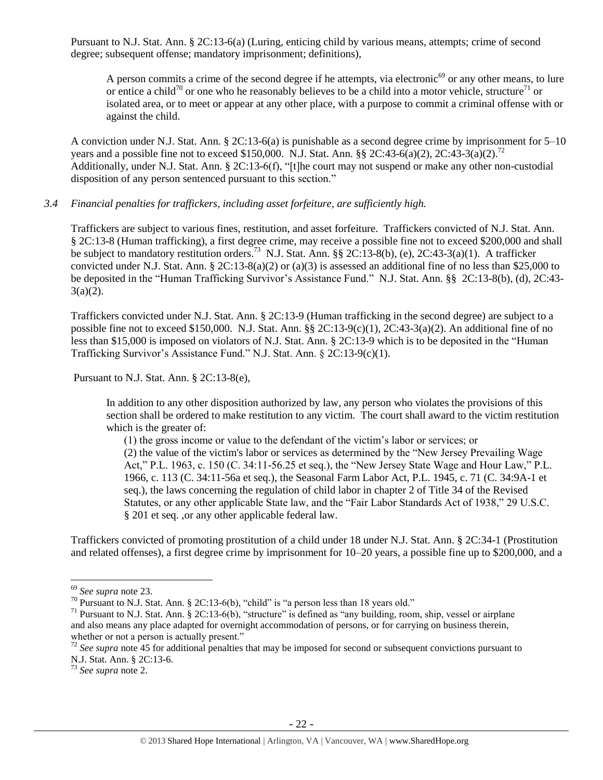Pursuant to N.J. Stat. Ann. § 2C:13-6(a) (Luring, enticing child by various means, attempts; crime of second degree; subsequent offense; mandatory imprisonment; definitions),

A person commits a crime of the second degree if he attempts, via electronic<sup>69</sup> or any other means, to lure or entice a child<sup>70</sup> or one who he reasonably believes to be a child into a motor vehicle, structure<sup>71</sup> or isolated area, or to meet or appear at any other place, with a purpose to commit a criminal offense with or against the child.

A conviction under N.J. Stat. Ann. § 2C:13-6(a) is punishable as a second degree crime by imprisonment for 5–10 years and a possible fine not to exceed \$150,000. N.J. Stat. Ann. §§ 2C:43-6(a)(2), 2C:43-3(a)(2).<sup>72</sup> Additionally, under N.J. Stat. Ann. § 2C:13-6(f), "[t]he court may not suspend or make any other non-custodial disposition of any person sentenced pursuant to this section."

## *3.4 Financial penalties for traffickers, including asset forfeiture, are sufficiently high.*

Traffickers are subject to various fines, restitution, and asset forfeiture. Traffickers convicted of N.J. Stat. Ann. § 2C:13-8 (Human trafficking), a first degree crime, may receive a possible fine not to exceed \$200,000 and shall be subject to mandatory restitution orders.<sup>73</sup> N.J. Stat. Ann. §§ 2C:13-8(b), (e), 2C:43-3(a)(1). A trafficker convicted under N.J. Stat. Ann. § 2C:13-8(a)(2) or (a)(3) is assessed an additional fine of no less than \$25,000 to be deposited in the "Human Trafficking Survivor's Assistance Fund." N.J. Stat. Ann. §§ 2C:13-8(b), (d), 2C:43-  $3(a)(2)$ .

Traffickers convicted under N.J. Stat. Ann. § 2C:13-9 (Human trafficking in the second degree) are subject to a possible fine not to exceed \$150,000. N.J. Stat. Ann. §§ 2C:13-9(c)(1), 2C:43-3(a)(2). An additional fine of no less than \$15,000 is imposed on violators of N.J. Stat. Ann. § 2C:13-9 which is to be deposited in the "Human Trafficking Survivor's Assistance Fund." N.J. Stat. Ann. § 2C:13-9(c)(1).

Pursuant to N.J. Stat. Ann. § 2C:13-8(e),

In addition to any other disposition authorized by law, any person who violates the provisions of this section shall be ordered to make restitution to any victim. The court shall award to the victim restitution which is the greater of:

(1) the gross income or value to the defendant of the victim's labor or services; or (2) the value of the victim's labor or services as determined by the "New Jersey Prevailing Wage Act," P.L. 1963, c. 150 (C. 34:11-56.25 et seq.), the "New Jersey State Wage and Hour Law," P.L. 1966, c. 113 (C. 34:11-56a et seq.), the Seasonal Farm Labor Act, P.L. 1945, c. 71 (C. 34:9A-1 et seq.), the laws concerning the regulation of child labor in chapter 2 of Title 34 of the Revised Statutes, or any other applicable State law, and the "Fair Labor Standards Act of 1938," 29 U.S.C. § 201 et seq. ,or any other applicable federal law.

Traffickers convicted of promoting prostitution of a child under 18 under N.J. Stat. Ann. § 2C:34-1 (Prostitution and related offenses), a first degree crime by imprisonment for 10–20 years, a possible fine up to \$200,000, and a

<sup>69</sup> *See supra* note 23.

 $70$  Pursuant to N.J. Stat. Ann. § 2C:13-6(b), "child" is "a person less than 18 years old."

<sup>&</sup>lt;sup>71</sup> Pursuant to N.J. Stat. Ann. § 2C:13-6(b), "structure" is defined as "any building, room, ship, vessel or airplane and also means any place adapted for overnight accommodation of persons, or for carrying on business therein, whether or not a person is actually present."

<sup>72</sup> *See supra* note [45](#page-13-0) for additional penalties that may be imposed for second or subsequent convictions pursuant to N.J. Stat. Ann. § 2C:13-6.

<sup>73</sup> *See supra* note [2.](#page-0-0)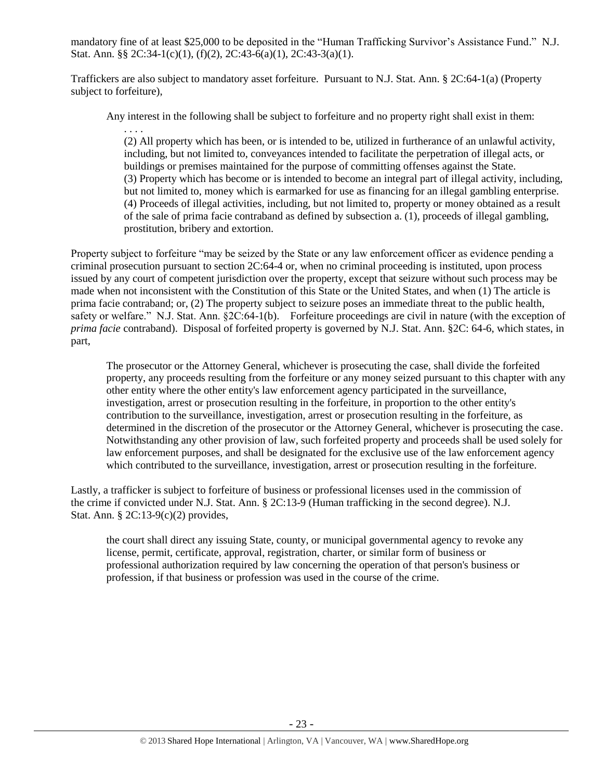mandatory fine of at least \$25,000 to be deposited in the "Human Trafficking Survivor's Assistance Fund." N.J. Stat. Ann. §§ 2C:34-1(c)(1), (f)(2), 2C:43-6(a)(1), 2C:43-3(a)(1).

Traffickers are also subject to mandatory asset forfeiture. Pursuant to N.J. Stat. Ann. § 2C:64-1(a) (Property subject to forfeiture),

Any interest in the following shall be subject to forfeiture and no property right shall exist in them:

. . . .

(2) All property which has been, or is intended to be, utilized in furtherance of an unlawful activity, including, but not limited to, conveyances intended to facilitate the perpetration of illegal acts, or buildings or premises maintained for the purpose of committing offenses against the State. (3) Property which has become or is intended to become an integral part of illegal activity, including, but not limited to, money which is earmarked for use as financing for an illegal gambling enterprise. (4) Proceeds of illegal activities, including, but not limited to, property or money obtained as a result of the sale of prima facie contraband as defined by subsection a. (1), proceeds of illegal gambling, prostitution, bribery and extortion.

Property subject to forfeiture "may be seized by the State or any law enforcement officer as evidence pending a criminal prosecution pursuant to section 2C:64-4 or, when no criminal proceeding is instituted, upon process issued by any court of competent jurisdiction over the property, except that seizure without such process may be made when not inconsistent with the Constitution of this State or the United States, and when (1) The article is prima facie contraband; or, (2) The property subject to seizure poses an immediate threat to the public health, safety or welfare." N.J. Stat. Ann. §2C:64-1(b). Forfeiture proceedings are civil in nature (with the exception of *prima facie* contraband). Disposal of forfeited property is governed by N.J. Stat. Ann. §2C: 64-6, which states, in part,

The prosecutor or the Attorney General, whichever is prosecuting the case, shall divide the forfeited property, any proceeds resulting from the forfeiture or any money seized pursuant to this chapter with any other entity where the other entity's law enforcement agency participated in the surveillance, investigation, arrest or prosecution resulting in the forfeiture, in proportion to the other entity's contribution to the surveillance, investigation, arrest or prosecution resulting in the forfeiture, as determined in the discretion of the prosecutor or the Attorney General, whichever is prosecuting the case. Notwithstanding any other provision of law, such forfeited property and proceeds shall be used solely for law enforcement purposes, and shall be designated for the exclusive use of the law enforcement agency which contributed to the surveillance, investigation, arrest or prosecution resulting in the forfeiture.

Lastly, a trafficker is subject to forfeiture of business or professional licenses used in the commission of the crime if convicted under N.J. Stat. Ann. § 2C:13-9 (Human trafficking in the second degree). N.J. Stat. Ann. § 2C:13-9(c)(2) provides,

the court shall direct any issuing State, county, or municipal governmental agency to revoke any license, permit, certificate, approval, registration, charter, or similar form of business or professional authorization required by law concerning the operation of that person's business or profession, if that business or profession was used in the course of the crime.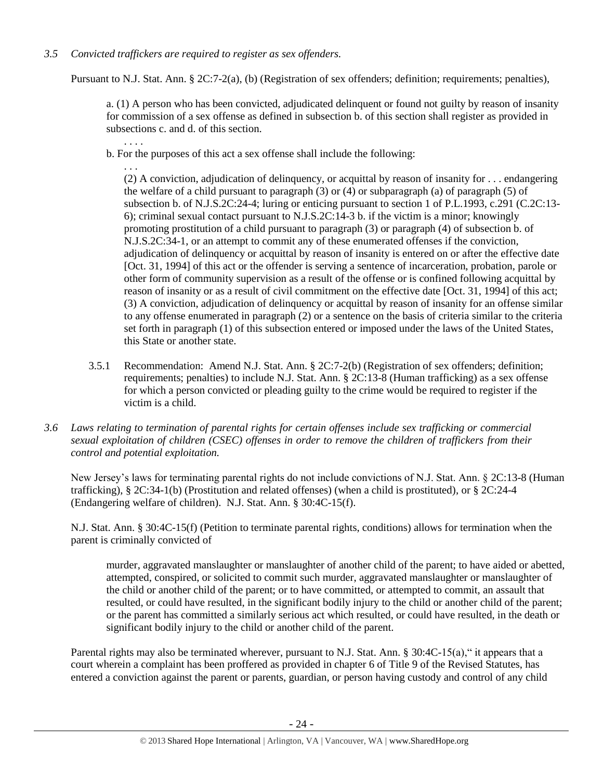# *3.5 Convicted traffickers are required to register as sex offenders.*

Pursuant to N.J. Stat. Ann. § 2C:7-2(a), (b) (Registration of sex offenders; definition; requirements; penalties),

a. (1) A person who has been convicted, adjudicated delinquent or found not guilty by reason of insanity for commission of a sex offense as defined in subsection b. of this section shall register as provided in subsections c. and d. of this section.

. . . . b. For the purposes of this act a sex offense shall include the following:

. . . (2) A conviction, adjudication of delinquency, or acquittal by reason of insanity for . . . endangering the welfare of a child pursuant to paragraph (3) or (4) or subparagraph (a) of paragraph (5) of subsection b. of N.J.S.2C:24-4; luring or enticing pursuant to section 1 of P.L.1993, c.291 (C.2C:13- 6); criminal sexual contact pursuant to N.J.S.2C:14-3 b. if the victim is a minor; knowingly promoting prostitution of a child pursuant to paragraph (3) or paragraph (4) of subsection b. of N.J.S.2C:34-1, or an attempt to commit any of these enumerated offenses if the conviction, adjudication of delinquency or acquittal by reason of insanity is entered on or after the effective date [Oct. 31, 1994] of this act or the offender is serving a sentence of incarceration, probation, parole or other form of community supervision as a result of the offense or is confined following acquittal by reason of insanity or as a result of civil commitment on the effective date [Oct. 31, 1994] of this act; (3) A conviction, adjudication of delinquency or acquittal by reason of insanity for an offense similar to any offense enumerated in paragraph (2) or a sentence on the basis of criteria similar to the criteria set forth in paragraph (1) of this subsection entered or imposed under the laws of the United States, this State or another state.

- 3.5.1 Recommendation: Amend N.J. Stat. Ann. § 2C:7-2(b) (Registration of sex offenders; definition; requirements; penalties) to include N.J. Stat. Ann. § 2C:13-8 (Human trafficking) as a sex offense for which a person convicted or pleading guilty to the crime would be required to register if the victim is a child.
- *3.6 Laws relating to termination of parental rights for certain offenses include sex trafficking or commercial sexual exploitation of children (CSEC) offenses in order to remove the children of traffickers from their control and potential exploitation.*

New Jersey's laws for terminating parental rights do not include convictions of N.J. Stat. Ann. § 2C:13-8 (Human trafficking), § 2C:34-1(b) (Prostitution and related offenses) (when a child is prostituted), or § 2C:24-4 (Endangering welfare of children). N.J. Stat. Ann. § 30:4C-15(f).

N.J. Stat. Ann. § 30:4C-15(f) (Petition to terminate parental rights, conditions) allows for termination when the parent is criminally convicted of

murder, aggravated manslaughter or manslaughter of another child of the parent; to have aided or abetted, attempted, conspired, or solicited to commit such murder, aggravated manslaughter or manslaughter of the child or another child of the parent; or to have committed, or attempted to commit, an assault that resulted, or could have resulted, in the significant bodily injury to the child or another child of the parent; or the parent has committed a similarly serious act which resulted, or could have resulted, in the death or significant bodily injury to the child or another child of the parent.

Parental rights may also be terminated wherever, pursuant to N.J. Stat. Ann. § 30:4C-15(a)," it appears that a court wherein a complaint has been proffered as provided in chapter 6 of Title 9 of the Revised Statutes, has entered a conviction against the parent or parents, guardian, or person having custody and control of any child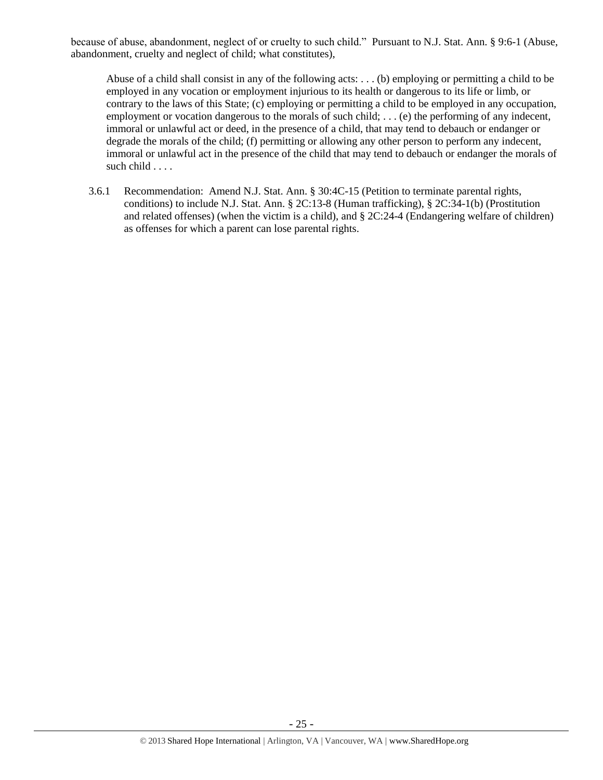because of abuse, abandonment, neglect of or cruelty to such child." Pursuant to N.J. Stat. Ann. § 9:6-1 (Abuse, abandonment, cruelty and neglect of child; what constitutes),

Abuse of a child shall consist in any of the following acts: . . . (b) employing or permitting a child to be employed in any vocation or employment injurious to its health or dangerous to its life or limb, or contrary to the laws of this State; (c) employing or permitting a child to be employed in any occupation, employment or vocation dangerous to the morals of such child; ... (e) the performing of any indecent, immoral or unlawful act or deed, in the presence of a child, that may tend to debauch or endanger or degrade the morals of the child; (f) permitting or allowing any other person to perform any indecent, immoral or unlawful act in the presence of the child that may tend to debauch or endanger the morals of such child . . . .

3.6.1 Recommendation: Amend N.J. Stat. Ann. § 30:4C-15 (Petition to terminate parental rights, conditions) to include N.J. Stat. Ann. § 2C:13-8 (Human trafficking), § 2C:34-1(b) (Prostitution and related offenses) (when the victim is a child), and  $\S 2C:24-4$  (Endangering welfare of children) as offenses for which a parent can lose parental rights.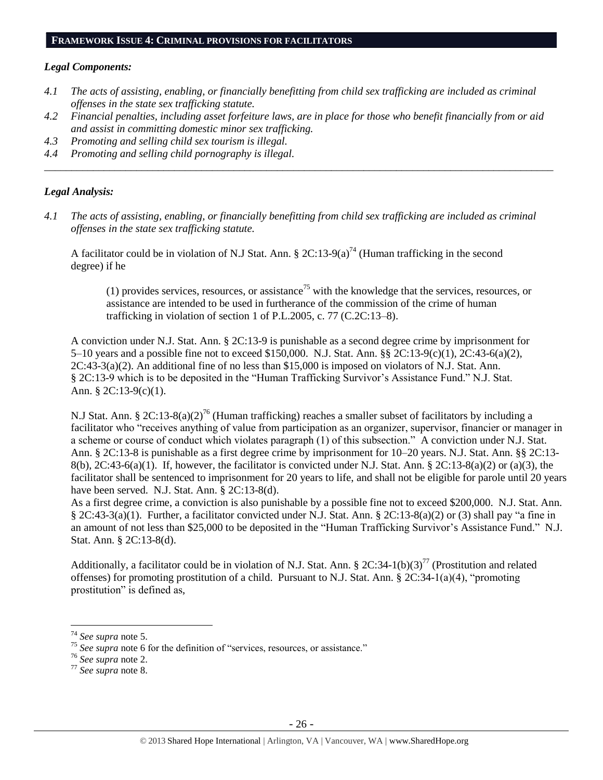## **FRAMEWORK ISSUE 4: CRIMINAL PROVISIONS FOR FACILITATORS**

#### *Legal Components:*

- *4.1 The acts of assisting, enabling, or financially benefitting from child sex trafficking are included as criminal offenses in the state sex trafficking statute.*
- *4.2 Financial penalties, including asset forfeiture laws, are in place for those who benefit financially from or aid and assist in committing domestic minor sex trafficking.*

*\_\_\_\_\_\_\_\_\_\_\_\_\_\_\_\_\_\_\_\_\_\_\_\_\_\_\_\_\_\_\_\_\_\_\_\_\_\_\_\_\_\_\_\_\_\_\_\_\_\_\_\_\_\_\_\_\_\_\_\_\_\_\_\_\_\_\_\_\_\_\_\_\_\_\_\_\_\_\_\_\_\_\_\_\_\_\_\_\_\_\_\_\_\_*

- *4.3 Promoting and selling child sex tourism is illegal.*
- *4.4 Promoting and selling child pornography is illegal.*

#### *Legal Analysis:*

*4.1 The acts of assisting, enabling, or financially benefitting from child sex trafficking are included as criminal offenses in the state sex trafficking statute.*

A facilitator could be in violation of N.J Stat. Ann. § 2C:13-9(a)<sup>74</sup> (Human trafficking in the second degree) if he

(1) provides services, resources, or assistance<sup>75</sup> with the knowledge that the services, resources, or assistance are intended to be used in furtherance of the commission of the crime of human trafficking in violation of section 1 of P.L.2005, c. 77 (C.2C:13–8).

A conviction under N.J. Stat. Ann. § 2C:13-9 is punishable as a second degree crime by imprisonment for 5–10 years and a possible fine not to exceed \$150,000. N.J. Stat. Ann. §§ 2C:13-9(c)(1), 2C:43-6(a)(2), 2C:43-3(a)(2). An additional fine of no less than \$15,000 is imposed on violators of N.J. Stat. Ann. § 2C:13-9 which is to be deposited in the "Human Trafficking Survivor's Assistance Fund." N.J. Stat. Ann. § 2C:13-9(c)(1).

N.J Stat. Ann. § 2C:13-8(a)(2)<sup>76</sup> (Human trafficking) reaches a smaller subset of facilitators by including a facilitator who "receives anything of value from participation as an organizer, supervisor, financier or manager in a scheme or course of conduct which violates paragraph (1) of this subsection." A conviction under N.J. Stat. Ann. § 2C:13-8 is punishable as a first degree crime by imprisonment for 10–20 years. N.J. Stat. Ann. §§ 2C:13- 8(b), 2C:43-6(a)(1). If, however, the facilitator is convicted under N.J. Stat. Ann. § 2C:13-8(a)(2) or (a)(3), the facilitator shall be sentenced to imprisonment for 20 years to life, and shall not be eligible for parole until 20 years have been served. N.J. Stat. Ann. § 2C:13-8(d).

As a first degree crime, a conviction is also punishable by a possible fine not to exceed \$200,000. N.J. Stat. Ann. § 2C:43-3(a)(1). Further, a facilitator convicted under N.J. Stat. Ann. § 2C:13-8(a)(2) or (3) shall pay "a fine in an amount of not less than \$25,000 to be deposited in the "Human Trafficking Survivor's Assistance Fund." N.J. Stat. Ann. § 2C:13-8(d).

Additionally, a facilitator could be in violation of N.J. Stat. Ann. § 2C:34-1(b)(3)<sup>77</sup> (Prostitution and related offenses) for promoting prostitution of a child. Pursuant to N.J. Stat. Ann. § 2C:34-1(a)(4), "promoting prostitution" is defined as,

<sup>74</sup> *See supra* note [5.](#page-2-0)

<sup>&</sup>lt;sup>75</sup> See supra note [6](#page-2-2) for the definition of "services, resources, or assistance."

<sup>76</sup> *See supra* note [2.](#page-0-0)

<sup>77</sup> *See supra* note [8.](#page-3-0)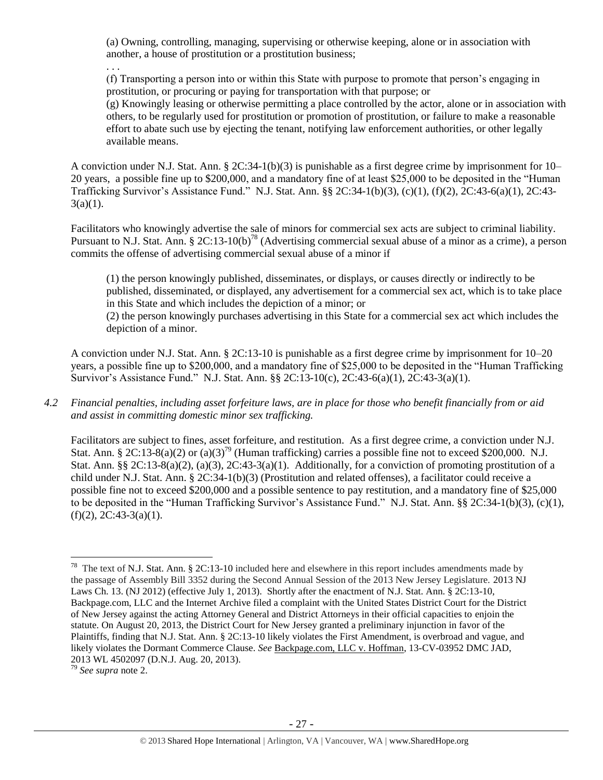(a) Owning, controlling, managing, supervising or otherwise keeping, alone or in association with another, a house of prostitution or a prostitution business;

. . .

(f) Transporting a person into or within this State with purpose to promote that person's engaging in prostitution, or procuring or paying for transportation with that purpose; or

(g) Knowingly leasing or otherwise permitting a place controlled by the actor, alone or in association with others, to be regularly used for prostitution or promotion of prostitution, or failure to make a reasonable effort to abate such use by ejecting the tenant, notifying law enforcement authorities, or other legally available means.

A conviction under N.J. Stat. Ann. § 2C:34-1(b)(3) is punishable as a first degree crime by imprisonment for 10– 20 years, a possible fine up to \$200,000, and a mandatory fine of at least \$25,000 to be deposited in the "Human Trafficking Survivor's Assistance Fund." N.J. Stat. Ann. §§ 2C:34-1(b)(3), (c)(1), (f)(2), 2C:43-6(a)(1), 2C:43-  $3(a)(1)$ .

Facilitators who knowingly advertise the sale of minors for commercial sex acts are subject to criminal liability. Pursuant to N.J. Stat. Ann. § 2C:13-10(b)<sup>78</sup> (Advertising commercial sexual abuse of a minor as a crime), a person commits the offense of advertising commercial sexual abuse of a minor if

(1) the person knowingly published, disseminates, or displays, or causes directly or indirectly to be published, disseminated, or displayed, any advertisement for a commercial sex act, which is to take place in this State and which includes the depiction of a minor; or

(2) the person knowingly purchases advertising in this State for a commercial sex act which includes the depiction of a minor.

A conviction under N.J. Stat. Ann. § 2C:13-10 is punishable as a first degree crime by imprisonment for 10–20 years, a possible fine up to \$200,000, and a mandatory fine of \$25,000 to be deposited in the "Human Trafficking Survivor's Assistance Fund." N.J. Stat. Ann. §§ 2C:13-10(c), 2C:43-6(a)(1), 2C:43-3(a)(1).

*4.2 Financial penalties, including asset forfeiture laws, are in place for those who benefit financially from or aid and assist in committing domestic minor sex trafficking.*

Facilitators are subject to fines, asset forfeiture, and restitution. As a first degree crime, a conviction under N.J. Stat. Ann. § 2C:13-8(a)(2) or (a)(3)<sup>79</sup> (Human trafficking) carries a possible fine not to exceed \$200,000. N.J. Stat. Ann. §§ 2C:13-8(a)(2), (a)(3), 2C:43-3(a)(1). Additionally, for a conviction of promoting prostitution of a child under N.J. Stat. Ann. § 2C:34-1(b)(3) (Prostitution and related offenses), a facilitator could receive a possible fine not to exceed \$200,000 and a possible sentence to pay restitution, and a mandatory fine of \$25,000 to be deposited in the "Human Trafficking Survivor's Assistance Fund." N.J. Stat. Ann. §§ 2C:34-1(b)(3), (c)(1),  $(f)(2)$ , 2C:43-3(a)(1).

 $\overline{a}$ <sup>78</sup> The text of N.J. Stat. Ann. § 2C:13-10 included here and elsewhere in this report includes amendments made by the passage of Assembly Bill 3352 during the Second Annual Session of the 2013 New Jersey Legislature. 2013 NJ Laws Ch. 13. (NJ 2012) (effective July 1, 2013). Shortly after the enactment of N.J. Stat. Ann. § 2C:13-10, Backpage.com, LLC and the Internet Archive filed a complaint with the United States District Court for the District of New Jersey against the acting Attorney General and District Attorneys in their official capacities to enjoin the statute. On August 20, 2013, the District Court for New Jersey granted a preliminary injunction in favor of the Plaintiffs, finding that N.J. Stat. Ann. § 2C:13-10 likely violates the First Amendment, is overbroad and vague, and likely violates the Dormant Commerce Clause. *See* Backpage.com, LLC v. Hoffman, 13-CV-03952 DMC JAD, 2013 WL 4502097 (D.N.J. Aug. 20, 2013).

<sup>79</sup> *See supra* note [2.](#page-0-0)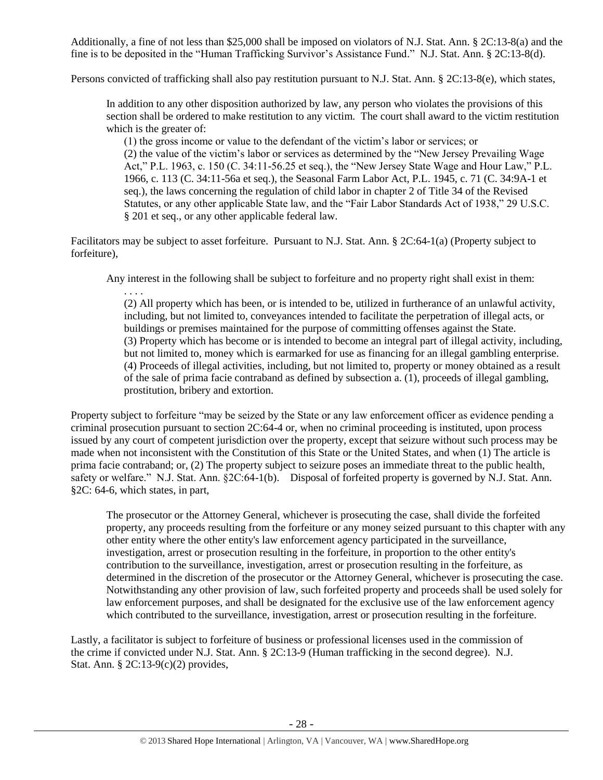Additionally, a fine of not less than \$25,000 shall be imposed on violators of N.J. Stat. Ann. § 2C:13-8(a) and the fine is to be deposited in the "Human Trafficking Survivor's Assistance Fund." N.J. Stat. Ann. § 2C:13-8(d).

Persons convicted of trafficking shall also pay restitution pursuant to N.J. Stat. Ann. § 2C:13-8(e), which states,

In addition to any other disposition authorized by law, any person who violates the provisions of this section shall be ordered to make restitution to any victim. The court shall award to the victim restitution which is the greater of:

(1) the gross income or value to the defendant of the victim's labor or services; or (2) the value of the victim's labor or services as determined by the "New Jersey Prevailing Wage Act," P.L. 1963, c. 150 (C. 34:11-56.25 et seq.), the "New Jersey State Wage and Hour Law," P.L. 1966, c. 113 (C. 34:11-56a et seq.), the Seasonal Farm Labor Act, P.L. 1945, c. 71 (C. 34:9A-1 et seq.), the laws concerning the regulation of child labor in chapter 2 of Title 34 of the Revised Statutes, or any other applicable State law, and the "Fair Labor Standards Act of 1938," 29 U.S.C. § 201 et seq., or any other applicable federal law.

Facilitators may be subject to asset forfeiture. Pursuant to N.J. Stat. Ann. § 2C:64-1(a) (Property subject to forfeiture),

Any interest in the following shall be subject to forfeiture and no property right shall exist in them:

. . . .

(2) All property which has been, or is intended to be, utilized in furtherance of an unlawful activity, including, but not limited to, conveyances intended to facilitate the perpetration of illegal acts, or buildings or premises maintained for the purpose of committing offenses against the State. (3) Property which has become or is intended to become an integral part of illegal activity, including, but not limited to, money which is earmarked for use as financing for an illegal gambling enterprise. (4) Proceeds of illegal activities, including, but not limited to, property or money obtained as a result of the sale of prima facie contraband as defined by subsection a. (1), proceeds of illegal gambling, prostitution, bribery and extortion.

Property subject to forfeiture "may be seized by the State or any law enforcement officer as evidence pending a criminal prosecution pursuant to section 2C:64-4 or, when no criminal proceeding is instituted, upon process issued by any court of competent jurisdiction over the property, except that seizure without such process may be made when not inconsistent with the Constitution of this State or the United States, and when (1) The article is prima facie contraband; or, (2) The property subject to seizure poses an immediate threat to the public health, safety or welfare." N.J. Stat. Ann. §2C:64-1(b). Disposal of forfeited property is governed by N.J. Stat. Ann. §2C: 64-6, which states, in part,

The prosecutor or the Attorney General, whichever is prosecuting the case, shall divide the forfeited property, any proceeds resulting from the forfeiture or any money seized pursuant to this chapter with any other entity where the other entity's law enforcement agency participated in the surveillance, investigation, arrest or prosecution resulting in the forfeiture, in proportion to the other entity's contribution to the surveillance, investigation, arrest or prosecution resulting in the forfeiture, as determined in the discretion of the prosecutor or the Attorney General, whichever is prosecuting the case. Notwithstanding any other provision of law, such forfeited property and proceeds shall be used solely for law enforcement purposes, and shall be designated for the exclusive use of the law enforcement agency which contributed to the surveillance, investigation, arrest or prosecution resulting in the forfeiture.

Lastly, a facilitator is subject to forfeiture of business or professional licenses used in the commission of the crime if convicted under N.J. Stat. Ann. § 2C:13-9 (Human trafficking in the second degree). N.J. Stat. Ann. § 2C:13-9(c)(2) provides,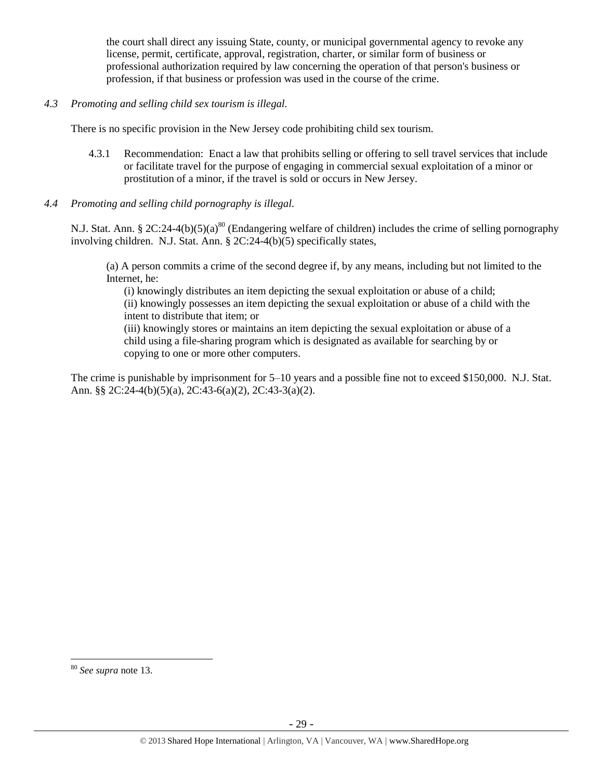the court shall direct any issuing State, county, or municipal governmental agency to revoke any license, permit, certificate, approval, registration, charter, or similar form of business or professional authorization required by law concerning the operation of that person's business or profession, if that business or profession was used in the course of the crime.

*4.3 Promoting and selling child sex tourism is illegal.*

There is no specific provision in the New Jersey code prohibiting child sex tourism.

- 4.3.1 Recommendation: Enact a law that prohibits selling or offering to sell travel services that include or facilitate travel for the purpose of engaging in commercial sexual exploitation of a minor or prostitution of a minor, if the travel is sold or occurs in New Jersey.
- *4.4 Promoting and selling child pornography is illegal.*

N.J. Stat. Ann. § 2C:24-4(b)(5)(a)<sup>80</sup> (Endangering welfare of children) includes the crime of selling pornography involving children. N.J. Stat. Ann. § 2C:24-4(b)(5) specifically states,

(a) A person commits a crime of the second degree if, by any means, including but not limited to the Internet, he:

(i) knowingly distributes an item depicting the sexual exploitation or abuse of a child; (ii) knowingly possesses an item depicting the sexual exploitation or abuse of a child with the intent to distribute that item; or

(iii) knowingly stores or maintains an item depicting the sexual exploitation or abuse of a child using a file-sharing program which is designated as available for searching by or copying to one or more other computers.

The crime is punishable by imprisonment for 5–10 years and a possible fine not to exceed \$150,000. N.J. Stat. Ann. §§ 2C:24-4(b)(5)(a), 2C:43-6(a)(2), 2C:43-3(a)(2).

<sup>80</sup> *See supra* note [13.](#page-4-0)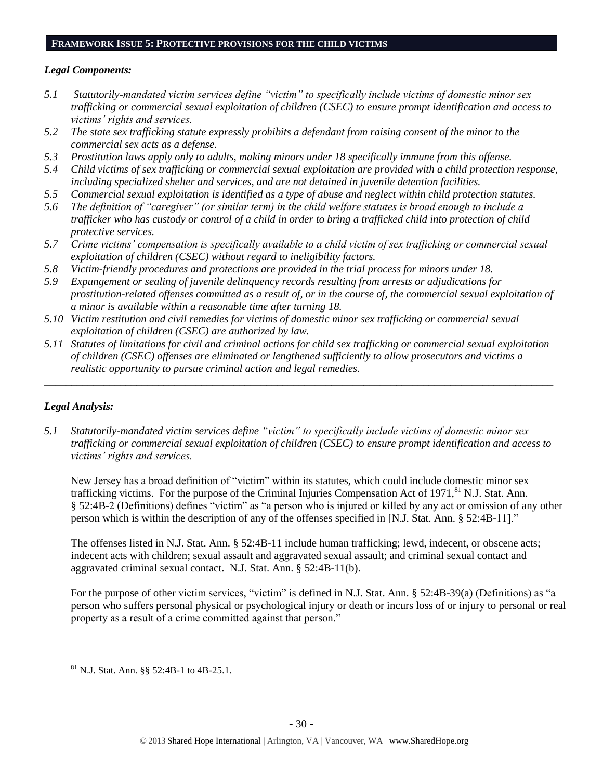#### **FRAMEWORK ISSUE 5: PROTECTIVE PROVISIONS FOR THE CHILD VICTIMS**

## *Legal Components:*

- *5.1 Statutorily-mandated victim services define "victim" to specifically include victims of domestic minor sex trafficking or commercial sexual exploitation of children (CSEC) to ensure prompt identification and access to victims' rights and services.*
- *5.2 The state sex trafficking statute expressly prohibits a defendant from raising consent of the minor to the commercial sex acts as a defense.*
- *5.3 Prostitution laws apply only to adults, making minors under 18 specifically immune from this offense.*
- *5.4 Child victims of sex trafficking or commercial sexual exploitation are provided with a child protection response, including specialized shelter and services, and are not detained in juvenile detention facilities.*
- *5.5 Commercial sexual exploitation is identified as a type of abuse and neglect within child protection statutes.*
- *5.6 The definition of "caregiver" (or similar term) in the child welfare statutes is broad enough to include a trafficker who has custody or control of a child in order to bring a trafficked child into protection of child protective services.*
- *5.7 Crime victims' compensation is specifically available to a child victim of sex trafficking or commercial sexual exploitation of children (CSEC) without regard to ineligibility factors.*
- *5.8 Victim-friendly procedures and protections are provided in the trial process for minors under 18.*
- *5.9 Expungement or sealing of juvenile delinquency records resulting from arrests or adjudications for prostitution-related offenses committed as a result of, or in the course of, the commercial sexual exploitation of a minor is available within a reasonable time after turning 18.*
- *5.10 Victim restitution and civil remedies for victims of domestic minor sex trafficking or commercial sexual exploitation of children (CSEC) are authorized by law.*
- *5.11 Statutes of limitations for civil and criminal actions for child sex trafficking or commercial sexual exploitation of children (CSEC) offenses are eliminated or lengthened sufficiently to allow prosecutors and victims a realistic opportunity to pursue criminal action and legal remedies.*

*\_\_\_\_\_\_\_\_\_\_\_\_\_\_\_\_\_\_\_\_\_\_\_\_\_\_\_\_\_\_\_\_\_\_\_\_\_\_\_\_\_\_\_\_\_\_\_\_\_\_\_\_\_\_\_\_\_\_\_\_\_\_\_\_\_\_\_\_\_\_\_\_\_\_\_\_\_\_\_\_\_\_\_\_\_\_\_\_\_\_\_\_\_\_*

# *Legal Analysis:*

*5.1 Statutorily-mandated victim services define "victim" to specifically include victims of domestic minor sex trafficking or commercial sexual exploitation of children (CSEC) to ensure prompt identification and access to victims' rights and services.*

New Jersey has a broad definition of "victim" within its statutes, which could include domestic minor sex trafficking victims. For the purpose of the Criminal Injuries Compensation Act of  $1971<sup>81</sup>$  N.J. Stat. Ann. § 52:4B-2 (Definitions) defines "victim" as "a person who is injured or killed by any act or omission of any other person which is within the description of any of the offenses specified in [N.J. Stat. Ann. § 52:4B-11]."

The offenses listed in N.J. Stat. Ann. § 52:4B-11 include human trafficking; lewd, indecent, or obscene acts; indecent acts with children; sexual assault and aggravated sexual assault; and criminal sexual contact and aggravated criminal sexual contact. N.J. Stat. Ann. § 52:4B-11(b).

For the purpose of other victim services, "victim" is defined in N.J. Stat. Ann. § 52:4B-39(a) (Definitions) as "a person who suffers personal physical or psychological injury or death or incurs loss of or injury to personal or real property as a result of a crime committed against that person."

 $\overline{a}$ <sup>81</sup> N.J. Stat. Ann. §§ 52:4B-1 to 4B-25.1.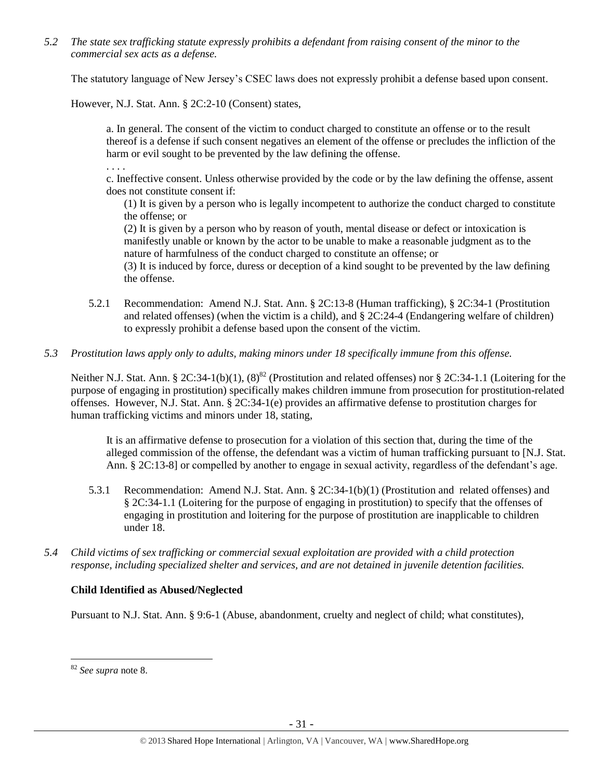*5.2 The state sex trafficking statute expressly prohibits a defendant from raising consent of the minor to the commercial sex acts as a defense.*

The statutory language of New Jersey's CSEC laws does not expressly prohibit a defense based upon consent.

However, N.J. Stat. Ann. § 2C:2-10 (Consent) states,

a. In general. The consent of the victim to conduct charged to constitute an offense or to the result thereof is a defense if such consent negatives an element of the offense or precludes the infliction of the harm or evil sought to be prevented by the law defining the offense.

. . . .

c. Ineffective consent. Unless otherwise provided by the code or by the law defining the offense, assent does not constitute consent if:

(1) It is given by a person who is legally incompetent to authorize the conduct charged to constitute the offense; or

(2) It is given by a person who by reason of youth, mental disease or defect or intoxication is manifestly unable or known by the actor to be unable to make a reasonable judgment as to the nature of harmfulness of the conduct charged to constitute an offense; or

(3) It is induced by force, duress or deception of a kind sought to be prevented by the law defining the offense.

- 5.2.1 Recommendation: Amend N.J. Stat. Ann. § 2C:13-8 (Human trafficking), § 2C:34-1 (Prostitution and related offenses) (when the victim is a child), and  $\S 2C:24-4$  (Endangering welfare of children) to expressly prohibit a defense based upon the consent of the victim.
- *5.3 Prostitution laws apply only to adults, making minors under 18 specifically immune from this offense.*

Neither N.J. Stat. Ann. § 2C:34-1(b)(1),  $(8)^{82}$  (Prostitution and related offenses) nor § 2C:34-1.1 (Loitering for the purpose of engaging in prostitution) specifically makes children immune from prosecution for prostitution-related offenses. However, N.J. Stat. Ann. § 2C:34-1(e) provides an affirmative defense to prostitution charges for human trafficking victims and minors under 18, stating,

It is an affirmative defense to prosecution for a violation of this section that, during the time of the alleged commission of the offense, the defendant was a victim of human trafficking pursuant to [N.J. Stat. Ann. § 2C:13-8] or compelled by another to engage in sexual activity, regardless of the defendant's age.

- 5.3.1 Recommendation: Amend N.J. Stat. Ann. § 2C:34-1(b)(1) (Prostitution and related offenses) and § 2C:34-1.1 (Loitering for the purpose of engaging in prostitution) to specify that the offenses of engaging in prostitution and loitering for the purpose of prostitution are inapplicable to children under 18.
- *5.4 Child victims of sex trafficking or commercial sexual exploitation are provided with a child protection response, including specialized shelter and services, and are not detained in juvenile detention facilities.*

# **Child Identified as Abused/Neglected**

Pursuant to N.J. Stat. Ann. § 9:6-1 (Abuse, abandonment, cruelty and neglect of child; what constitutes),

<sup>82</sup> *See supra* note [8.](#page-3-0)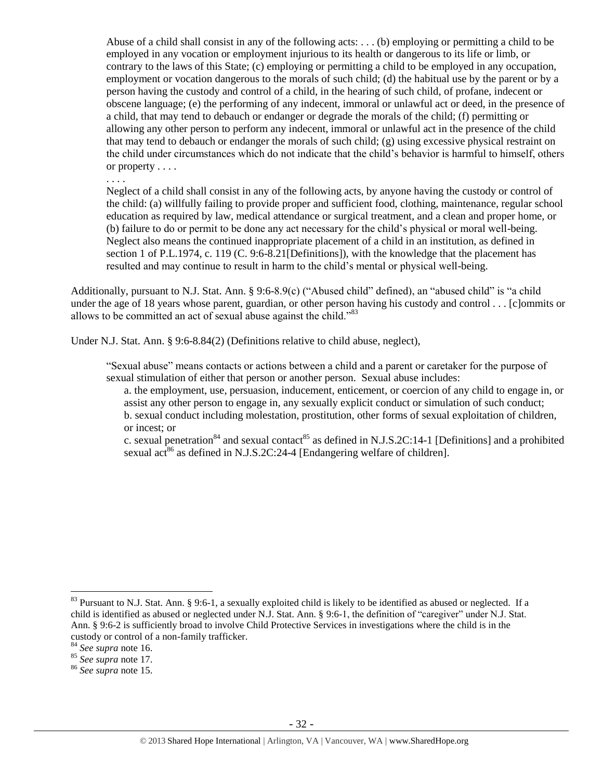Abuse of a child shall consist in any of the following acts: . . . (b) employing or permitting a child to be employed in any vocation or employment injurious to its health or dangerous to its life or limb, or contrary to the laws of this State; (c) employing or permitting a child to be employed in any occupation, employment or vocation dangerous to the morals of such child; (d) the habitual use by the parent or by a person having the custody and control of a child, in the hearing of such child, of profane, indecent or obscene language; (e) the performing of any indecent, immoral or unlawful act or deed, in the presence of a child, that may tend to debauch or endanger or degrade the morals of the child; (f) permitting or allowing any other person to perform any indecent, immoral or unlawful act in the presence of the child that may tend to debauch or endanger the morals of such child; (g) using excessive physical restraint on the child under circumstances which do not indicate that the child's behavior is harmful to himself, others or property . . . .

. . . .

Neglect of a child shall consist in any of the following acts, by anyone having the custody or control of the child: (a) willfully failing to provide proper and sufficient food, clothing, maintenance, regular school education as required by law, medical attendance or surgical treatment, and a clean and proper home, or (b) failure to do or permit to be done any act necessary for the child's physical or moral well-being. Neglect also means the continued inappropriate placement of a child in an institution, as defined in section 1 of P.L.1974, c. 119 (C. 9:6-8.21[Definitions]), with the knowledge that the placement has resulted and may continue to result in harm to the child's mental or physical well-being.

Additionally, pursuant to N.J. Stat. Ann. § 9:6-8.9(c) ("Abused child" defined), an "abused child" is "a child under the age of 18 years whose parent, guardian, or other person having his custody and control . . . [c]ommits or allows to be committed an act of sexual abuse against the child."<sup>83</sup>

Under N.J. Stat. Ann. § 9:6-8.84(2) (Definitions relative to child abuse, neglect),

"Sexual abuse" means contacts or actions between a child and a parent or caretaker for the purpose of sexual stimulation of either that person or another person. Sexual abuse includes:

a. the employment, use, persuasion, inducement, enticement, or coercion of any child to engage in, or assist any other person to engage in, any sexually explicit conduct or simulation of such conduct;

b. sexual conduct including molestation, prostitution, other forms of sexual exploitation of children, or incest; or

c. sexual penetration<sup>84</sup> and sexual contact<sup>85</sup> as defined in N.J.S.2C:14-1 [Definitions] and a prohibited sexual act<sup>86</sup> as defined in N.J.S.2C:24-4 [Endangering welfare of children].

 $\overline{a}$  $83$  Pursuant to N.J. Stat. Ann. § 9:6-1, a sexually exploited child is likely to be identified as abused or neglected. If a child is identified as abused or neglected under N.J. Stat. Ann. § 9:6-1, the definition of "caregiver" under N.J. Stat. Ann. § 9:6-2 is sufficiently broad to involve Child Protective Services in investigations where the child is in the custody or control of a non-family trafficker.

<sup>84</sup> *See supra* note [16.](#page-5-0)

<sup>85</sup> *See supra* note [17.](#page-5-1)

<sup>86</sup> *See supra* note [15.](#page-4-2)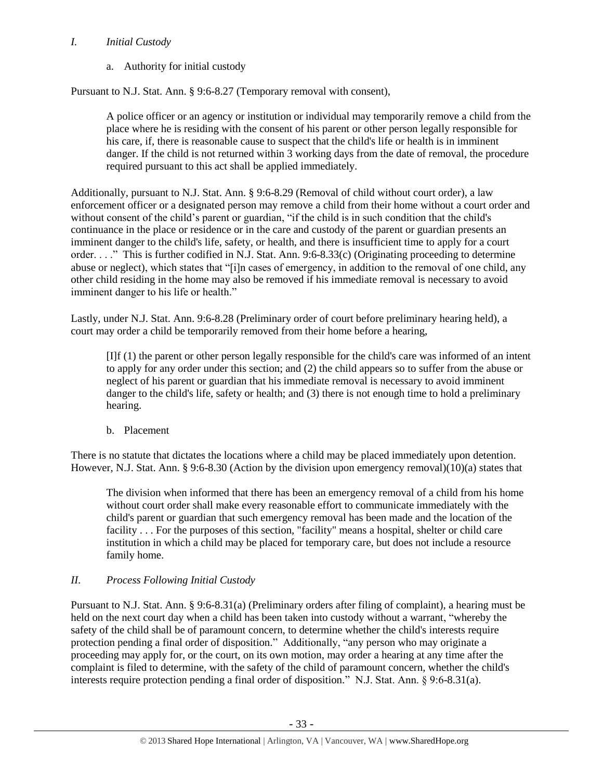# *I. Initial Custody*

a. Authority for initial custody

Pursuant to N.J. Stat. Ann. § 9:6-8.27 (Temporary removal with consent),

A police officer or an agency or institution or individual may temporarily remove a child from the place where he is residing with the consent of his parent or other person legally responsible for his care, if, there is reasonable cause to suspect that the child's life or health is in imminent danger. If the child is not returned within 3 working days from the date of removal, the procedure required pursuant to this act shall be applied immediately.

Additionally, pursuant to N.J. Stat. Ann. § 9:6-8.29 (Removal of child without court order), a law enforcement officer or a designated person may remove a child from their home without a court order and without consent of the child's parent or guardian, "if the child is in such condition that the child's continuance in the place or residence or in the care and custody of the parent or guardian presents an imminent danger to the child's life, safety, or health, and there is insufficient time to apply for a court order. . . ." This is further codified in N.J. Stat. Ann. 9:6-8.33(c) (Originating proceeding to determine abuse or neglect), which states that "[i]n cases of emergency, in addition to the removal of one child, any other child residing in the home may also be removed if his immediate removal is necessary to avoid imminent danger to his life or health."

Lastly, under N.J. Stat. Ann. 9:6-8.28 (Preliminary order of court before preliminary hearing held), a court may order a child be temporarily removed from their home before a hearing,

[I]f (1) the parent or other person legally responsible for the child's care was informed of an intent to apply for any order under this section; and (2) the child appears so to suffer from the abuse or neglect of his parent or guardian that his immediate removal is necessary to avoid imminent danger to the child's life, safety or health; and (3) there is not enough time to hold a preliminary hearing.

b. Placement

There is no statute that dictates the locations where a child may be placed immediately upon detention. However, N.J. Stat. Ann. § 9:6-8.30 (Action by the division upon emergency removal)(10)(a) states that

The division when informed that there has been an emergency removal of a child from his home without court order shall make every reasonable effort to communicate immediately with the child's parent or guardian that such emergency removal has been made and the location of the facility . . . For the purposes of this section, "facility" means a hospital, shelter or child care institution in which a child may be placed for temporary care, but does not include a resource family home.

# *II. Process Following Initial Custody*

Pursuant to N.J. Stat. Ann. § 9:6-8.31(a) (Preliminary orders after filing of complaint), a hearing must be held on the next court day when a child has been taken into custody without a warrant, "whereby the safety of the child shall be of paramount concern, to determine whether the child's interests require protection pending a final order of disposition." Additionally, "any person who may originate a proceeding may apply for, or the court, on its own motion, may order a hearing at any time after the complaint is filed to determine, with the safety of the child of paramount concern, whether the child's interests require protection pending a final order of disposition." N.J. Stat. Ann. § 9:6-8.31(a).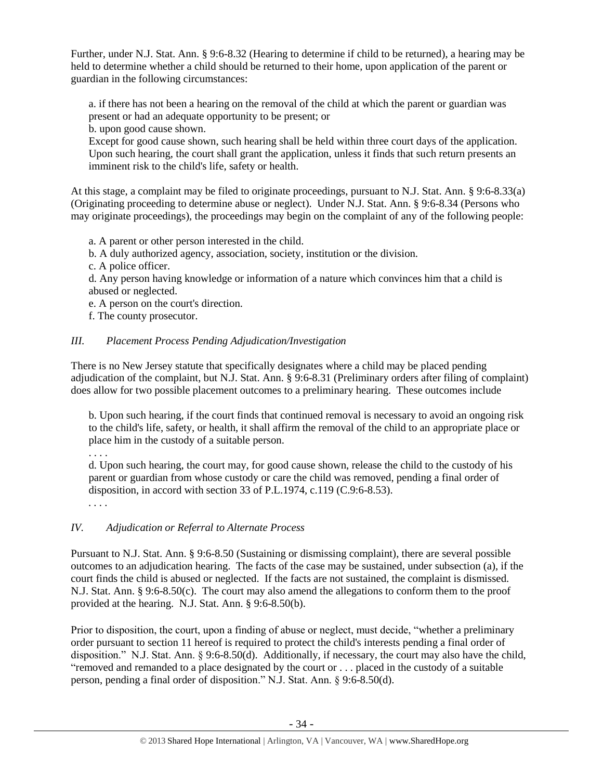Further, under N.J. Stat. Ann. § 9:6-8.32 (Hearing to determine if child to be returned), a hearing may be held to determine whether a child should be returned to their home, upon application of the parent or guardian in the following circumstances:

a. if there has not been a hearing on the removal of the child at which the parent or guardian was present or had an adequate opportunity to be present; or

b. upon good cause shown.

Except for good cause shown, such hearing shall be held within three court days of the application. Upon such hearing, the court shall grant the application, unless it finds that such return presents an imminent risk to the child's life, safety or health.

At this stage, a complaint may be filed to originate proceedings, pursuant to N.J. Stat. Ann. § 9:6-8.33(a) (Originating proceeding to determine abuse or neglect). Under N.J. Stat. Ann. § 9:6-8.34 (Persons who may originate proceedings), the proceedings may begin on the complaint of any of the following people:

a. A parent or other person interested in the child.

b. A duly authorized agency, association, society, institution or the division.

c. A police officer.

d. Any person having knowledge or information of a nature which convinces him that a child is abused or neglected.

e. A person on the court's direction.

f. The county prosecutor.

## *III. Placement Process Pending Adjudication/Investigation*

There is no New Jersey statute that specifically designates where a child may be placed pending adjudication of the complaint, but N.J. Stat. Ann. § 9:6-8.31 (Preliminary orders after filing of complaint) does allow for two possible placement outcomes to a preliminary hearing. These outcomes include

b. Upon such hearing, if the court finds that continued removal is necessary to avoid an ongoing risk to the child's life, safety, or health, it shall affirm the removal of the child to an appropriate place or place him in the custody of a suitable person.

. . . .

d. Upon such hearing, the court may, for good cause shown, release the child to the custody of his parent or guardian from whose custody or care the child was removed, pending a final order of disposition, in accord with section 33 of P.L.1974, c.119 (C.9:6-8.53). *. . . .*

# *IV. Adjudication or Referral to Alternate Process*

Pursuant to N.J. Stat. Ann. § 9:6-8.50 (Sustaining or dismissing complaint), there are several possible outcomes to an adjudication hearing. The facts of the case may be sustained, under subsection (a), if the court finds the child is abused or neglected. If the facts are not sustained, the complaint is dismissed. N.J. Stat. Ann. § 9:6-8.50(c). The court may also amend the allegations to conform them to the proof provided at the hearing. N.J. Stat. Ann. § 9:6-8.50(b).

Prior to disposition, the court, upon a finding of abuse or neglect, must decide, "whether a preliminary order pursuant to section 11 hereof is required to protect the child's interests pending a final order of disposition." N.J. Stat. Ann. § 9:6-8.50(d). Additionally, if necessary, the court may also have the child, "removed and remanded to a place designated by the court or . . . placed in the custody of a suitable person, pending a final order of disposition." N.J. Stat. Ann. § 9:6-8.50(d).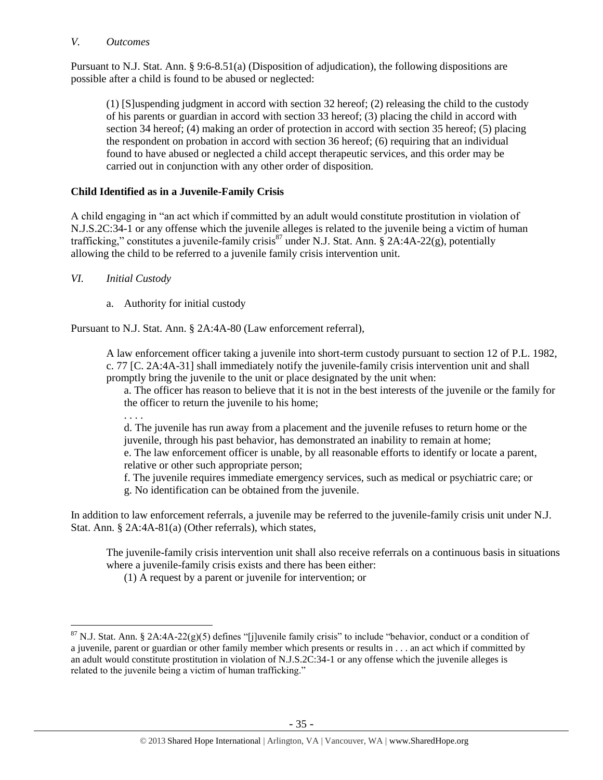#### *V. Outcomes*

Pursuant to N.J. Stat. Ann. § 9:6-8.51(a) (Disposition of adjudication), the following dispositions are possible after a child is found to be abused or neglected:

(1) [S]uspending judgment in accord with section 32 hereof; (2) releasing the child to the custody of his parents or guardian in accord with section 33 hereof; (3) placing the child in accord with section 34 hereof; (4) making an order of protection in accord with section 35 hereof; (5) placing the respondent on probation in accord with section 36 hereof; (6) requiring that an individual found to have abused or neglected a child accept therapeutic services, and this order may be carried out in conjunction with any other order of disposition.

## **Child Identified as in a Juvenile-Family Crisis**

A child engaging in "an act which if committed by an adult would constitute prostitution in violation of N.J.S.2C:34-1 or any offense which the juvenile alleges is related to the juvenile being a victim of human trafficking," constitutes a juvenile-family crisis<sup>87</sup> under N.J. Stat. Ann. § 2A:4A-22(g), potentially allowing the child to be referred to a juvenile family crisis intervention unit.

*VI. Initial Custody*

a. Authority for initial custody

Pursuant to N.J. Stat. Ann. § 2A:4A-80 (Law enforcement referral),

A law enforcement officer taking a juvenile into short-term custody pursuant to section 12 of P.L. 1982, c. 77 [C. 2A:4A-31] shall immediately notify the juvenile-family crisis intervention unit and shall promptly bring the juvenile to the unit or place designated by the unit when:

a. The officer has reason to believe that it is not in the best interests of the juvenile or the family for the officer to return the juvenile to his home;

. . . .

 $\overline{a}$ 

d. The juvenile has run away from a placement and the juvenile refuses to return home or the juvenile, through his past behavior, has demonstrated an inability to remain at home;

e. The law enforcement officer is unable, by all reasonable efforts to identify or locate a parent, relative or other such appropriate person;

f. The juvenile requires immediate emergency services, such as medical or psychiatric care; or g. No identification can be obtained from the juvenile.

In addition to law enforcement referrals, a juvenile may be referred to the juvenile-family crisis unit under N.J. Stat. Ann. § 2A:4A-81(a) (Other referrals), which states,

The juvenile-family crisis intervention unit shall also receive referrals on a continuous basis in situations where a juvenile-family crisis exists and there has been either:

(1) A request by a parent or juvenile for intervention; or

 $87$  N.J. Stat. Ann. § 2A:4A-22(g)(5) defines "[j]uvenile family crisis" to include "behavior, conduct or a condition of a juvenile, parent or guardian or other family member which presents or results in . . . an act which if committed by an adult would constitute prostitution in violation of N.J.S.2C:34-1 or any offense which the juvenile alleges is related to the juvenile being a victim of human trafficking."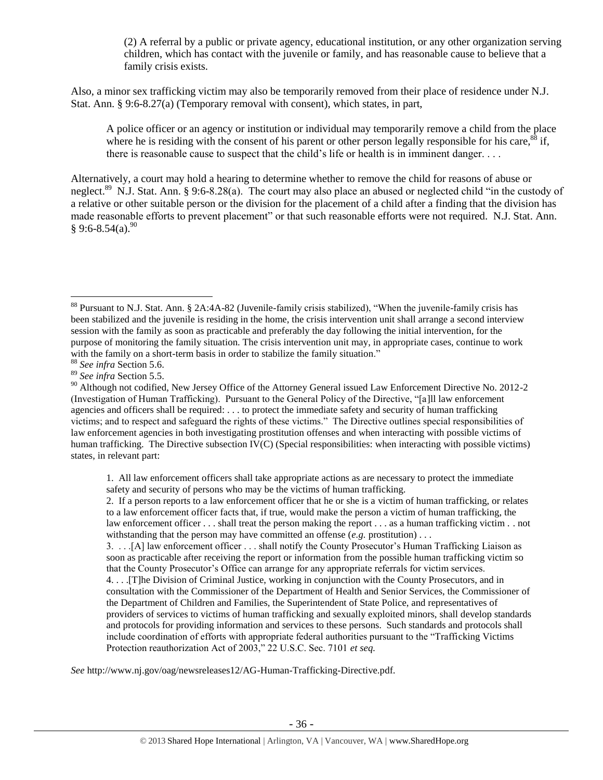(2) A referral by a public or private agency, educational institution, or any other organization serving children, which has contact with the juvenile or family, and has reasonable cause to believe that a family crisis exists.

Also, a minor sex trafficking victim may also be temporarily removed from their place of residence under N.J. Stat. Ann. § 9:6-8.27(a) (Temporary removal with consent), which states, in part,

A police officer or an agency or institution or individual may temporarily remove a child from the place where he is residing with the consent of his parent or other person legally responsible for his care,<sup>88</sup> if, there is reasonable cause to suspect that the child's life or health is in imminent danger....

Alternatively, a court may hold a hearing to determine whether to remove the child for reasons of abuse or neglect.<sup>89</sup> N.J. Stat. Ann. § 9:6-8.28(a). The court may also place an abused or neglected child "in the custody of a relative or other suitable person or the division for the placement of a child after a finding that the division has made reasonable efforts to prevent placement" or that such reasonable efforts were not required. N.J. Stat. Ann.  $§ 9:6-8.54(a).^{90}$ 

 $\overline{a}$ 

1. All law enforcement officers shall take appropriate actions as are necessary to protect the immediate safety and security of persons who may be the victims of human trafficking.

*See* http://www.nj.gov/oag/newsreleases12/AG-Human-Trafficking-Directive.pdf.

<sup>&</sup>lt;sup>88</sup> Pursuant to N.J. Stat. Ann. § 2A:4A-82 (Juvenile-family crisis stabilized), "When the juvenile-family crisis has been stabilized and the juvenile is residing in the home, the crisis intervention unit shall arrange a second interview session with the family as soon as practicable and preferably the day following the initial intervention, for the purpose of monitoring the family situation. The crisis intervention unit may, in appropriate cases, continue to work with the family on a short-term basis in order to stabilize the family situation."

<sup>88</sup> *See infra* Section 5.6.

<sup>89</sup> *See infra* Section 5.5.

<sup>&</sup>lt;sup>90</sup> Although not codified, New Jersey Office of the Attorney General issued Law Enforcement Directive No. 2012-2 (Investigation of Human Trafficking). Pursuant to the General Policy of the Directive, "[a]ll law enforcement agencies and officers shall be required: . . . to protect the immediate safety and security of human trafficking victims; and to respect and safeguard the rights of these victims." The Directive outlines special responsibilities of law enforcement agencies in both investigating prostitution offenses and when interacting with possible victims of human trafficking. The Directive subsection IV(C) (Special responsibilities: when interacting with possible victims) states, in relevant part:

<sup>2.</sup> If a person reports to a law enforcement officer that he or she is a victim of human trafficking, or relates to a law enforcement officer facts that, if true, would make the person a victim of human trafficking, the law enforcement officer . . . shall treat the person making the report . . . as a human trafficking victim . . not withstanding that the person may have committed an offense (*e.g.* prostitution) . . .

<sup>3. . . .[</sup>A] law enforcement officer . . . shall notify the County Prosecutor's Human Trafficking Liaison as soon as practicable after receiving the report or information from the possible human trafficking victim so that the County Prosecutor's Office can arrange for any appropriate referrals for victim services.

<sup>4. . . .[</sup>T]he Division of Criminal Justice, working in conjunction with the County Prosecutors, and in consultation with the Commissioner of the Department of Health and Senior Services, the Commissioner of the Department of Children and Families, the Superintendent of State Police, and representatives of providers of services to victims of human trafficking and sexually exploited minors, shall develop standards and protocols for providing information and services to these persons. Such standards and protocols shall include coordination of efforts with appropriate federal authorities pursuant to the "Trafficking Victims Protection reauthorization Act of 2003," 22 U.S.C. Sec. 7101 *et seq.*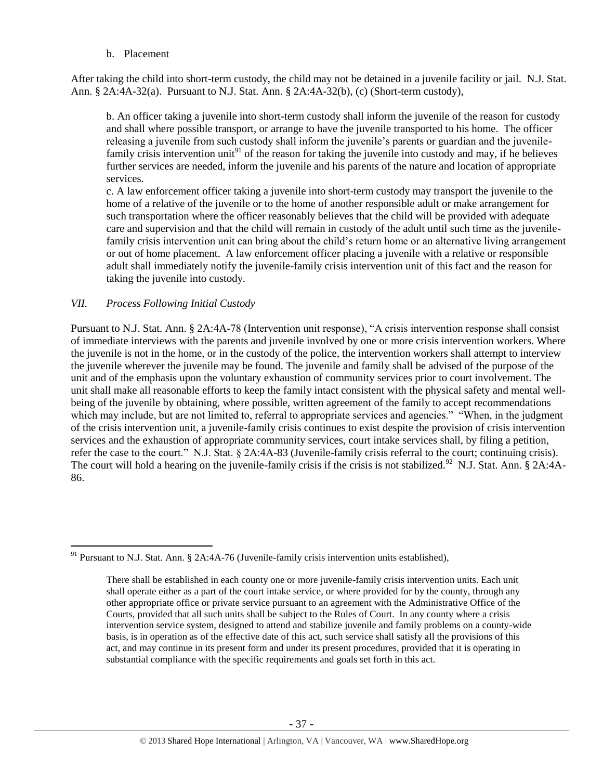b. Placement

After taking the child into short-term custody, the child may not be detained in a juvenile facility or jail. N.J. Stat. Ann. § 2A:4A-32(a). Pursuant to N.J. Stat. Ann. § 2A:4A-32(b), (c) (Short-term custody),

b. An officer taking a juvenile into short-term custody shall inform the juvenile of the reason for custody and shall where possible transport, or arrange to have the juvenile transported to his home. The officer releasing a juvenile from such custody shall inform the juvenile's parents or guardian and the juvenilefamily crisis intervention unit<sup>91</sup> of the reason for taking the juvenile into custody and may, if he believes further services are needed, inform the juvenile and his parents of the nature and location of appropriate services.

c. A law enforcement officer taking a juvenile into short-term custody may transport the juvenile to the home of a relative of the juvenile or to the home of another responsible adult or make arrangement for such transportation where the officer reasonably believes that the child will be provided with adequate care and supervision and that the child will remain in custody of the adult until such time as the juvenilefamily crisis intervention unit can bring about the child's return home or an alternative living arrangement or out of home placement. A law enforcement officer placing a juvenile with a relative or responsible adult shall immediately notify the juvenile-family crisis intervention unit of this fact and the reason for taking the juvenile into custody.

#### *VII. Process Following Initial Custody*

 $\overline{a}$ 

Pursuant to N.J. Stat. Ann. § 2A:4A-78 (Intervention unit response), "A crisis intervention response shall consist of immediate interviews with the parents and juvenile involved by one or more crisis intervention workers. Where the juvenile is not in the home, or in the custody of the police, the intervention workers shall attempt to interview the juvenile wherever the juvenile may be found. The juvenile and family shall be advised of the purpose of the unit and of the emphasis upon the voluntary exhaustion of community services prior to court involvement. The unit shall make all reasonable efforts to keep the family intact consistent with the physical safety and mental wellbeing of the juvenile by obtaining, where possible, written agreement of the family to accept recommendations which may include, but are not limited to, referral to appropriate services and agencies." "When, in the judgment of the crisis intervention unit, a juvenile-family crisis continues to exist despite the provision of crisis intervention services and the exhaustion of appropriate community services, court intake services shall, by filing a petition, refer the case to the court." N.J. Stat. § 2A:4A-83 (Juvenile-family crisis referral to the court; continuing crisis). The court will hold a hearing on the juvenile-family crisis if the crisis is not stabilized.<sup>92</sup> N.J. Stat. Ann. § 2A:4A-86.

 $91$  Pursuant to N.J. Stat. Ann. § 2A:4A-76 (Juvenile-family crisis intervention units established),

There shall be established in each county one or more juvenile-family crisis intervention units. Each unit shall operate either as a part of the court intake service, or where provided for by the county, through any other appropriate office or private service pursuant to an agreement with the Administrative Office of the Courts, provided that all such units shall be subject to the Rules of Court. In any county where a crisis intervention service system, designed to attend and stabilize juvenile and family problems on a county-wide basis, is in operation as of the effective date of this act, such service shall satisfy all the provisions of this act, and may continue in its present form and under its present procedures, provided that it is operating in substantial compliance with the specific requirements and goals set forth in this act.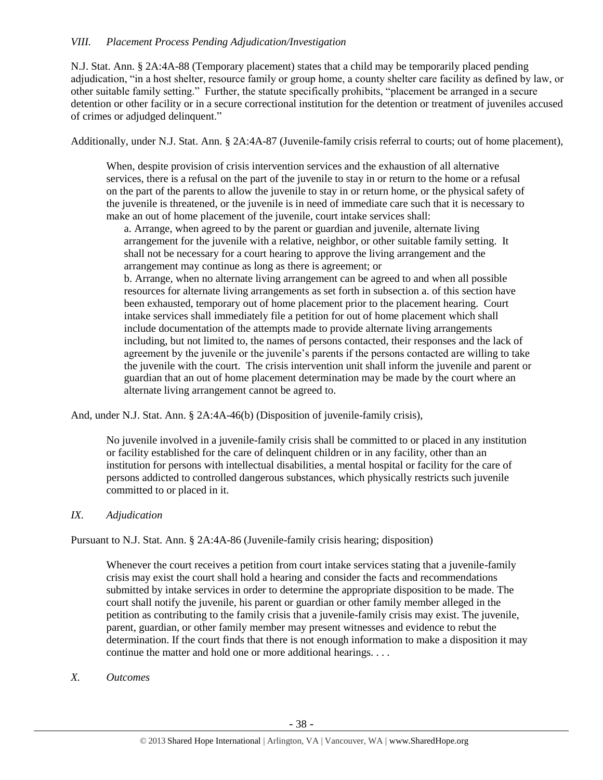## *VIII. Placement Process Pending Adjudication/Investigation*

N.J. Stat. Ann. § 2A:4A-88 (Temporary placement) states that a child may be temporarily placed pending adjudication, "in a host shelter, resource family or group home, a county shelter care facility as defined by law, or other suitable family setting." Further, the statute specifically prohibits, "placement be arranged in a secure detention or other facility or in a secure correctional institution for the detention or treatment of juveniles accused of crimes or adjudged delinquent."

Additionally, under N.J. Stat. Ann. § 2A:4A-87 (Juvenile-family crisis referral to courts; out of home placement),

When, despite provision of crisis intervention services and the exhaustion of all alternative services, there is a refusal on the part of the juvenile to stay in or return to the home or a refusal on the part of the parents to allow the juvenile to stay in or return home, or the physical safety of the juvenile is threatened, or the juvenile is in need of immediate care such that it is necessary to make an out of home placement of the juvenile, court intake services shall:

a. Arrange, when agreed to by the parent or guardian and juvenile, alternate living arrangement for the juvenile with a relative, neighbor, or other suitable family setting. It shall not be necessary for a court hearing to approve the living arrangement and the arrangement may continue as long as there is agreement; or

b. Arrange, when no alternate living arrangement can be agreed to and when all possible resources for alternate living arrangements as set forth in subsection a. of this section have been exhausted, temporary out of home placement prior to the placement hearing. Court intake services shall immediately file a petition for out of home placement which shall include documentation of the attempts made to provide alternate living arrangements including, but not limited to, the names of persons contacted, their responses and the lack of agreement by the juvenile or the juvenile's parents if the persons contacted are willing to take the juvenile with the court. The crisis intervention unit shall inform the juvenile and parent or guardian that an out of home placement determination may be made by the court where an alternate living arrangement cannot be agreed to.

And, under N.J. Stat. Ann. § 2A:4A-46(b) (Disposition of juvenile-family crisis),

No juvenile involved in a juvenile-family crisis shall be committed to or placed in any institution or facility established for the care of delinquent children or in any facility, other than an institution for persons with intellectual disabilities, a mental hospital or facility for the care of persons addicted to controlled dangerous substances, which physically restricts such juvenile committed to or placed in it.

#### *IX. Adjudication*

Pursuant to N.J. Stat. Ann. § 2A:4A-86 (Juvenile-family crisis hearing; disposition)

Whenever the court receives a petition from court intake services stating that a juvenile-family crisis may exist the court shall hold a hearing and consider the facts and recommendations submitted by intake services in order to determine the appropriate disposition to be made. The court shall notify the juvenile, his parent or guardian or other family member alleged in the petition as contributing to the family crisis that a juvenile-family crisis may exist. The juvenile, parent, guardian, or other family member may present witnesses and evidence to rebut the determination. If the court finds that there is not enough information to make a disposition it may continue the matter and hold one or more additional hearings. . . .

*X. Outcomes*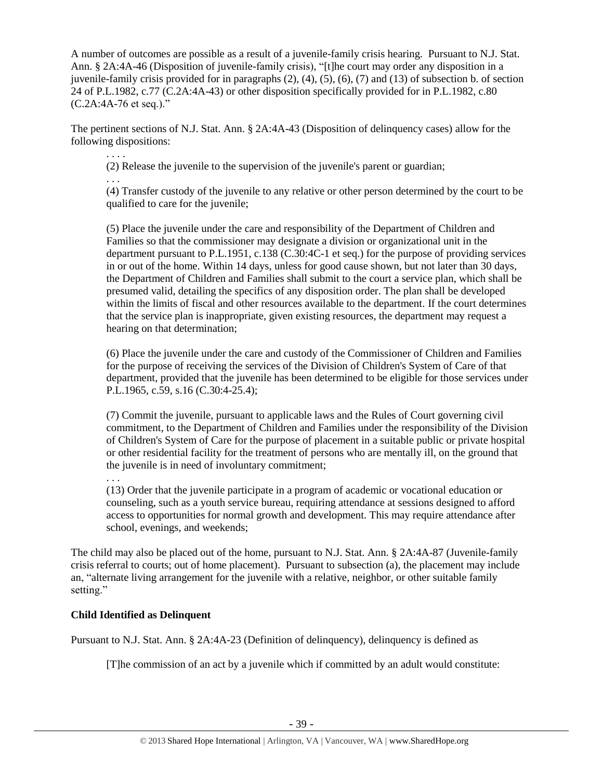A number of outcomes are possible as a result of a juvenile-family crisis hearing. Pursuant to N.J. Stat. Ann. § 2A:4A-46 (Disposition of juvenile-family crisis), "[t]he court may order any disposition in a juvenile-family crisis provided for in paragraphs (2), (4), (5), (6), (7) and (13) of subsection b. of section 24 of P.L[.1982, c.77](http://njlaw.rutgers.edu/cgi-bin/njstats/getnjstat.cgi?yr=1982&chap=77) (C.2A:4A-43) or other disposition specifically provided for in P.L[.1982, c.80](http://njlaw.rutgers.edu/cgi-bin/njstats/getnjstat.cgi?yr=1982&chap=80) (C.2A:4A-76 et seq.)."

The pertinent sections of N.J. Stat. Ann. § 2A:4A-43 (Disposition of delinquency cases) allow for the following dispositions:

(2) Release the juvenile to the supervision of the juvenile's parent or guardian;

. . .

. . . .

(4) Transfer custody of the juvenile to any relative or other person determined by the court to be qualified to care for the juvenile;

(5) Place the juvenile under the care and responsibility of the Department of Children and Families so that the commissioner may designate a division or organizational unit in the department pursuant to P.L[.1951, c.138](http://njlaw.rutgers.edu/cgi-bin/njstats/getnjstat.cgi?yr=1951&chap=138) (C.30:4C-1 et seq.) for the purpose of providing services in or out of the home. Within 14 days, unless for good cause shown, but not later than 30 days, the Department of Children and Families shall submit to the court a service plan, which shall be presumed valid, detailing the specifics of any disposition order. The plan shall be developed within the limits of fiscal and other resources available to the department. If the court determines that the service plan is inappropriate, given existing resources, the department may request a hearing on that determination;

(6) Place the juvenile under the care and custody of the Commissioner of Children and Families for the purpose of receiving the services of the Division of Children's System of Care of that department, provided that the juvenile has been determined to be eligible for those services under P.L[.1965, c.59,](http://njlaw.rutgers.edu/cgi-bin/njstats/getnjstat.cgi?yr=1965&chap=59) s.16 (C.30:4-25.4);

(7) Commit the juvenile, pursuant to applicable laws and the Rules of Court governing civil commitment, to the Department of Children and Families under the responsibility of the Division of Children's System of Care for the purpose of placement in a suitable public or private hospital or other residential facility for the treatment of persons who are mentally ill, on the ground that the juvenile is in need of involuntary commitment;

(13) Order that the juvenile participate in a program of academic or vocational education or counseling, such as a youth service bureau, requiring attendance at sessions designed to afford access to opportunities for normal growth and development. This may require attendance after school, evenings, and weekends;

The child may also be placed out of the home, pursuant to N.J. Stat. Ann. § 2A:4A-87 (Juvenile-family crisis referral to courts; out of home placement). Pursuant to subsection (a), the placement may include an, "alternate living arrangement for the juvenile with a relative, neighbor, or other suitable family setting."

# **Child Identified as Delinquent**

. . .

Pursuant to N.J. Stat. Ann. § 2A:4A-23 (Definition of delinquency), delinquency is defined as

[T]he commission of an act by a juvenile which if committed by an adult would constitute: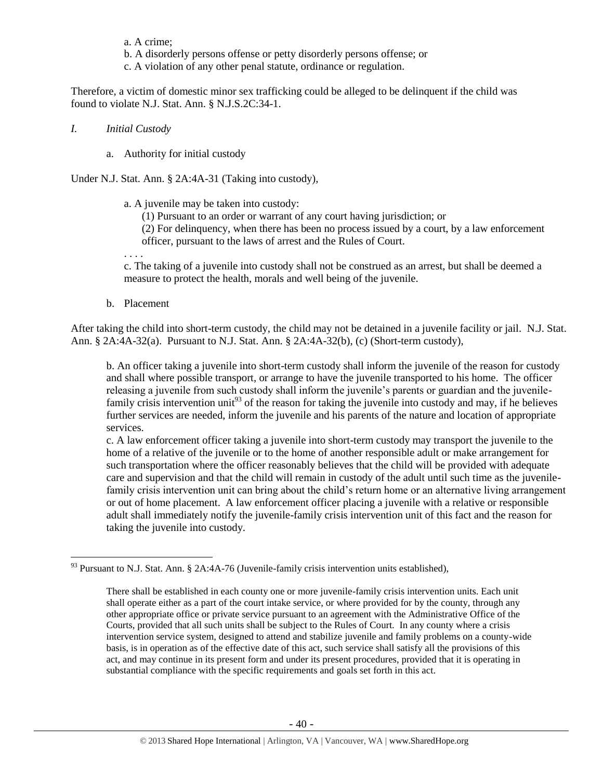a. A crime;

- b. A disorderly persons offense or petty disorderly persons offense; or
- c. A violation of any other penal statute, ordinance or regulation.

Therefore, a victim of domestic minor sex trafficking could be alleged to be delinquent if the child was found to violate N.J. Stat. Ann. § N.J.S.2C:34-1.

#### *I. Initial Custody*

a. Authority for initial custody

Under N.J. Stat. Ann. § 2A:4A-31 (Taking into custody),

- a. A juvenile may be taken into custody:
	- (1) Pursuant to an order or warrant of any court having jurisdiction; or

(2) For delinquency, when there has been no process issued by a court, by a law enforcement officer, pursuant to the laws of arrest and the Rules of Court.

. . . .

c. The taking of a juvenile into custody shall not be construed as an arrest, but shall be deemed a measure to protect the health, morals and well being of the juvenile.

b. Placement

After taking the child into short-term custody, the child may not be detained in a juvenile facility or jail. N.J. Stat. Ann. § 2A:4A-32(a). Pursuant to N.J. Stat. Ann. § 2A:4A-32(b), (c) (Short-term custody),

b. An officer taking a juvenile into short-term custody shall inform the juvenile of the reason for custody and shall where possible transport, or arrange to have the juvenile transported to his home. The officer releasing a juvenile from such custody shall inform the juvenile's parents or guardian and the juvenilefamily crisis intervention unit<sup>93</sup> of the reason for taking the juvenile into custody and may, if he believes further services are needed, inform the juvenile and his parents of the nature and location of appropriate services.

c. A law enforcement officer taking a juvenile into short-term custody may transport the juvenile to the home of a relative of the juvenile or to the home of another responsible adult or make arrangement for such transportation where the officer reasonably believes that the child will be provided with adequate care and supervision and that the child will remain in custody of the adult until such time as the juvenilefamily crisis intervention unit can bring about the child's return home or an alternative living arrangement or out of home placement. A law enforcement officer placing a juvenile with a relative or responsible adult shall immediately notify the juvenile-family crisis intervention unit of this fact and the reason for taking the juvenile into custody.

 $\overline{a}$  $93$  Pursuant to N.J. Stat. Ann. § 2A:4A-76 (Juvenile-family crisis intervention units established),

There shall be established in each county one or more juvenile-family crisis intervention units. Each unit shall operate either as a part of the court intake service, or where provided for by the county, through any other appropriate office or private service pursuant to an agreement with the Administrative Office of the Courts, provided that all such units shall be subject to the Rules of Court. In any county where a crisis intervention service system, designed to attend and stabilize juvenile and family problems on a county-wide basis, is in operation as of the effective date of this act, such service shall satisfy all the provisions of this act, and may continue in its present form and under its present procedures, provided that it is operating in substantial compliance with the specific requirements and goals set forth in this act.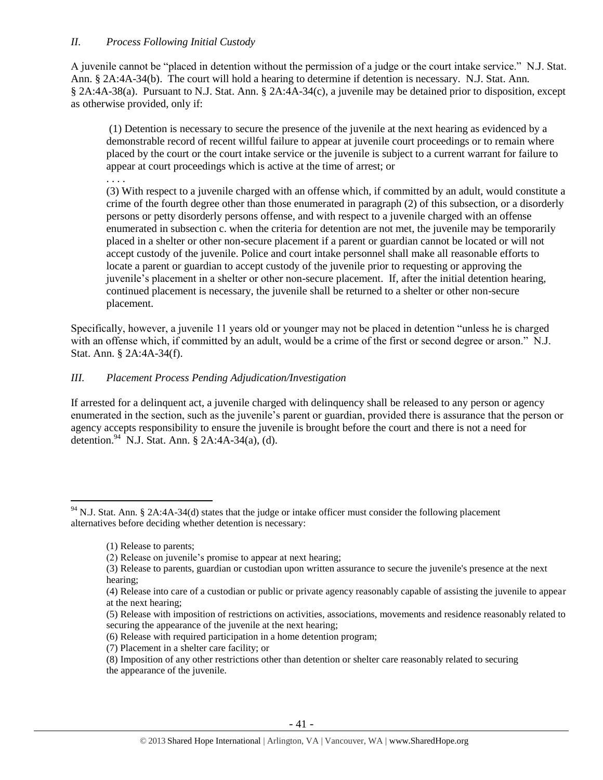A juvenile cannot be "placed in detention without the permission of a judge or the court intake service." N.J. Stat. Ann. § 2A:4A-34(b). The court will hold a hearing to determine if detention is necessary. N.J. Stat. Ann. § 2A:4A-38(a). Pursuant to N.J. Stat. Ann. § 2A:4A-34(c), a juvenile may be detained prior to disposition, except as otherwise provided, only if:

(1) Detention is necessary to secure the presence of the juvenile at the next hearing as evidenced by a demonstrable record of recent willful failure to appear at juvenile court proceedings or to remain where placed by the court or the court intake service or the juvenile is subject to a current warrant for failure to appear at court proceedings which is active at the time of arrest; or

. . . .

(3) With respect to a juvenile charged with an offense which, if committed by an adult, would constitute a crime of the fourth degree other than those enumerated in paragraph (2) of this subsection, or a disorderly persons or petty disorderly persons offense, and with respect to a juvenile charged with an offense enumerated in subsection c. when the criteria for detention are not met, the juvenile may be temporarily placed in a shelter or other non-secure placement if a parent or guardian cannot be located or will not accept custody of the juvenile. Police and court intake personnel shall make all reasonable efforts to locate a parent or guardian to accept custody of the juvenile prior to requesting or approving the juvenile's placement in a shelter or other non-secure placement. If, after the initial detention hearing, continued placement is necessary, the juvenile shall be returned to a shelter or other non-secure placement.

Specifically, however, a juvenile 11 years old or younger may not be placed in detention "unless he is charged with an offense which, if committed by an adult, would be a crime of the first or second degree or arson." N.J. Stat. Ann. § 2A:4A-34(f).

# *III. Placement Process Pending Adjudication/Investigation*

If arrested for a delinquent act, a juvenile charged with delinquency shall be released to any person or agency enumerated in the section, such as the juvenile's parent or guardian, provided there is assurance that the person or agency accepts responsibility to ensure the juvenile is brought before the court and there is not a need for detention.<sup>94</sup> N.J. Stat. Ann. § 2A:4A-34(a), (d).

 $\overline{a}$ <sup>94</sup> N.J. Stat. Ann. § 2A:4A-34(d) states that the judge or intake officer must consider the following placement alternatives before deciding whether detention is necessary:

<sup>(1)</sup> Release to parents;

<sup>(2)</sup> Release on juvenile's promise to appear at next hearing;

<sup>(3)</sup> Release to parents, guardian or custodian upon written assurance to secure the juvenile's presence at the next hearing;

<sup>(4)</sup> Release into care of a custodian or public or private agency reasonably capable of assisting the juvenile to appear at the next hearing;

<sup>(5)</sup> Release with imposition of restrictions on activities, associations, movements and residence reasonably related to securing the appearance of the juvenile at the next hearing;

<sup>(6)</sup> Release with required participation in a home detention program;

<sup>(7)</sup> Placement in a shelter care facility; or

<sup>(8)</sup> Imposition of any other restrictions other than detention or shelter care reasonably related to securing the appearance of the juvenile.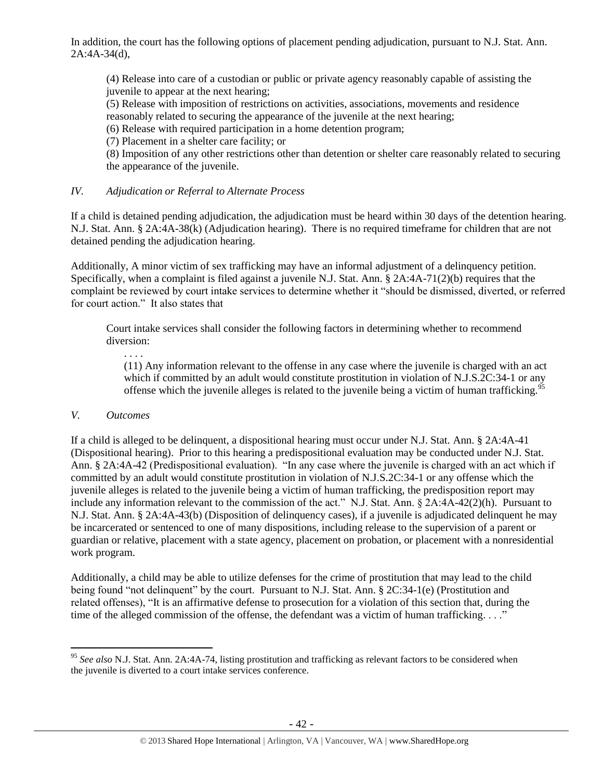In addition, the court has the following options of placement pending adjudication, pursuant to N.J. Stat. Ann. 2A:4A-34(d),

(4) Release into care of a custodian or public or private agency reasonably capable of assisting the juvenile to appear at the next hearing;

(5) Release with imposition of restrictions on activities, associations, movements and residence reasonably related to securing the appearance of the juvenile at the next hearing;

(6) Release with required participation in a home detention program;

(7) Placement in a shelter care facility; or

(8) Imposition of any other restrictions other than detention or shelter care reasonably related to securing the appearance of the juvenile.

## *IV. Adjudication or Referral to Alternate Process*

If a child is detained pending adjudication, the adjudication must be heard within 30 days of the detention hearing. N.J. Stat. Ann. § 2A:4A-38(k) (Adjudication hearing). There is no required timeframe for children that are not detained pending the adjudication hearing.

Additionally, A minor victim of sex trafficking may have an informal adjustment of a delinquency petition. Specifically, when a complaint is filed against a juvenile N.J. Stat. Ann. § 2A:4A-71(2)(b) requires that the complaint be reviewed by court intake services to determine whether it "should be dismissed, diverted, or referred for court action." It also states that

Court intake services shall consider the following factors in determining whether to recommend diversion:

. . . . (11) Any information relevant to the offense in any case where the juvenile is charged with an act

which if committed by an adult would constitute prostitution in violation of N.J.S.2C:34-1 or any offense which the juvenile alleges is related to the juvenile being a victim of human trafficking.<sup>9</sup>

#### *V. Outcomes*

 $\overline{a}$ 

If a child is alleged to be delinquent, a dispositional hearing must occur under N.J. Stat. Ann. § 2A:4A-41 (Dispositional hearing). Prior to this hearing a predispositional evaluation may be conducted under N.J. Stat. Ann. § 2A:4A-42 (Predispositional evaluation). "In any case where the juvenile is charged with an act which if committed by an adult would constitute prostitution in violation of N.J.S.2C:34-1 or any offense which the juvenile alleges is related to the juvenile being a victim of human trafficking, the predisposition report may include any information relevant to the commission of the act." N.J. Stat. Ann. § 2A:4A-42(2)(h). Pursuant to N.J. Stat. Ann. § 2A:4A-43(b) (Disposition of delinquency cases), if a juvenile is adjudicated delinquent he may be incarcerated or sentenced to one of many dispositions, including release to the supervision of a parent or guardian or relative, placement with a state agency, placement on probation, or placement with a nonresidential work program.

Additionally, a child may be able to utilize defenses for the crime of prostitution that may lead to the child being found "not delinquent" by the court. Pursuant to N.J. Stat. Ann. § 2C:34-1(e) (Prostitution and related offenses), "It is an affirmative defense to prosecution for a violation of this section that, during the time of the alleged commission of the offense, the defendant was a victim of human trafficking...."

<sup>&</sup>lt;sup>95</sup> See also N.J. Stat. Ann. 2A:4A-74, listing prostitution and trafficking as relevant factors to be considered when the juvenile is diverted to a court intake services conference.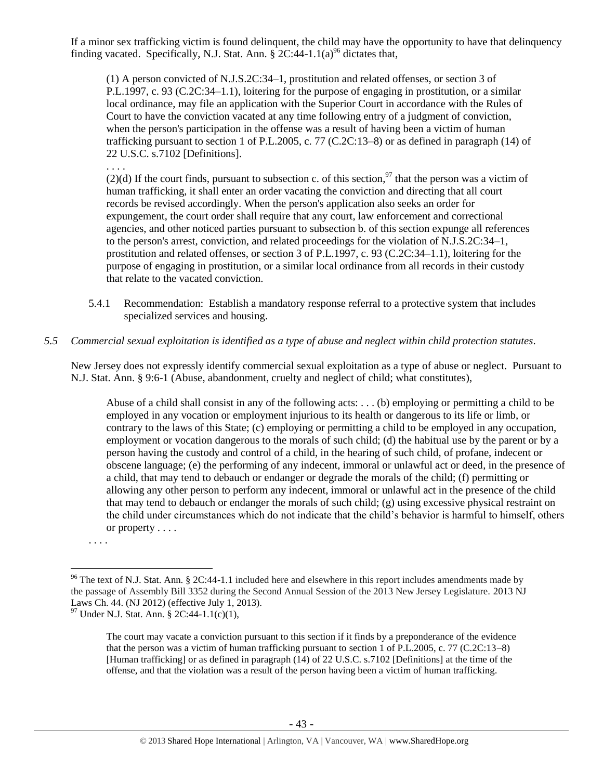If a minor sex trafficking victim is found delinquent, the child may have the opportunity to have that delinquency finding vacated. Specifically, N.J. Stat. Ann.  $\frac{8}{9}$  2C:44-1.1(a)<sup>96</sup> dictates that,

<span id="page-42-0"></span>(1) A person convicted of N.J.S.2C:34–1, prostitution and related offenses, or section 3 of P.L.1997, c. 93 (C.2C:34–1.1), loitering for the purpose of engaging in prostitution, or a similar local ordinance, may file an application with the Superior Court in accordance with the Rules of Court to have the conviction vacated at any time following entry of a judgment of conviction, when the person's participation in the offense was a result of having been a victim of human trafficking pursuant to section 1 of P.L.2005, c. 77 (C.2C:13–8) or as defined in paragraph (14) of 22 U.S.C. s.7102 [Definitions].

. . . .

 $(2)(d)$  If the court finds, pursuant to subsection c. of this section,<sup>97</sup> that the person was a victim of human trafficking, it shall enter an order vacating the conviction and directing that all court records be revised accordingly. When the person's application also seeks an order for expungement, the court order shall require that any court, law enforcement and correctional agencies, and other noticed parties pursuant to subsection b. of this section expunge all references to the person's arrest, conviction, and related proceedings for the violation of N.J.S.2C:34–1, prostitution and related offenses, or section 3 of P.L.1997, c. 93 (C.2C:34–1.1), loitering for the purpose of engaging in prostitution, or a similar local ordinance from all records in their custody that relate to the vacated conviction.

5.4.1 Recommendation: Establish a mandatory response referral to a protective system that includes specialized services and housing.

## *5.5 Commercial sexual exploitation is identified as a type of abuse and neglect within child protection statutes.*

New Jersey does not expressly identify commercial sexual exploitation as a type of abuse or neglect. Pursuant to N.J. Stat. Ann. § 9:6-1 (Abuse, abandonment, cruelty and neglect of child; what constitutes),

Abuse of a child shall consist in any of the following acts: . . . (b) employing or permitting a child to be employed in any vocation or employment injurious to its health or dangerous to its life or limb, or contrary to the laws of this State; (c) employing or permitting a child to be employed in any occupation, employment or vocation dangerous to the morals of such child; (d) the habitual use by the parent or by a person having the custody and control of a child, in the hearing of such child, of profane, indecent or obscene language; (e) the performing of any indecent, immoral or unlawful act or deed, in the presence of a child, that may tend to debauch or endanger or degrade the morals of the child; (f) permitting or allowing any other person to perform any indecent, immoral or unlawful act in the presence of the child that may tend to debauch or endanger the morals of such child; (g) using excessive physical restraint on the child under circumstances which do not indicate that the child's behavior is harmful to himself, others or property . . . .

. . . .

 $96$  The text of N.J. Stat. Ann. § 2C:44-1.1 included here and elsewhere in this report includes amendments made by the passage of Assembly Bill 3352 during the Second Annual Session of the 2013 New Jersey Legislature. 2013 NJ Laws Ch. 44. (NJ 2012) (effective July 1, 2013).

 $97$  Under N.J. Stat. Ann. § 2C:44-1.1(c)(1),

The court may vacate a conviction pursuant to this section if it finds by a preponderance of the evidence that the person was a victim of human trafficking pursuant to section 1 of P.L.2005, c. 77 (C.2C:13–8) [Human trafficking] or as defined in paragraph (14) of 22 U.S.C. s.7102 [Definitions] at the time of the offense, and that the violation was a result of the person having been a victim of human trafficking.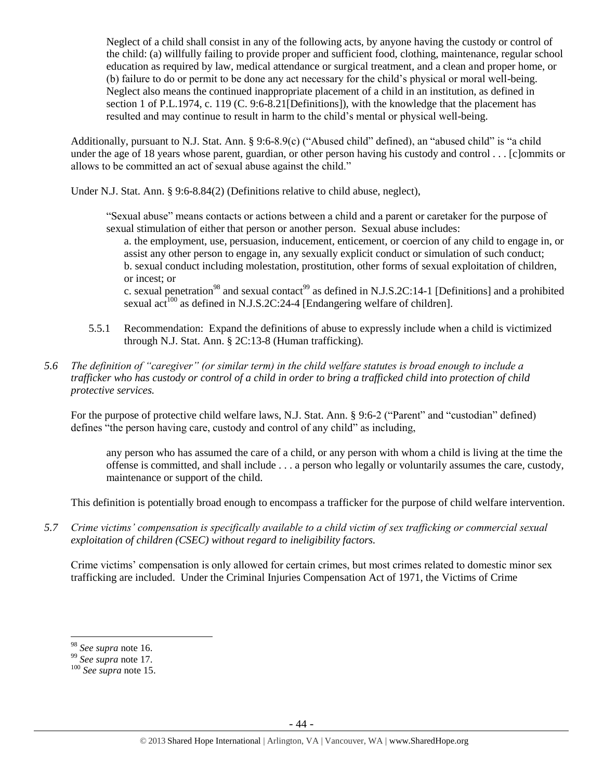Neglect of a child shall consist in any of the following acts, by anyone having the custody or control of the child: (a) willfully failing to provide proper and sufficient food, clothing, maintenance, regular school education as required by law, medical attendance or surgical treatment, and a clean and proper home, or (b) failure to do or permit to be done any act necessary for the child's physical or moral well-being. Neglect also means the continued inappropriate placement of a child in an institution, as defined in section 1 of P.L.1974, c. 119 (C. 9:6-8.21[Definitions]), with the knowledge that the placement has resulted and may continue to result in harm to the child's mental or physical well-being.

Additionally, pursuant to N.J. Stat. Ann. § 9:6-8.9(c) ("Abused child" defined), an "abused child" is "a child under the age of 18 years whose parent, guardian, or other person having his custody and control . . . [c]ommits or allows to be committed an act of sexual abuse against the child."

Under N.J. Stat. Ann. § 9:6-8.84(2) (Definitions relative to child abuse, neglect),

"Sexual abuse" means contacts or actions between a child and a parent or caretaker for the purpose of sexual stimulation of either that person or another person. Sexual abuse includes:

a. the employment, use, persuasion, inducement, enticement, or coercion of any child to engage in, or assist any other person to engage in, any sexually explicit conduct or simulation of such conduct; b. sexual conduct including molestation, prostitution, other forms of sexual exploitation of children, or incest; or

c. sexual penetration<sup>98</sup> and sexual contact<sup>99</sup> as defined in N.J.S.2C:14-1 [Definitions] and a prohibited sexual act<sup>100</sup> as defined in N.J.S.2C:24-4 [Endangering welfare of children].

5.5.1 Recommendation: Expand the definitions of abuse to expressly include when a child is victimized through N.J. Stat. Ann. § 2C:13-8 (Human trafficking).

## *5.6 The definition of "caregiver" (or similar term) in the child welfare statutes is broad enough to include a trafficker who has custody or control of a child in order to bring a trafficked child into protection of child protective services.*

For the purpose of protective child welfare laws, N.J. Stat. Ann. § 9:6-2 ("Parent" and "custodian" defined) defines "the person having care, custody and control of any child" as including,

any person who has assumed the care of a child, or any person with whom a child is living at the time the offense is committed, and shall include . . . a person who legally or voluntarily assumes the care, custody, maintenance or support of the child.

This definition is potentially broad enough to encompass a trafficker for the purpose of child welfare intervention.

*5.7 Crime victims' compensation is specifically available to a child victim of sex trafficking or commercial sexual exploitation of children (CSEC) without regard to ineligibility factors.*

Crime victims' compensation is only allowed for certain crimes, but most crimes related to domestic minor sex trafficking are included. Under the Criminal Injuries Compensation Act of 1971, the Victims of Crime

<sup>98</sup> *See supra* note [16.](#page-5-0)

<sup>99</sup> *See supra* note [17.](#page-5-1)

<sup>100</sup> *See supra* not[e 15.](#page-4-2)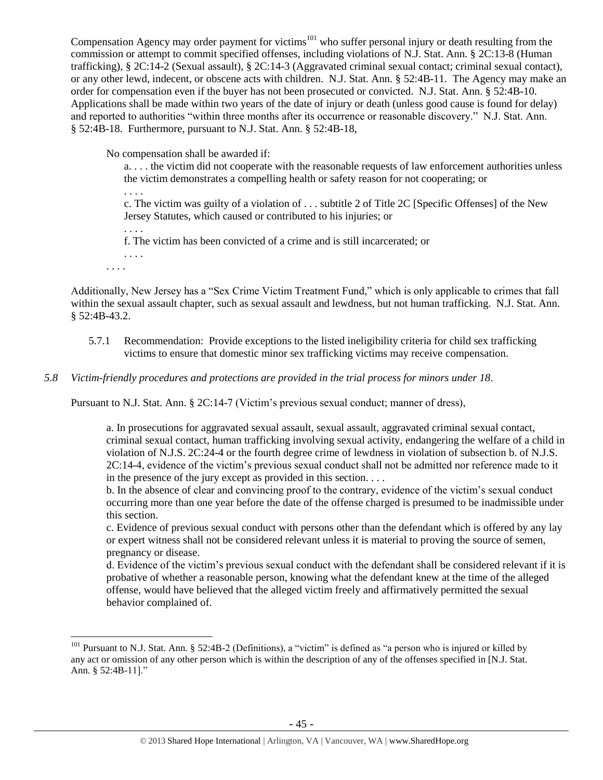Compensation Agency may order payment for victims<sup>101</sup> who suffer personal injury or death resulting from the commission or attempt to commit specified offenses, including violations of N.J. Stat. Ann. § 2C:13-8 (Human trafficking), § 2C:14-2 (Sexual assault), § 2C:14-3 (Aggravated criminal sexual contact; criminal sexual contact), or any other lewd, indecent, or obscene acts with children. N.J. Stat. Ann. § 52:4B-11. The Agency may make an order for compensation even if the buyer has not been prosecuted or convicted. N.J. Stat. Ann. § 52:4B-10. Applications shall be made within two years of the date of injury or death (unless good cause is found for delay) and reported to authorities "within three months after its occurrence or reasonable discovery." N.J. Stat. Ann. § 52:4B-18. Furthermore, pursuant to N.J. Stat. Ann. § 52:4B-18,

No compensation shall be awarded if:

a. . . . the victim did not cooperate with the reasonable requests of law enforcement authorities unless the victim demonstrates a compelling health or safety reason for not cooperating; or

c. The victim was guilty of a violation of . . . subtitle 2 of Title 2C [Specific Offenses] of the New Jersey Statutes, which caused or contributed to his injuries; or

f. The victim has been convicted of a crime and is still incarcerated; or

. . . .

. . . .

 $\overline{a}$ 

. . . .

. . . .

Additionally, New Jersey has a "Sex Crime Victim Treatment Fund," which is only applicable to crimes that fall within the sexual assault chapter, such as sexual assault and lewdness, but not human trafficking. N.J. Stat. Ann. § 52:4B-43.2.

5.7.1 Recommendation: Provide exceptions to the listed ineligibility criteria for child sex trafficking victims to ensure that domestic minor sex trafficking victims may receive compensation.

*5.8 Victim-friendly procedures and protections are provided in the trial process for minors under 18.*

Pursuant to N.J. Stat. Ann. § 2C:14-7 (Victim's previous sexual conduct; manner of dress),

a. In prosecutions for aggravated sexual assault, sexual assault, aggravated criminal sexual contact, criminal sexual contact, human trafficking involving sexual activity, endangering the welfare of a child in violation of N.J.S. 2C:24-4 or the fourth degree crime of lewdness in violation of subsection b. of N.J.S. 2C:14-4, evidence of the victim's previous sexual conduct shall not be admitted nor reference made to it in the presence of the jury except as provided in this section. . . .

b. In the absence of clear and convincing proof to the contrary, evidence of the victim's sexual conduct occurring more than one year before the date of the offense charged is presumed to be inadmissible under this section.

c. Evidence of previous sexual conduct with persons other than the defendant which is offered by any lay or expert witness shall not be considered relevant unless it is material to proving the source of semen, pregnancy or disease.

d. Evidence of the victim's previous sexual conduct with the defendant shall be considered relevant if it is probative of whether a reasonable person, knowing what the defendant knew at the time of the alleged offense, would have believed that the alleged victim freely and affirmatively permitted the sexual behavior complained of.

<sup>&</sup>lt;sup>101</sup> Pursuant to N.J. Stat. Ann. § 52:4B-2 (Definitions), a "victim" is defined as "a person who is injured or killed by any act or omission of any other person which is within the description of any of the offenses specified in [N.J. Stat. Ann. § 52:4B-11]."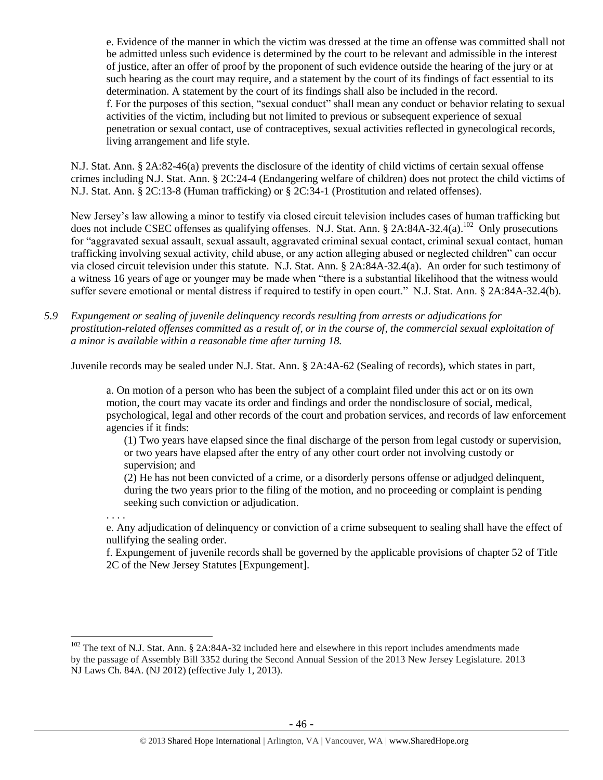e. Evidence of the manner in which the victim was dressed at the time an offense was committed shall not be admitted unless such evidence is determined by the court to be relevant and admissible in the interest of justice, after an offer of proof by the proponent of such evidence outside the hearing of the jury or at such hearing as the court may require, and a statement by the court of its findings of fact essential to its determination. A statement by the court of its findings shall also be included in the record. f. For the purposes of this section, "sexual conduct" shall mean any conduct or behavior relating to sexual activities of the victim, including but not limited to previous or subsequent experience of sexual penetration or sexual contact, use of contraceptives, sexual activities reflected in gynecological records, living arrangement and life style.

N.J. Stat. Ann. § 2A:82-46(a) prevents the disclosure of the identity of child victims of certain sexual offense crimes including N.J. Stat. Ann. § 2C:24-4 (Endangering welfare of children) does not protect the child victims of N.J. Stat. Ann. § 2C:13-8 (Human trafficking) or § 2C:34-1 (Prostitution and related offenses).

New Jersey's law allowing a minor to testify via closed circuit television includes cases of human trafficking but does not include CSEC offenses as qualifying offenses. N.J. Stat. Ann. § 2A:84A-32.4(a).<sup>102</sup> Only prosecutions for "aggravated sexual assault, sexual assault, aggravated criminal sexual contact, criminal sexual contact, human trafficking involving sexual activity, child abuse, or any action alleging abused or neglected children" can occur via closed circuit television under this statute. N.J. Stat. Ann. § 2A:84A-32.4(a). An order for such testimony of a witness 16 years of age or younger may be made when "there is a substantial likelihood that the witness would suffer severe emotional or mental distress if required to testify in open court." N.J. Stat. Ann. § 2A:84A-32.4(b).

*5.9 Expungement or sealing of juvenile delinquency records resulting from arrests or adjudications for prostitution-related offenses committed as a result of, or in the course of, the commercial sexual exploitation of a minor is available within a reasonable time after turning 18.*

Juvenile records may be sealed under N.J. Stat. Ann. § 2A:4A-62 (Sealing of records), which states in part,

a. On motion of a person who has been the subject of a complaint filed under this act or on its own motion, the court may vacate its order and findings and order the nondisclosure of social, medical, psychological, legal and other records of the court and probation services, and records of law enforcement agencies if it finds:

(1) Two years have elapsed since the final discharge of the person from legal custody or supervision, or two years have elapsed after the entry of any other court order not involving custody or supervision; and

(2) He has not been convicted of a crime, or a disorderly persons offense or adjudged delinquent, during the two years prior to the filing of the motion, and no proceeding or complaint is pending seeking such conviction or adjudication.

. . . .

 $\overline{a}$ 

e. Any adjudication of delinquency or conviction of a crime subsequent to sealing shall have the effect of nullifying the sealing order.

f. Expungement of juvenile records shall be governed by the applicable provisions of chapter 52 of Title 2C of the New Jersey Statutes [Expungement].

 $102$  The text of N.J. Stat. Ann. § 2A:84A-32 included here and elsewhere in this report includes amendments made by the passage of Assembly Bill 3352 during the Second Annual Session of the 2013 New Jersey Legislature. 2013 NJ Laws Ch. 84A. (NJ 2012) (effective July 1, 2013).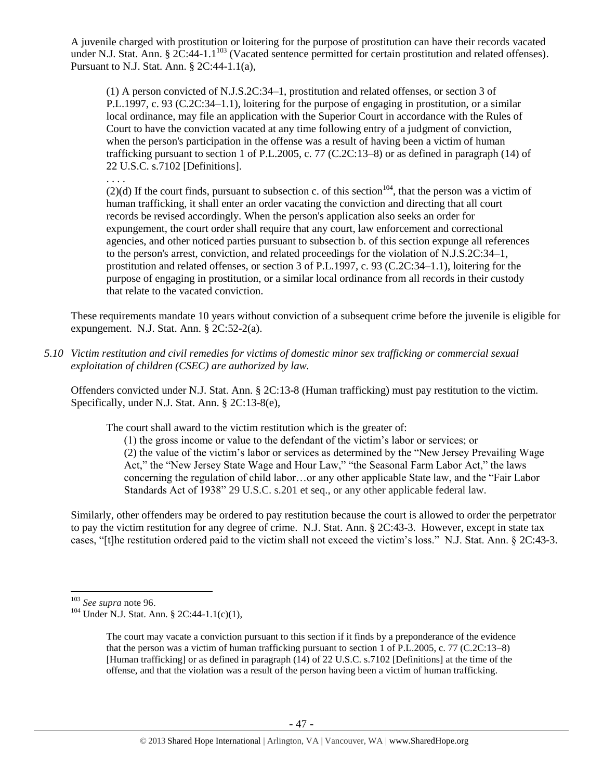A juvenile charged with prostitution or loitering for the purpose of prostitution can have their records vacated under N.J. Stat. Ann. §  $2C:44-1.1^{103}$  (Vacated sentence permitted for certain prostitution and related offenses). Pursuant to N.J. Stat. Ann. § 2C:44-1.1(a),

(1) A person convicted of N.J.S.2C:34–1, prostitution and related offenses, or section 3 of P.L.1997, c. 93 (C.2C:34–1.1), loitering for the purpose of engaging in prostitution, or a similar local ordinance, may file an application with the Superior Court in accordance with the Rules of Court to have the conviction vacated at any time following entry of a judgment of conviction, when the person's participation in the offense was a result of having been a victim of human trafficking pursuant to section 1 of P.L.2005, c. 77 (C.2C:13–8) or as defined in paragraph (14) of 22 U.S.C. s.7102 [Definitions].

. . . .

(2)(d) If the court finds, pursuant to subsection c. of this section<sup>104</sup>, that the person was a victim of human trafficking, it shall enter an order vacating the conviction and directing that all court records be revised accordingly. When the person's application also seeks an order for expungement, the court order shall require that any court, law enforcement and correctional agencies, and other noticed parties pursuant to subsection b. of this section expunge all references to the person's arrest, conviction, and related proceedings for the violation of N.J.S.2C:34–1, prostitution and related offenses, or section 3 of P.L.1997, c. 93 (C.2C:34–1.1), loitering for the purpose of engaging in prostitution, or a similar local ordinance from all records in their custody that relate to the vacated conviction.

These requirements mandate 10 years without conviction of a subsequent crime before the juvenile is eligible for expungement. N.J. Stat. Ann. § 2C:52-2(a).

*5.10 Victim restitution and civil remedies for victims of domestic minor sex trafficking or commercial sexual exploitation of children (CSEC) are authorized by law.* 

Offenders convicted under N.J. Stat. Ann. § 2C:13-8 (Human trafficking) must pay restitution to the victim. Specifically, under N.J. Stat. Ann. § 2C:13-8(e),

The court shall award to the victim restitution which is the greater of:

(1) the gross income or value to the defendant of the victim's labor or services; or (2) the value of the victim's labor or services as determined by the "New Jersey Prevailing Wage Act," the "New Jersey State Wage and Hour Law," "the Seasonal Farm Labor Act," the laws concerning the regulation of child labor…or any other applicable State law, and the "Fair Labor Standards Act of 1938" 29 U.S.C. s.201 et seq., or any other applicable federal law.

Similarly, other offenders may be ordered to pay restitution because the court is allowed to order the perpetrator to pay the victim restitution for any degree of crime. N.J. Stat. Ann. § 2C:43-3. However, except in state tax cases, "[t]he restitution ordered paid to the victim shall not exceed the victim's loss." N.J. Stat. Ann. § 2C:43-3.

<sup>103</sup> *See supra* not[e 96.](#page-42-0)

 $104$  Under N.J. Stat. Ann. § 2C:44-1.1(c)(1),

The court may vacate a conviction pursuant to this section if it finds by a preponderance of the evidence that the person was a victim of human trafficking pursuant to section 1 of P.L.2005, c. 77 (C.2C:13–8) [Human trafficking] or as defined in paragraph (14) of 22 U.S.C. s.7102 [Definitions] at the time of the offense, and that the violation was a result of the person having been a victim of human trafficking.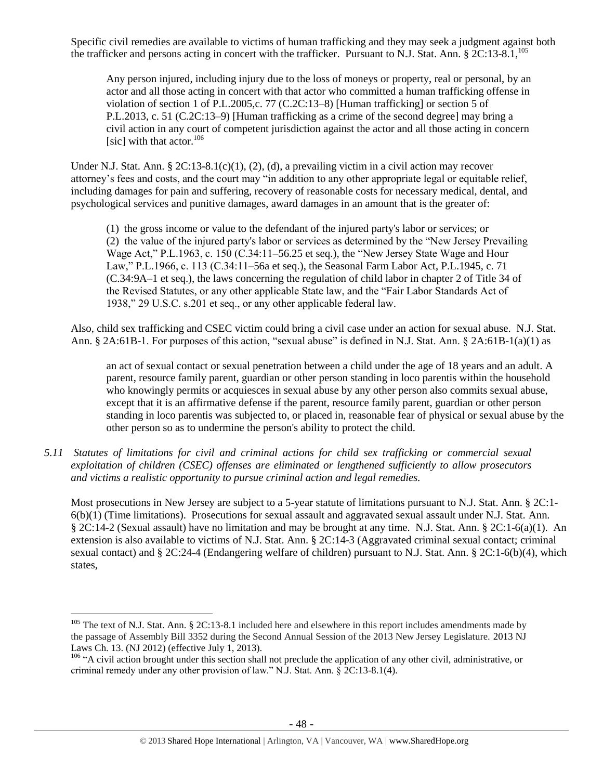Specific civil remedies are available to victims of human trafficking and they may seek a judgment against both the trafficker and persons acting in concert with the trafficker. Pursuant to N.J. Stat. Ann. § 2C:13-8.1, 105

Any person injured, including injury due to the loss of moneys or property, real or personal, by an actor and all those acting in concert with that actor who committed a human trafficking offense in violation of section 1 of P.L.2005,c. 77 (C.2C:13–8) [Human trafficking] or section 5 of P.L.2013, c. 51 (C.2C:13–9) [Human trafficking as a crime of the second degree] may bring a civil action in any court of competent jurisdiction against the actor and all those acting in concern [sic] with that actor.<sup>106</sup>

Under N.J. Stat. Ann. § 2C:13-8.1(c)(1), (2), (d), a prevailing victim in a civil action may recover attorney's fees and costs, and the court may "in addition to any other appropriate legal or equitable relief, including damages for pain and suffering, recovery of reasonable costs for necessary medical, dental, and psychological services and punitive damages, award damages in an amount that is the greater of:

(1) the gross income or value to the defendant of the injured party's labor or services; or (2) the value of the injured party's labor or services as determined by the "New Jersey Prevailing Wage Act," P.L.1963, c. 150 (C.34:11–56.25 et seq.), the "New Jersey State Wage and Hour Law," P.L.1966, c. 113 (C.34:11–56a et seq.), the Seasonal Farm Labor Act, P.L.1945, c. 71 (C.34:9A–1 et seq.), the laws concerning the regulation of child labor in chapter 2 of Title 34 of the Revised Statutes, or any other applicable State law, and the "Fair Labor Standards Act of 1938," 29 U.S.C. s.201 et seq., or any other applicable federal law.

Also, child sex trafficking and CSEC victim could bring a civil case under an action for sexual abuse. N.J. Stat. Ann. § 2A:61B-1. For purposes of this action, "sexual abuse" is defined in N.J. Stat. Ann. § 2A:61B-1(a)(1) as

an act of sexual contact or sexual penetration between a child under the age of 18 years and an adult. A parent, resource family parent, guardian or other person standing in loco parentis within the household who knowingly permits or acquiesces in sexual abuse by any other person also commits sexual abuse, except that it is an affirmative defense if the parent, resource family parent, guardian or other person standing in loco parentis was subjected to, or placed in, reasonable fear of physical or sexual abuse by the other person so as to undermine the person's ability to protect the child.

*5.11 Statutes of limitations for civil and criminal actions for child sex trafficking or commercial sexual exploitation of children (CSEC) offenses are eliminated or lengthened sufficiently to allow prosecutors and victims a realistic opportunity to pursue criminal action and legal remedies.*

Most prosecutions in New Jersey are subject to a 5-year statute of limitations pursuant to N.J. Stat. Ann. § 2C:1- 6(b)(1) (Time limitations). Prosecutions for sexual assault and aggravated sexual assault under N.J. Stat. Ann. § 2C:14-2 (Sexual assault) have no limitation and may be brought at any time. N.J. Stat. Ann. § 2C:1-6(a)(1). An extension is also available to victims of N.J. Stat. Ann. § 2C:14-3 (Aggravated criminal sexual contact; criminal sexual contact) and § 2C:24-4 (Endangering welfare of children) pursuant to N.J. Stat. Ann. § 2C:1-6(b)(4), which states,

 $105$  The text of N.J. Stat. Ann. § 2C:13-8.1 included here and elsewhere in this report includes amendments made by the passage of Assembly Bill 3352 during the Second Annual Session of the 2013 New Jersey Legislature. 2013 NJ Laws Ch. 13. (NJ 2012) (effective July 1, 2013).

<sup>106 &</sup>quot;A civil action brought under this section shall not preclude the application of any other civil, administrative, or criminal remedy under any other provision of law." N.J. Stat. Ann. § 2C:13-8.1(4).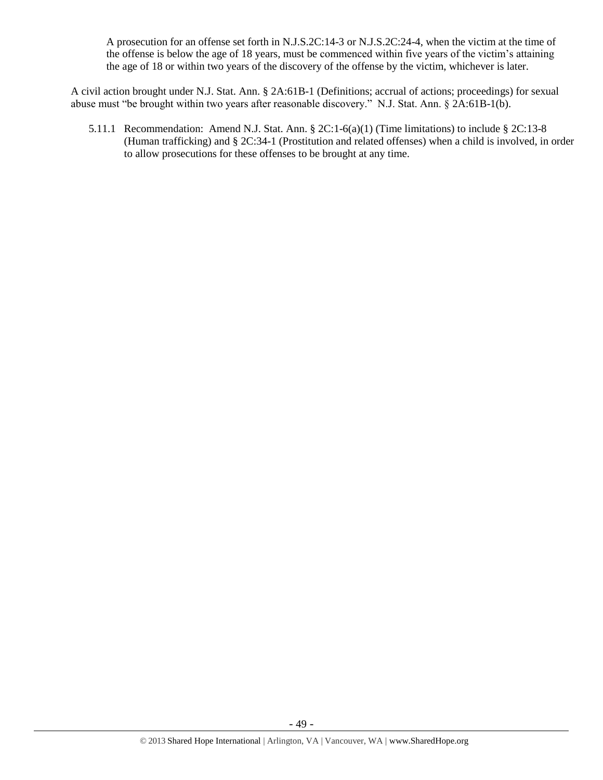A prosecution for an offense set forth in N.J.S.2C:14-3 or N.J.S.2C:24-4, when the victim at the time of the offense is below the age of 18 years, must be commenced within five years of the victim's attaining the age of 18 or within two years of the discovery of the offense by the victim, whichever is later.

A civil action brought under N.J. Stat. Ann. § 2A:61B-1 (Definitions; accrual of actions; proceedings) for sexual abuse must "be brought within two years after reasonable discovery." N.J. Stat. Ann. § 2A:61B-1(b).

5.11.1 Recommendation: Amend N.J. Stat. Ann. § 2C:1-6(a)(1) (Time limitations) to include § 2C:13-8 (Human trafficking) and § 2C:34-1 (Prostitution and related offenses) when a child is involved, in order to allow prosecutions for these offenses to be brought at any time.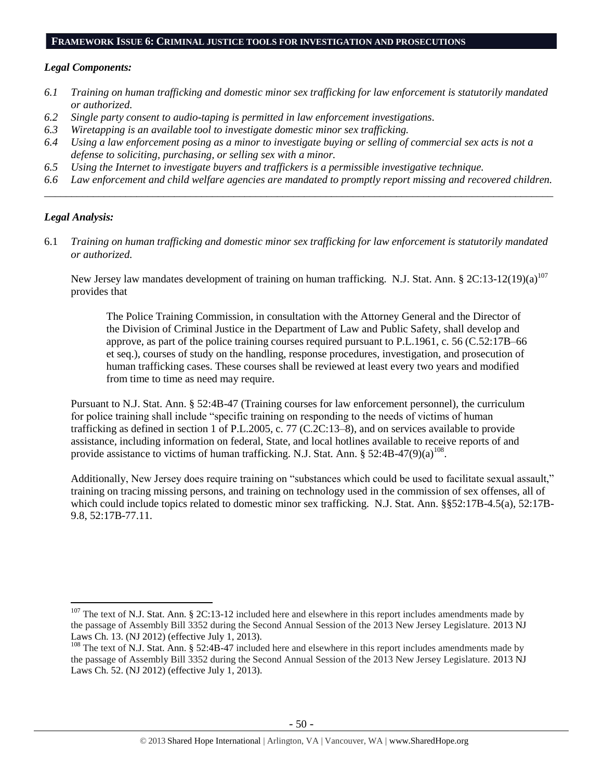#### **FRAMEWORK ISSUE 6: CRIMINAL JUSTICE TOOLS FOR INVESTIGATION AND PROSECUTIONS**

#### *Legal Components:*

- *6.1 Training on human trafficking and domestic minor sex trafficking for law enforcement is statutorily mandated or authorized.*
- *6.2 Single party consent to audio-taping is permitted in law enforcement investigations.*
- *6.3 Wiretapping is an available tool to investigate domestic minor sex trafficking.*
- *6.4 Using a law enforcement posing as a minor to investigate buying or selling of commercial sex acts is not a defense to soliciting, purchasing, or selling sex with a minor.*
- *6.5 Using the Internet to investigate buyers and traffickers is a permissible investigative technique.*
- *6.6 Law enforcement and child welfare agencies are mandated to promptly report missing and recovered children. \_\_\_\_\_\_\_\_\_\_\_\_\_\_\_\_\_\_\_\_\_\_\_\_\_\_\_\_\_\_\_\_\_\_\_\_\_\_\_\_\_\_\_\_\_\_\_\_\_\_\_\_\_\_\_\_\_\_\_\_\_\_\_\_\_\_\_\_\_\_\_\_\_\_\_\_\_\_\_\_\_\_\_\_\_\_\_\_\_\_\_\_\_\_*

#### *Legal Analysis:*

 $\overline{a}$ 

6.1 *Training on human trafficking and domestic minor sex trafficking for law enforcement is statutorily mandated or authorized.*

New Jersey law mandates development of training on human trafficking. N.J. Stat. Ann. § 2C:13-12(19)(a)<sup>107</sup> provides that

The Police Training Commission, in consultation with the Attorney General and the Director of the Division of Criminal Justice in the Department of Law and Public Safety, shall develop and approve, as part of the police training courses required pursuant to P.L.1961, c. 56 (C.52:17B–66 et seq.), courses of study on the handling, response procedures, investigation, and prosecution of human trafficking cases. These courses shall be reviewed at least every two years and modified from time to time as need may require.

Pursuant to N.J. Stat. Ann. § 52:4B-47 (Training courses for law enforcement personnel), the curriculum for police training shall include "specific training on responding to the needs of victims of human trafficking as defined in section 1 of P.L.2005, c. 77 (C.2C:13–8), and on services available to provide assistance, including information on federal, State, and local hotlines available to receive reports of and provide assistance to victims of human trafficking. N.J. Stat. Ann. § 52:4B-47(9)(a)<sup>108</sup>.

Additionally, New Jersey does require training on "substances which could be used to facilitate sexual assault," training on tracing missing persons, and training on technology used in the commission of sex offenses, all of which could include topics related to domestic minor sex trafficking. N.J. Stat. Ann. §§52:17B-4.5(a), 52:17B-9.8, 52:17B-77.11.

 $107$  The text of N.J. Stat. Ann. § 2C:13-12 included here and elsewhere in this report includes amendments made by the passage of Assembly Bill 3352 during the Second Annual Session of the 2013 New Jersey Legislature. 2013 NJ Laws Ch. 13. (NJ 2012) (effective July 1, 2013).

<sup>&</sup>lt;sup>108</sup> The text of N.J. Stat. Ann. § 52:4B-47 included here and elsewhere in this report includes amendments made by the passage of Assembly Bill 3352 during the Second Annual Session of the 2013 New Jersey Legislature. 2013 NJ Laws Ch. 52. (NJ 2012) (effective July 1, 2013).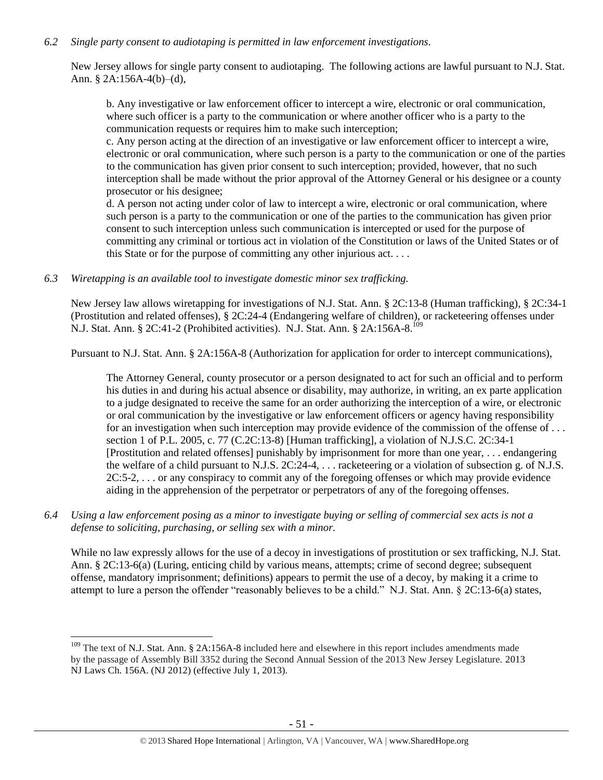## *6.2 Single party consent to audiotaping is permitted in law enforcement investigations.*

New Jersey allows for single party consent to audiotaping. The following actions are lawful pursuant to N.J. Stat. Ann. § 2A:156A-4(b)–(d),

b. Any investigative or law enforcement officer to intercept a wire, electronic or oral communication, where such officer is a party to the communication or where another officer who is a party to the communication requests or requires him to make such interception;

c. Any person acting at the direction of an investigative or law enforcement officer to intercept a wire, electronic or oral communication, where such person is a party to the communication or one of the parties to the communication has given prior consent to such interception; provided, however, that no such interception shall be made without the prior approval of the Attorney General or his designee or a county prosecutor or his designee;

d. A person not acting under color of law to intercept a wire, electronic or oral communication, where such person is a party to the communication or one of the parties to the communication has given prior consent to such interception unless such communication is intercepted or used for the purpose of committing any criminal or tortious act in violation of the Constitution or laws of the United States or of this State or for the purpose of committing any other injurious act. . . .

## *6.3 Wiretapping is an available tool to investigate domestic minor sex trafficking.*

 $\overline{a}$ 

New Jersey law allows wiretapping for investigations of N.J. Stat. Ann. § 2C:13-8 (Human trafficking), § 2C:34-1 (Prostitution and related offenses), § 2C:24-4 (Endangering welfare of children), or racketeering offenses under N.J. Stat. Ann. § 2C:41-2 (Prohibited activities). N.J. Stat. Ann. § 2A:156A-8.<sup>109</sup>

Pursuant to N.J. Stat. Ann. § 2A:156A-8 (Authorization for application for order to intercept communications),

The Attorney General, county prosecutor or a person designated to act for such an official and to perform his duties in and during his actual absence or disability, may authorize, in writing, an ex parte application to a judge designated to receive the same for an order authorizing the interception of a wire, or electronic or oral communication by the investigative or law enforcement officers or agency having responsibility for an investigation when such interception may provide evidence of the commission of the offense of . . . section 1 of P.L. 2005, c. 77 (C.2C:13-8) [Human trafficking], a violation of N.J.S.C. 2C:34-1 [Prostitution and related offenses] punishably by imprisonment for more than one year, . . . endangering the welfare of a child pursuant to N.J.S. 2C:24-4, . . . racketeering or a violation of subsection g. of N.J.S. 2C:5-2, . . . or any conspiracy to commit any of the foregoing offenses or which may provide evidence aiding in the apprehension of the perpetrator or perpetrators of any of the foregoing offenses.

*6.4 Using a law enforcement posing as a minor to investigate buying or selling of commercial sex acts is not a defense to soliciting, purchasing, or selling sex with a minor.*

While no law expressly allows for the use of a decoy in investigations of prostitution or sex trafficking, N.J. Stat. Ann. § 2C:13-6(a) (Luring, enticing child by various means, attempts; crime of second degree; subsequent offense, mandatory imprisonment; definitions) appears to permit the use of a decoy, by making it a crime to attempt to lure a person the offender "reasonably believes to be a child." N.J. Stat. Ann. § 2C:13-6(a) states,

<sup>&</sup>lt;sup>109</sup> The text of N.J. Stat. Ann. § 2A:156A-8 included here and elsewhere in this report includes amendments made by the passage of Assembly Bill 3352 during the Second Annual Session of the 2013 New Jersey Legislature. 2013 NJ Laws Ch. 156A. (NJ 2012) (effective July 1, 2013).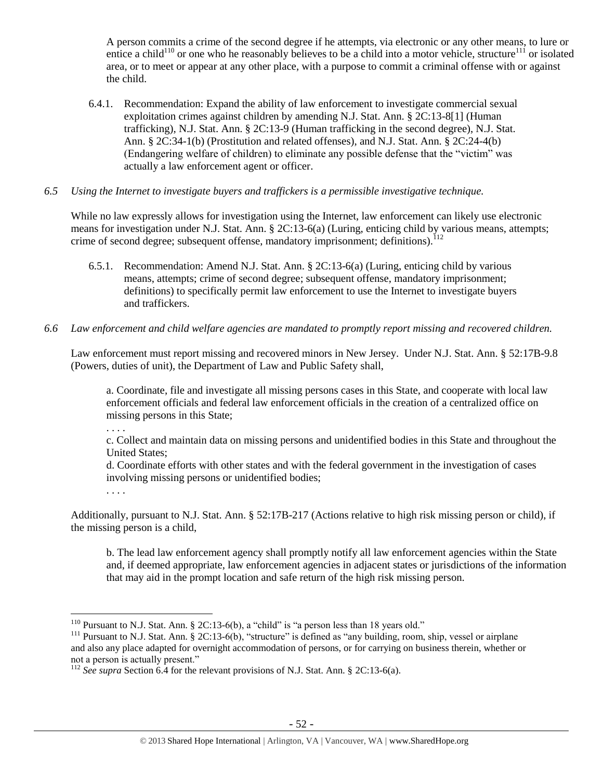A person commits a crime of the second degree if he attempts, via electronic or any other means, to lure or entice a child<sup>110</sup> or one who he reasonably believes to be a child into a motor vehicle, structure<sup>111</sup> or isolated area, or to meet or appear at any other place, with a purpose to commit a criminal offense with or against the child.

- 6.4.1. Recommendation: Expand the ability of law enforcement to investigate commercial sexual exploitation crimes against children by amending N.J. Stat. Ann. § 2C:13-8[1] (Human trafficking), N.J. Stat. Ann. § 2C:13-9 (Human trafficking in the second degree), N.J. Stat. Ann. § 2C:34-1(b) (Prostitution and related offenses), and N.J. Stat. Ann. § 2C:24-4(b) (Endangering welfare of children) to eliminate any possible defense that the "victim" was actually a law enforcement agent or officer.
- *6.5 Using the Internet to investigate buyers and traffickers is a permissible investigative technique.*

While no law expressly allows for investigation using the Internet, law enforcement can likely use electronic means for investigation under N.J. Stat. Ann. § 2C:13-6(a) (Luring, enticing child by various means, attempts; crime of second degree; subsequent offense, mandatory imprisonment; definitions).<sup>112</sup>

- 6.5.1. Recommendation: Amend N.J. Stat. Ann. § 2C:13-6(a) (Luring, enticing child by various means, attempts; crime of second degree; subsequent offense, mandatory imprisonment; definitions) to specifically permit law enforcement to use the Internet to investigate buyers and traffickers.
- *6.6 Law enforcement and child welfare agencies are mandated to promptly report missing and recovered children.*

Law enforcement must report missing and recovered minors in New Jersey. Under N.J. Stat. Ann. § 52:17B-9.8 (Powers, duties of unit), the Department of Law and Public Safety shall,

a. Coordinate, file and investigate all missing persons cases in this State, and cooperate with local law enforcement officials and federal law enforcement officials in the creation of a centralized office on missing persons in this State;

. . . .

c. Collect and maintain data on missing persons and unidentified bodies in this State and throughout the United States;

d. Coordinate efforts with other states and with the federal government in the investigation of cases involving missing persons or unidentified bodies;

. . . .

Additionally, pursuant to N.J. Stat. Ann. § 52:17B-217 (Actions relative to high risk missing person or child), if the missing person is a child,

b. The lead law enforcement agency shall promptly notify all law enforcement agencies within the State and, if deemed appropriate, law enforcement agencies in adjacent states or jurisdictions of the information that may aid in the prompt location and safe return of the high risk missing person.

 $\overline{a}$ <sup>110</sup> Pursuant to N.J. Stat. Ann. § 2C:13-6(b), a "child" is "a person less than 18 years old."

<sup>&</sup>lt;sup>111</sup> Pursuant to N.J. Stat. Ann. § 2C:13-6(b), "structure" is defined as "any building, room, ship, vessel or airplane and also any place adapted for overnight accommodation of persons, or for carrying on business therein, whether or not a person is actually present."

<sup>112</sup> *See supra* Section 6.4 for the relevant provisions of N.J. Stat. Ann. § 2C:13-6(a).